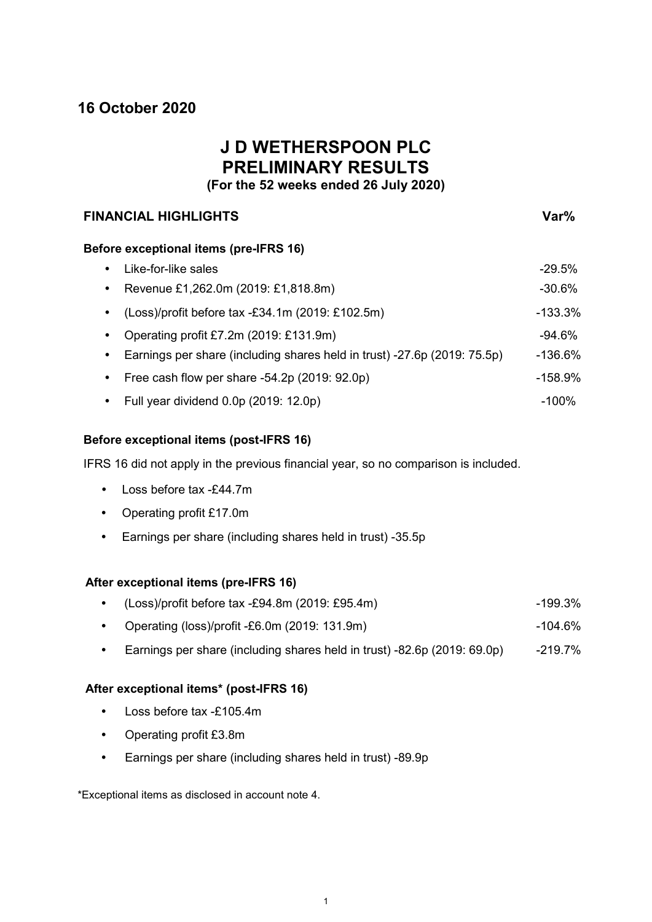# **16 October 2020**

# **J D WETHERSPOON PLC PRELIMINARY RESULTS**

**(For the 52 weeks ended 26 July 2020)**

# **FINANCIAL HIGHLIGHTS Var%**

# **Before exceptional items (pre-IFRS 16)**

| Like-for-like sales                                                      | $-29.5%$  |
|--------------------------------------------------------------------------|-----------|
| Revenue £1,262.0m (2019: £1,818.8m)                                      | $-30.6%$  |
| (Loss)/profit before tax -£34.1m (2019: £102.5m)                         | -133.3%   |
| Operating profit £7.2m (2019: £131.9m)                                   | -94.6%    |
| Earnings per share (including shares held in trust) -27.6p (2019: 75.5p) | $-136.6%$ |
| Free cash flow per share -54.2p (2019: 92.0p)                            | $-158.9%$ |
| Full year dividend 0.0p (2019: 12.0p)                                    | $-100\%$  |

# **Before exceptional items (post-IFRS 16)**

IFRS 16 did not apply in the previous financial year, so no comparison is included.

- Loss before tax -£44.7m
- Operating profit £17.0m
- Earnings per share (including shares held in trust) -35.5p

# **After exceptional items (pre-IFRS 16)**

| $(Loss)/profit$ before tax -£94.8m (2019: £95.4m) | $-199.3%$ |
|---------------------------------------------------|-----------|
|                                                   |           |

- Operating (loss)/profit -£6.0m (2019: 131.9m) 104.6%
- Earnings per share (including shares held in trust) -82.6p (2019: 69.0p) -219.7%

# **After exceptional items\* (post-IFRS 16)**

- Loss before tax -£105.4m
- Operating profit £3.8m
- Earnings per share (including shares held in trust) -89.9p

\*Exceptional items as disclosed in account note 4.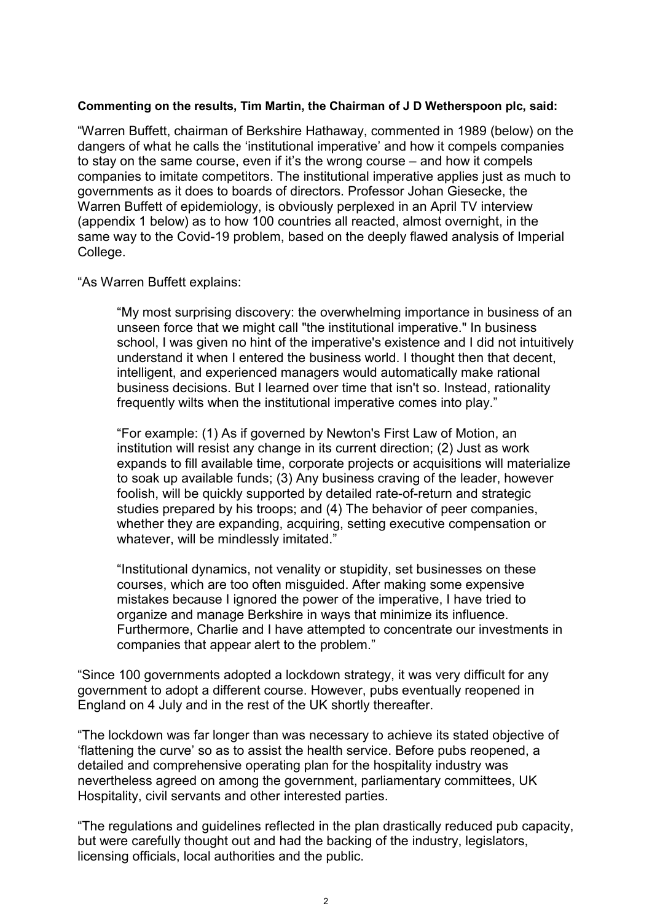# **Commenting on the results, Tim Martin, the Chairman of J D Wetherspoon plc, said:**

"Warren Buffett, chairman of Berkshire Hathaway, commented in 1989 (below) on the dangers of what he calls the 'institutional imperative' and how it compels companies to stay on the same course, even if it's the wrong course – and how it compels companies to imitate competitors. The institutional imperative applies just as much to governments as it does to boards of directors. Professor Johan Giesecke, the Warren Buffett of epidemiology, is obviously perplexed in an April TV interview (appendix 1 below) as to how 100 countries all reacted, almost overnight, in the same way to the Covid-19 problem, based on the deeply flawed analysis of Imperial College.

# "As Warren Buffett explains:

"My most surprising discovery: the overwhelming importance in business of an unseen force that we might call "the institutional imperative." In business school, I was given no hint of the imperative's existence and I did not intuitively understand it when I entered the business world. I thought then that decent, intelligent, and experienced managers would automatically make rational business decisions. But I learned over time that isn't so. Instead, rationality frequently wilts when the institutional imperative comes into play."

"For example: (1) As if governed by Newton's First Law of Motion, an institution will resist any change in its current direction; (2) Just as work expands to fill available time, corporate projects or acquisitions will materialize to soak up available funds; (3) Any business craving of the leader, however foolish, will be quickly supported by detailed rate-of-return and strategic studies prepared by his troops; and (4) The behavior of peer companies, whether they are expanding, acquiring, setting executive compensation or whatever, will be mindlessly imitated."

"Institutional dynamics, not venality or stupidity, set businesses on these courses, which are too often misguided. After making some expensive mistakes because I ignored the power of the imperative, I have tried to organize and manage Berkshire in ways that minimize its influence. Furthermore, Charlie and I have attempted to concentrate our investments in companies that appear alert to the problem."

"Since 100 governments adopted a lockdown strategy, it was very difficult for any government to adopt a different course. However, pubs eventually reopened in England on 4 July and in the rest of the UK shortly thereafter.

"The lockdown was far longer than was necessary to achieve its stated objective of 'flattening the curve' so as to assist the health service. Before pubs reopened, a detailed and comprehensive operating plan for the hospitality industry was nevertheless agreed on among the government, parliamentary committees, UK Hospitality, civil servants and other interested parties.

"The regulations and guidelines reflected in the plan drastically reduced pub capacity, but were carefully thought out and had the backing of the industry, legislators, licensing officials, local authorities and the public.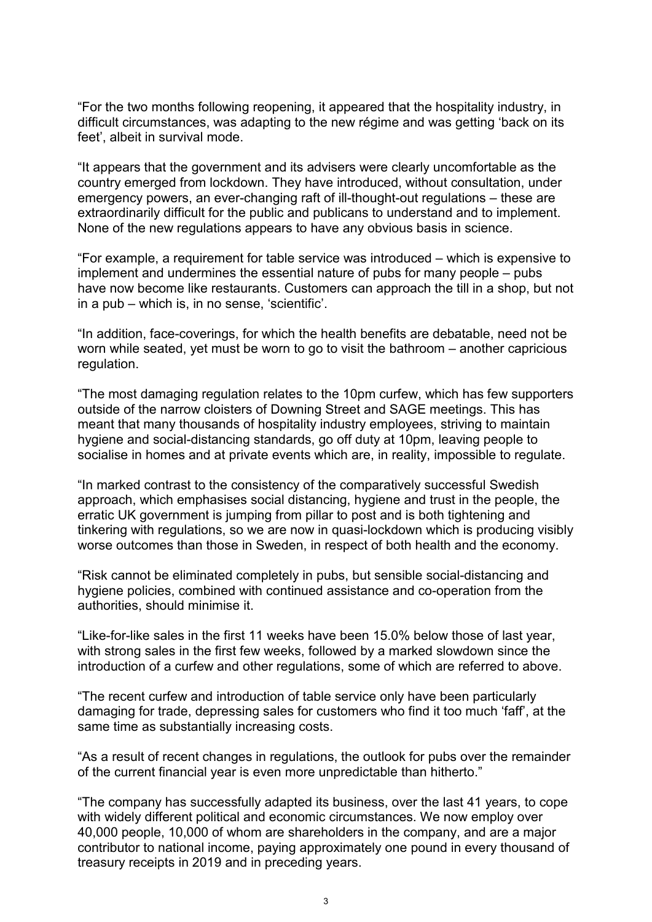"For the two months following reopening, it appeared that the hospitality industry, in difficult circumstances, was adapting to the new régime and was getting 'back on its feet', albeit in survival mode.

"It appears that the government and its advisers were clearly uncomfortable as the country emerged from lockdown. They have introduced, without consultation, under emergency powers, an ever-changing raft of ill-thought-out regulations – these are extraordinarily difficult for the public and publicans to understand and to implement. None of the new regulations appears to have any obvious basis in science.

"For example, a requirement for table service was introduced – which is expensive to implement and undermines the essential nature of pubs for many people – pubs have now become like restaurants. Customers can approach the till in a shop, but not in a pub – which is, in no sense, 'scientific'.

"In addition, face-coverings, for which the health benefits are debatable, need not be worn while seated, yet must be worn to go to visit the bathroom – another capricious regulation.

"The most damaging regulation relates to the 10pm curfew, which has few supporters outside of the narrow cloisters of Downing Street and SAGE meetings. This has meant that many thousands of hospitality industry employees, striving to maintain hygiene and social-distancing standards, go off duty at 10pm, leaving people to socialise in homes and at private events which are, in reality, impossible to regulate.

"In marked contrast to the consistency of the comparatively successful Swedish approach, which emphasises social distancing, hygiene and trust in the people, the erratic UK government is jumping from pillar to post and is both tightening and tinkering with regulations, so we are now in quasi-lockdown which is producing visibly worse outcomes than those in Sweden, in respect of both health and the economy.

"Risk cannot be eliminated completely in pubs, but sensible social-distancing and hygiene policies, combined with continued assistance and co-operation from the authorities, should minimise it.

"Like-for-like sales in the first 11 weeks have been 15.0% below those of last year, with strong sales in the first few weeks, followed by a marked slowdown since the introduction of a curfew and other regulations, some of which are referred to above.

"The recent curfew and introduction of table service only have been particularly damaging for trade, depressing sales for customers who find it too much 'faff', at the same time as substantially increasing costs.

"As a result of recent changes in regulations, the outlook for pubs over the remainder of the current financial year is even more unpredictable than hitherto."

"The company has successfully adapted its business, over the last 41 years, to cope with widely different political and economic circumstances. We now employ over 40,000 people, 10,000 of whom are shareholders in the company, and are a major contributor to national income, paying approximately one pound in every thousand of treasury receipts in 2019 and in preceding years.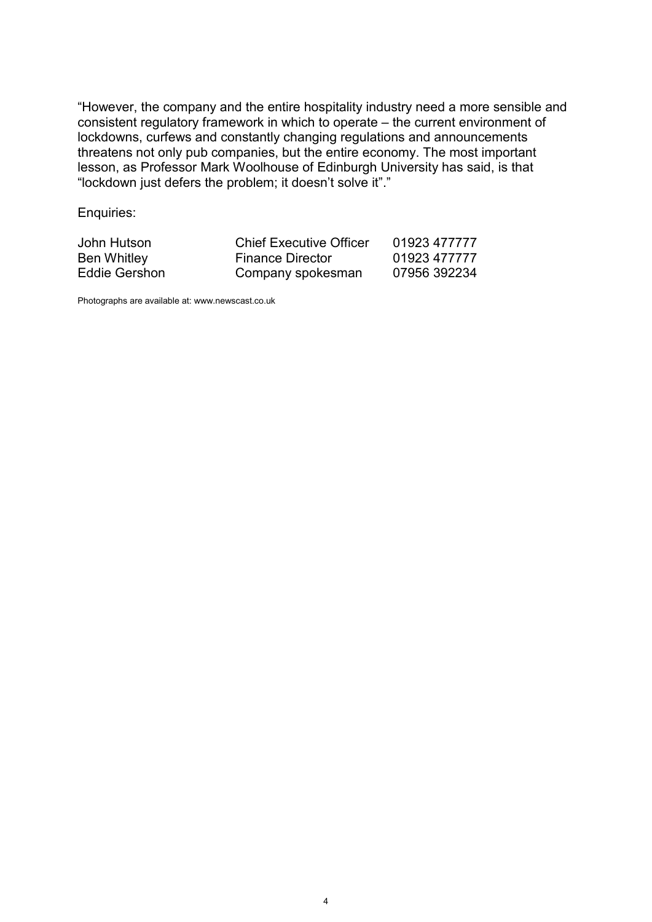"However, the company and the entire hospitality industry need a more sensible and consistent regulatory framework in which to operate – the current environment of lockdowns, curfews and constantly changing regulations and announcements threatens not only pub companies, but the entire economy. The most important lesson, as Professor Mark Woolhouse of Edinburgh University has said, is that "lockdown just defers the problem; it doesn't solve it"."

Enquiries:

| John Hutson   | <b>Chief Executive Officer</b> | 01923 477777 |
|---------------|--------------------------------|--------------|
| Ben Whitley   | <b>Finance Director</b>        | 01923 477777 |
| Eddie Gershon | Company spokesman              | 07956 392234 |

Photographs are available at: www.newscast.co.uk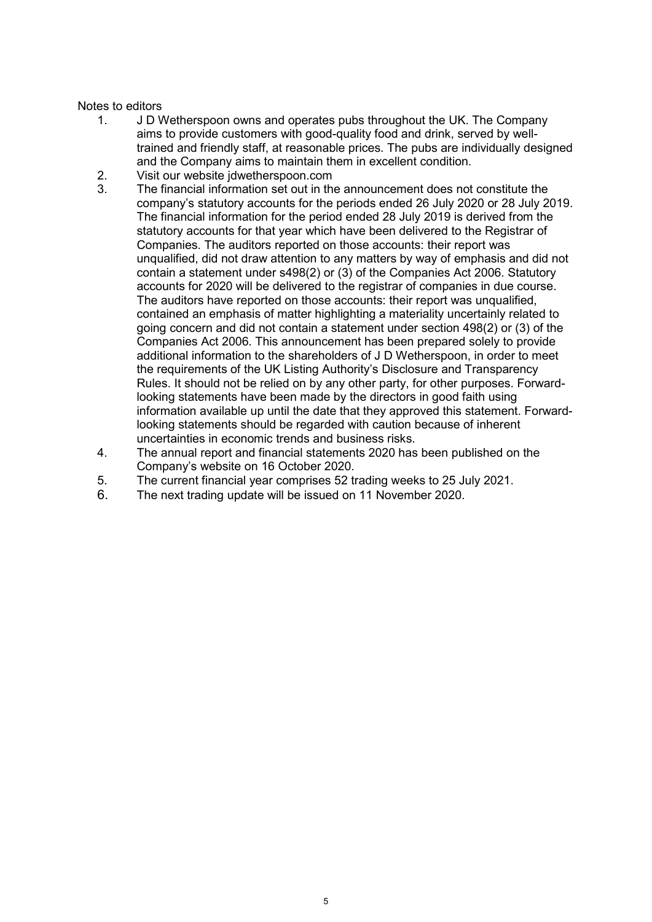## Notes to editors

- 1. J D Wetherspoon owns and operates pubs throughout the UK. The Company aims to provide customers with good-quality food and drink, served by welltrained and friendly staff, at reasonable prices. The pubs are individually designed and the Company aims to maintain them in excellent condition.
- 2. Visit our website jdwetherspoon.com<br>3. The financial information set out in the
- The financial information set out in the announcement does not constitute the company's statutory accounts for the periods ended 26 July 2020 or 28 July 2019. The financial information for the period ended 28 July 2019 is derived from the statutory accounts for that year which have been delivered to the Registrar of Companies. The auditors reported on those accounts: their report was unqualified, did not draw attention to any matters by way of emphasis and did not contain a statement under s498(2) or (3) of the Companies Act 2006. Statutory accounts for 2020 will be delivered to the registrar of companies in due course. The auditors have reported on those accounts: their report was unqualified, contained an emphasis of matter highlighting a materiality uncertainly related to going concern and did not contain a statement under section 498(2) or (3) of the Companies Act 2006. This announcement has been prepared solely to provide additional information to the shareholders of J D Wetherspoon, in order to meet the requirements of the UK Listing Authority's Disclosure and Transparency Rules. It should not be relied on by any other party, for other purposes. Forwardlooking statements have been made by the directors in good faith using information available up until the date that they approved this statement. Forwardlooking statements should be regarded with caution because of inherent uncertainties in economic trends and business risks.
- 4. The annual report and financial statements 2020 has been published on the Company's website on 16 October 2020.
- 5. The current financial year comprises 52 trading weeks to 25 July 2021.
- 6. The next trading update will be issued on 11 November 2020.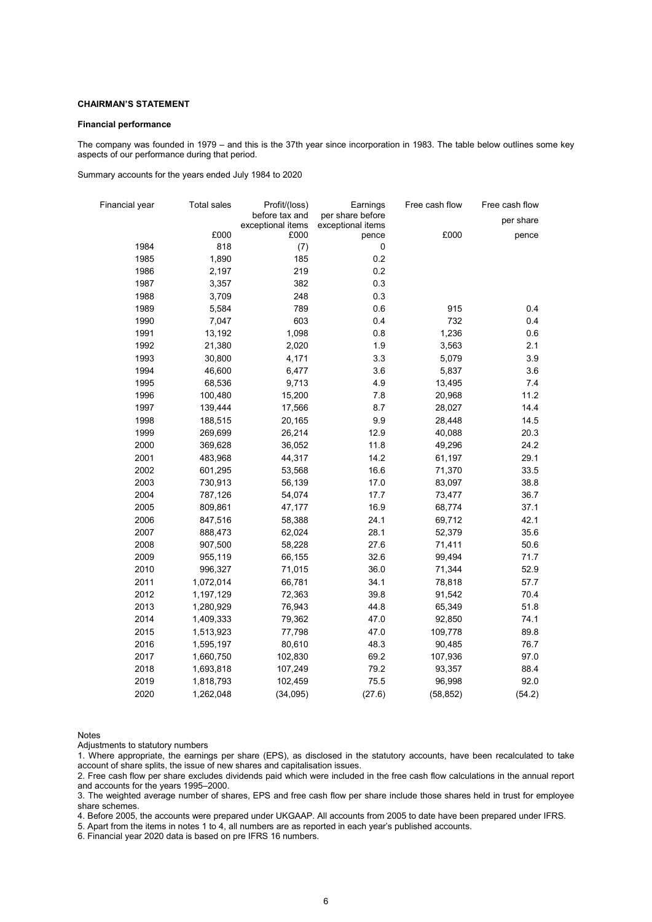### **CHAIRMAN'S STATEMENT**

#### **Financial performance**

The company was founded in 1979 – and this is the 37th year since incorporation in 1983. The table below outlines some key aspects of our performance during that period.

Summary accounts for the years ended July 1984 to 2020

| Financial year | <b>Total sales</b> | Profit/(loss)                       | Earnings                              | Free cash flow | Free cash flow |
|----------------|--------------------|-------------------------------------|---------------------------------------|----------------|----------------|
|                |                    | before tax and<br>exceptional items | per share before<br>exceptional items |                | per share      |
|                | £000               | £000                                | pence                                 | £000           | pence          |
| 1984           | 818                | (7)                                 | $\pmb{0}$                             |                |                |
| 1985           | 1,890              | 185                                 | 0.2                                   |                |                |
| 1986           | 2,197              | 219                                 | 0.2                                   |                |                |
| 1987           | 3,357              | 382                                 | 0.3                                   |                |                |
| 1988           | 3,709              | 248                                 | 0.3                                   |                |                |
| 1989           | 5,584              | 789                                 | 0.6                                   | 915            | 0.4            |
| 1990           | 7,047              | 603                                 | 0.4                                   | 732            | 0.4            |
| 1991           | 13,192             | 1,098                               | 0.8                                   | 1,236          | 0.6            |
| 1992           | 21,380             | 2,020                               | 1.9                                   | 3,563          | 2.1            |
| 1993           | 30,800             | 4,171                               | 3.3                                   | 5,079          | 3.9            |
| 1994           | 46,600             | 6,477                               | 3.6                                   | 5,837          | 3.6            |
| 1995           | 68,536             | 9,713                               | 4.9                                   | 13,495         | 7.4            |
| 1996           | 100,480            | 15,200                              | 7.8                                   | 20,968         | 11.2           |
| 1997           | 139,444            | 17,566                              | 8.7                                   | 28,027         | 14.4           |
| 1998           | 188,515            | 20,165                              | 9.9                                   | 28,448         | 14.5           |
| 1999           | 269,699            | 26,214                              | 12.9                                  | 40,088         | 20.3           |
| 2000           | 369,628            | 36,052                              | 11.8                                  | 49,296         | 24.2           |
| 2001           | 483,968            | 44,317                              | 14.2                                  | 61,197         | 29.1           |
| 2002           | 601,295            | 53,568                              | 16.6                                  | 71,370         | 33.5           |
| 2003           | 730,913            | 56,139                              | 17.0                                  | 83,097         | 38.8           |
| 2004           | 787,126            | 54,074                              | 17.7                                  | 73,477         | 36.7           |
| 2005           | 809,861            | 47,177                              | 16.9                                  | 68,774         | 37.1           |
| 2006           | 847,516            | 58,388                              | 24.1                                  | 69,712         | 42.1           |
| 2007           | 888,473            | 62,024                              | 28.1                                  | 52,379         | 35.6           |
| 2008           | 907,500            | 58,228                              | 27.6                                  | 71,411         | 50.6           |
| 2009           | 955,119            | 66,155                              | 32.6                                  | 99,494         | 71.7           |
| 2010           | 996,327            | 71,015                              | 36.0                                  | 71,344         | 52.9           |
| 2011           | 1,072,014          | 66,781                              | 34.1                                  | 78,818         | 57.7           |
| 2012           | 1,197,129          | 72,363                              | 39.8                                  | 91,542         | 70.4           |
| 2013           | 1,280,929          | 76,943                              | 44.8                                  | 65,349         | 51.8           |
| 2014           | 1,409,333          | 79,362                              | 47.0                                  | 92,850         | 74.1           |
| 2015           | 1,513,923          | 77,798                              | 47.0                                  | 109,778        | 89.8           |
| 2016           | 1,595,197          | 80,610                              | 48.3                                  | 90,485         | 76.7           |
| 2017           | 1,660,750          | 102,830                             | 69.2                                  | 107,936        | 97.0           |
| 2018           | 1,693,818          | 107,249                             | 79.2                                  | 93,357         | 88.4           |
| 2019           | 1,818,793          | 102,459                             | 75.5                                  | 96,998         | 92.0           |
| 2020           | 1,262,048          | (34,095)                            | (27.6)                                | (58, 852)      | (54.2)         |

Notes

Adjustments to statutory numbers

1. Where appropriate, the earnings per share (EPS), as disclosed in the statutory accounts, have been recalculated to take account of share splits, the issue of new shares and capitalisation issues.

2. Free cash flow per share excludes dividends paid which were included in the free cash flow calculations in the annual report and accounts for the years 1995–2000.

3. The weighted average number of shares, EPS and free cash flow per share include those shares held in trust for employee share schemes.

4. Before 2005, the accounts were prepared under UKGAAP. All accounts from 2005 to date have been prepared under IFRS.

5. Apart from the items in notes 1 to 4, all numbers are as reported in each year's published accounts.

6. Financial year 2020 data is based on pre IFRS 16 numbers.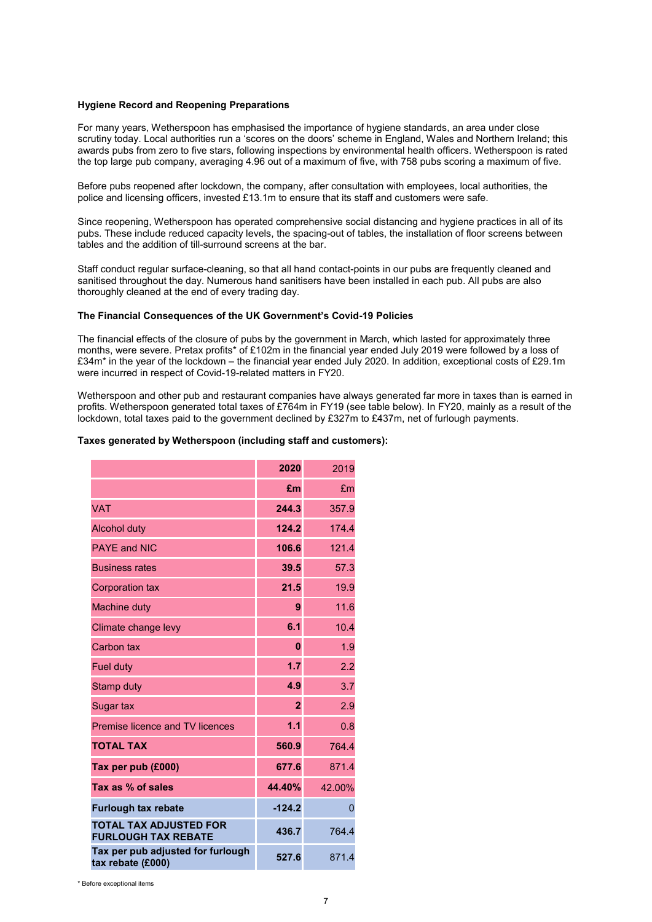### **Hygiene Record and Reopening Preparations**

For many years, Wetherspoon has emphasised the importance of hygiene standards, an area under close scrutiny today. Local authorities run a 'scores on the doors' scheme in England, Wales and Northern Ireland; this awards pubs from zero to five stars, following inspections by environmental health officers. Wetherspoon is rated the top large pub company, averaging 4.96 out of a maximum of five, with 758 pubs scoring a maximum of five.

Before pubs reopened after lockdown, the company, after consultation with employees, local authorities, the police and licensing officers, invested £13.1m to ensure that its staff and customers were safe.

Since reopening, Wetherspoon has operated comprehensive social distancing and hygiene practices in all of its pubs. These include reduced capacity levels, the spacing-out of tables, the installation of floor screens between tables and the addition of till-surround screens at the bar.

Staff conduct regular surface-cleaning, so that all hand contact-points in our pubs are frequently cleaned and sanitised throughout the day. Numerous hand sanitisers have been installed in each pub. All pubs are also thoroughly cleaned at the end of every trading day.

### **The Financial Consequences of the UK Government's Covid-19 Policies**

The financial effects of the closure of pubs by the government in March, which lasted for approximately three months, were severe. Pretax profits\* of £102m in the financial year ended July 2019 were followed by a loss of £34m\* in the year of the lockdown – the financial year ended July 2020. In addition, exceptional costs of £29.1m were incurred in respect of Covid-19-related matters in FY20.

Wetherspoon and other pub and restaurant companies have always generated far more in taxes than is earned in profits. Wetherspoon generated total taxes of £764m in FY19 (see table below). In FY20, mainly as a result of the lockdown, total taxes paid to the government declined by £327m to £437m, net of furlough payments.

### **Taxes generated by Wetherspoon (including staff and customers):**

|                                                             | 2020           | 2019   |
|-------------------------------------------------------------|----------------|--------|
|                                                             | £m             | £m     |
| <b>VAT</b>                                                  | 244.3          | 357.9  |
| <b>Alcohol duty</b>                                         | 124.2          | 174.4  |
| <b>PAYF and NIC</b>                                         | 106.6          | 121.4  |
| <b>Business rates</b>                                       | 39.5           | 57.3   |
| <b>Corporation tax</b>                                      | 21.5           | 19.9   |
| <b>Machine duty</b>                                         | 9              | 11.6   |
| Climate change levy                                         | 6.1            | 10.4   |
| Carbon tax                                                  | $\bf{0}$       | 1.9    |
| <b>Fuel duty</b>                                            | 1.7            | 2.2    |
| Stamp duty                                                  | 4.9            | 3.7    |
| Sugar tax                                                   | $\overline{2}$ | 2.9    |
| Premise licence and TV licences                             | 1.1            | 0.8    |
| <b>TOTAL TAX</b>                                            | 560.9          | 764.4  |
| Tax per pub (£000)                                          | 677.6          | 871.4  |
| Tax as % of sales                                           | 44.40%         | 42.00% |
| <b>Furlough tax rebate</b>                                  | $-124.2$       | 0      |
| <b>TOTAL TAX ADJUSTED FOR</b><br><b>FURLOUGH TAX REBATE</b> | 436.7          | 764.4  |
| Tax per pub adjusted for furlough<br>tax rebate (£000)      | 527.6          | 871.4  |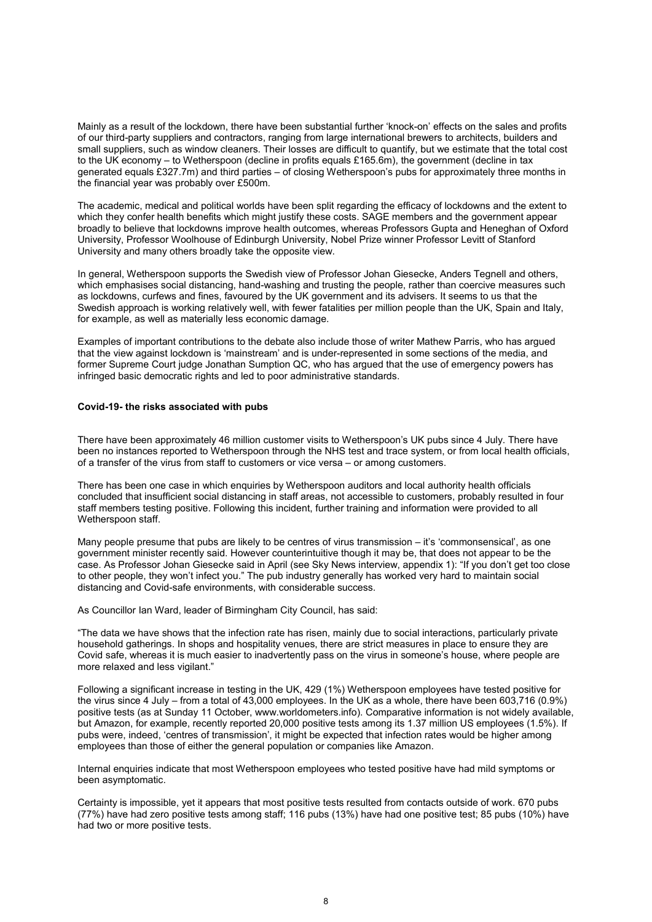Mainly as a result of the lockdown, there have been substantial further 'knock-on' effects on the sales and profits of our third-party suppliers and contractors, ranging from large international brewers to architects, builders and small suppliers, such as window cleaners. Their losses are difficult to quantify, but we estimate that the total cost to the UK economy – to Wetherspoon (decline in profits equals £165.6m), the government (decline in tax generated equals £327.7m) and third parties – of closing Wetherspoon's pubs for approximately three months in the financial year was probably over £500m.

The academic, medical and political worlds have been split regarding the efficacy of lockdowns and the extent to which they confer health benefits which might justify these costs. SAGE members and the government appear broadly to believe that lockdowns improve health outcomes, whereas Professors Gupta and Heneghan of Oxford University, Professor Woolhouse of Edinburgh University, Nobel Prize winner Professor Levitt of Stanford University and many others broadly take the opposite view.

In general, Wetherspoon supports the Swedish view of Professor Johan Giesecke, Anders Tegnell and others, which emphasises social distancing, hand-washing and trusting the people, rather than coercive measures such as lockdowns, curfews and fines, favoured by the UK government and its advisers. It seems to us that the Swedish approach is working relatively well, with fewer fatalities per million people than the UK, Spain and Italy, for example, as well as materially less economic damage.

Examples of important contributions to the debate also include those of writer Mathew Parris, who has argued that the view against lockdown is 'mainstream' and is under-represented in some sections of the media, and former Supreme Court judge Jonathan Sumption QC, who has argued that the use of emergency powers has infringed basic democratic rights and led to poor administrative standards.

### **Covid-19- the risks associated with pubs**

There have been approximately 46 million customer visits to Wetherspoon's UK pubs since 4 July. There have been no instances reported to Wetherspoon through the NHS test and trace system, or from local health officials, of a transfer of the virus from staff to customers or vice versa – or among customers.

There has been one case in which enquiries by Wetherspoon auditors and local authority health officials concluded that insufficient social distancing in staff areas, not accessible to customers, probably resulted in four staff members testing positive. Following this incident, further training and information were provided to all Wetherspoon staff.

Many people presume that pubs are likely to be centres of virus transmission – it's 'commonsensical', as one government minister recently said. However counterintuitive though it may be, that does not appear to be the case. As Professor Johan Giesecke said in April (see Sky News interview, appendix 1): "If you don't get too close to other people, they won't infect you." The pub industry generally has worked very hard to maintain social distancing and Covid-safe environments, with considerable success.

As Councillor Ian Ward, leader of Birmingham City Council, has said:

"The data we have shows that the infection rate has risen, mainly due to social interactions, particularly private household gatherings. In shops and hospitality venues, there are strict measures in place to ensure they are Covid safe, whereas it is much easier to inadvertently pass on the virus in someone's house, where people are more relaxed and less vigilant."

Following a significant increase in testing in the UK, 429 (1%) Wetherspoon employees have tested positive for the virus since 4 July – from a total of 43,000 employees. In the UK as a whole, there have been 603,716 (0.9%) positive tests (as at Sunday 11 October, www.worldometers.info). Comparative information is not widely available, but Amazon, for example, recently reported 20,000 positive tests among its 1.37 million US employees (1.5%). If pubs were, indeed, 'centres of transmission', it might be expected that infection rates would be higher among employees than those of either the general population or companies like Amazon.

Internal enquiries indicate that most Wetherspoon employees who tested positive have had mild symptoms or been asymptomatic.

Certainty is impossible, yet it appears that most positive tests resulted from contacts outside of work. 670 pubs (77%) have had zero positive tests among staff; 116 pubs (13%) have had one positive test; 85 pubs (10%) have had two or more positive tests.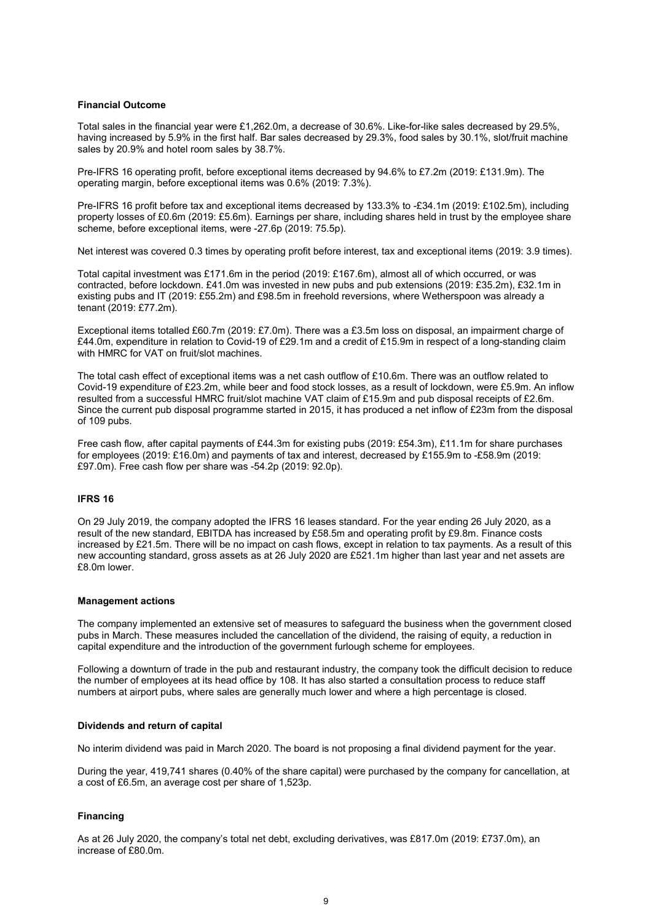### **Financial Outcome**

Total sales in the financial year were £1,262.0m, a decrease of 30.6%. Like-for-like sales decreased by 29.5%, having increased by 5.9% in the first half. Bar sales decreased by 29.3%, food sales by 30.1%, slot/fruit machine sales by 20.9% and hotel room sales by 38.7%.

Pre-IFRS 16 operating profit, before exceptional items decreased by 94.6% to £7.2m (2019: £131.9m). The operating margin, before exceptional items was 0.6% (2019: 7.3%).

Pre-IFRS 16 profit before tax and exceptional items decreased by 133.3% to -£34.1m (2019: £102.5m), including property losses of £0.6m (2019: £5.6m). Earnings per share, including shares held in trust by the employee share scheme, before exceptional items, were -27.6p (2019: 75.5p).

Net interest was covered 0.3 times by operating profit before interest, tax and exceptional items (2019: 3.9 times).

Total capital investment was £171.6m in the period (2019: £167.6m), almost all of which occurred, or was contracted, before lockdown. £41.0m was invested in new pubs and pub extensions (2019: £35.2m), £32.1m in existing pubs and IT (2019: £55.2m) and £98.5m in freehold reversions, where Wetherspoon was already a tenant (2019: £77.2m).

Exceptional items totalled £60.7m (2019: £7.0m). There was a £3.5m loss on disposal, an impairment charge of £44.0m, expenditure in relation to Covid-19 of £29.1m and a credit of £15.9m in respect of a long-standing claim with HMRC for VAT on fruit/slot machines.

The total cash effect of exceptional items was a net cash outflow of £10.6m. There was an outflow related to Covid-19 expenditure of £23.2m, while beer and food stock losses, as a result of lockdown, were £5.9m. An inflow resulted from a successful HMRC fruit/slot machine VAT claim of £15.9m and pub disposal receipts of £2.6m. Since the current pub disposal programme started in 2015, it has produced a net inflow of £23m from the disposal of 109 pubs.

Free cash flow, after capital payments of £44.3m for existing pubs (2019: £54.3m), £11.1m for share purchases for employees (2019: £16.0m) and payments of tax and interest, decreased by £155.9m to -£58.9m (2019: £97.0m). Free cash flow per share was -54.2p (2019: 92.0p).

### **IFRS 16**

On 29 July 2019, the company adopted the IFRS 16 leases standard. For the year ending 26 July 2020, as a result of the new standard, EBITDA has increased by £58.5m and operating profit by £9.8m. Finance costs increased by £21.5m. There will be no impact on cash flows, except in relation to tax payments. As a result of this new accounting standard, gross assets as at 26 July 2020 are £521.1m higher than last year and net assets are £8.0m lower.

#### **Management actions**

The company implemented an extensive set of measures to safeguard the business when the government closed pubs in March. These measures included the cancellation of the dividend, the raising of equity, a reduction in capital expenditure and the introduction of the government furlough scheme for employees.

Following a downturn of trade in the pub and restaurant industry, the company took the difficult decision to reduce the number of employees at its head office by 108. It has also started a consultation process to reduce staff numbers at airport pubs, where sales are generally much lower and where a high percentage is closed.

### **Dividends and return of capital**

No interim dividend was paid in March 2020. The board is not proposing a final dividend payment for the year.

During the year, 419,741 shares (0.40% of the share capital) were purchased by the company for cancellation, at a cost of £6.5m, an average cost per share of 1,523p.

### **Financing**

As at 26 July 2020, the company's total net debt, excluding derivatives, was £817.0m (2019: £737.0m), an increase of £80.0m.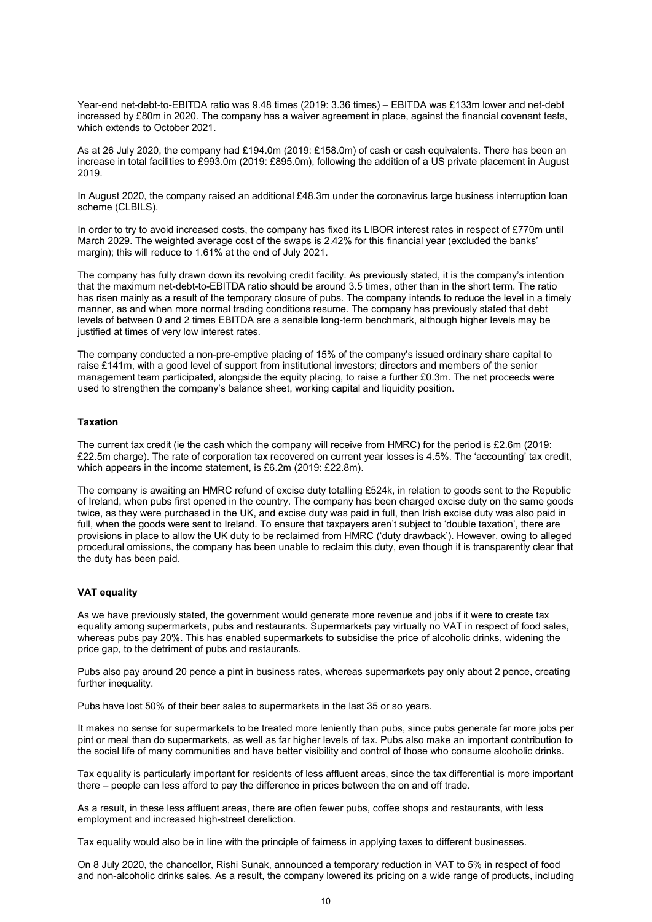Year-end net-debt-to-EBITDA ratio was 9.48 times (2019: 3.36 times) – EBITDA was £133m lower and net-debt increased by £80m in 2020. The company has a waiver agreement in place, against the financial covenant tests, which extends to October 2021.

As at 26 July 2020, the company had £194.0m (2019: £158.0m) of cash or cash equivalents. There has been an increase in total facilities to £993.0m (2019: £895.0m), following the addition of a US private placement in August 2019.

In August 2020, the company raised an additional £48.3m under the coronavirus large business interruption loan scheme (CLBILS).

In order to try to avoid increased costs, the company has fixed its LIBOR interest rates in respect of £770m until March 2029. The weighted average cost of the swaps is 2.42% for this financial year (excluded the banks' margin); this will reduce to 1.61% at the end of July 2021.

The company has fully drawn down its revolving credit facility. As previously stated, it is the company's intention that the maximum net-debt-to-EBITDA ratio should be around 3.5 times, other than in the short term. The ratio has risen mainly as a result of the temporary closure of pubs. The company intends to reduce the level in a timely manner, as and when more normal trading conditions resume. The company has previously stated that debt levels of between 0 and 2 times EBITDA are a sensible long-term benchmark, although higher levels may be justified at times of very low interest rates.

The company conducted a non-pre-emptive placing of 15% of the company's issued ordinary share capital to raise £141m, with a good level of support from institutional investors; directors and members of the senior management team participated, alongside the equity placing, to raise a further £0.3m. The net proceeds were used to strengthen the company's balance sheet, working capital and liquidity position.

### **Taxation**

The current tax credit (ie the cash which the company will receive from HMRC) for the period is £2.6m (2019: £22.5m charge). The rate of corporation tax recovered on current year losses is 4.5%. The 'accounting' tax credit, which appears in the income statement, is £6.2m (2019: £22.8m).

The company is awaiting an HMRC refund of excise duty totalling £524k, in relation to goods sent to the Republic of Ireland, when pubs first opened in the country. The company has been charged excise duty on the same goods twice, as they were purchased in the UK, and excise duty was paid in full, then Irish excise duty was also paid in full, when the goods were sent to Ireland. To ensure that taxpayers aren't subject to 'double taxation', there are provisions in place to allow the UK duty to be reclaimed from HMRC ('duty drawback'). However, owing to alleged procedural omissions, the company has been unable to reclaim this duty, even though it is transparently clear that the duty has been paid.

### **VAT equality**

As we have previously stated, the government would generate more revenue and jobs if it were to create tax equality among supermarkets, pubs and restaurants. Supermarkets pay virtually no VAT in respect of food sales, whereas pubs pay 20%. This has enabled supermarkets to subsidise the price of alcoholic drinks, widening the price gap, to the detriment of pubs and restaurants.

Pubs also pay around 20 pence a pint in business rates, whereas supermarkets pay only about 2 pence, creating further inequality.

Pubs have lost 50% of their beer sales to supermarkets in the last 35 or so years.

It makes no sense for supermarkets to be treated more leniently than pubs, since pubs generate far more jobs per pint or meal than do supermarkets, as well as far higher levels of tax. Pubs also make an important contribution to the social life of many communities and have better visibility and control of those who consume alcoholic drinks.

Tax equality is particularly important for residents of less affluent areas, since the tax differential is more important there – people can less afford to pay the difference in prices between the on and off trade.

As a result, in these less affluent areas, there are often fewer pubs, coffee shops and restaurants, with less employment and increased high-street dereliction.

Tax equality would also be in line with the principle of fairness in applying taxes to different businesses.

On 8 July 2020, the chancellor, Rishi Sunak, announced a temporary reduction in VAT to 5% in respect of food and non-alcoholic drinks sales. As a result, the company lowered its pricing on a wide range of products, including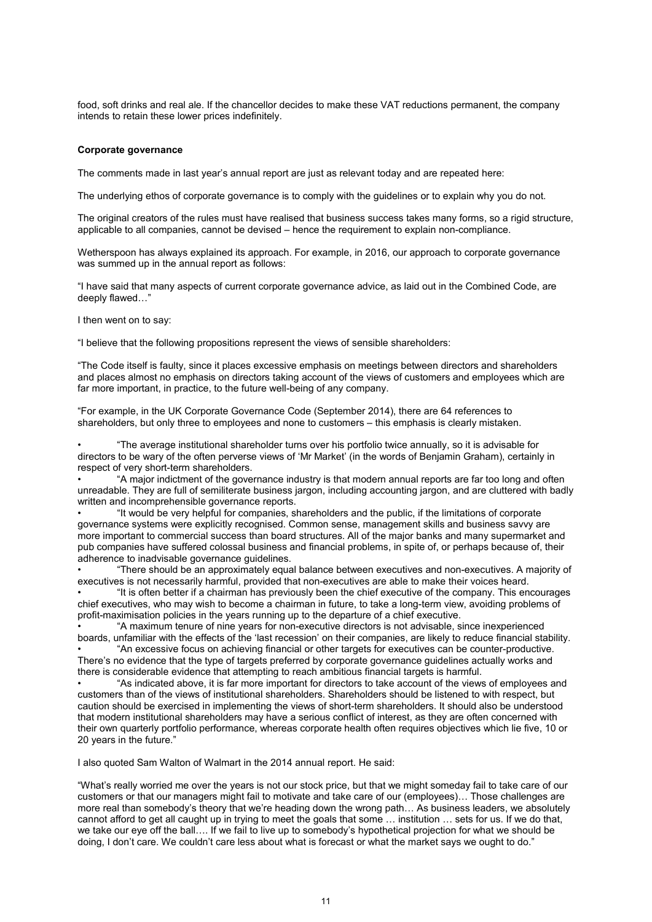food, soft drinks and real ale. If the chancellor decides to make these VAT reductions permanent, the company intends to retain these lower prices indefinitely.

### **Corporate governance**

The comments made in last year's annual report are just as relevant today and are repeated here:

The underlying ethos of corporate governance is to comply with the guidelines or to explain why you do not.

The original creators of the rules must have realised that business success takes many forms, so a rigid structure, applicable to all companies, cannot be devised – hence the requirement to explain non-compliance.

Wetherspoon has always explained its approach. For example, in 2016, our approach to corporate governance was summed up in the annual report as follows:

"I have said that many aspects of current corporate governance advice, as laid out in the Combined Code, are deeply flawed…"

I then went on to say:

"I believe that the following propositions represent the views of sensible shareholders:

"The Code itself is faulty, since it places excessive emphasis on meetings between directors and shareholders and places almost no emphasis on directors taking account of the views of customers and employees which are far more important, in practice, to the future well-being of any company.

"For example, in the UK Corporate Governance Code (September 2014), there are 64 references to shareholders, but only three to employees and none to customers – this emphasis is clearly mistaken.

• "The average institutional shareholder turns over his portfolio twice annually, so it is advisable for directors to be wary of the often perverse views of 'Mr Market' (in the words of Benjamin Graham), certainly in respect of very short-term shareholders.

• "A major indictment of the governance industry is that modern annual reports are far too long and often unreadable. They are full of semiliterate business jargon, including accounting jargon, and are cluttered with badly written and incomprehensible governance reports.

• "It would be very helpful for companies, shareholders and the public, if the limitations of corporate governance systems were explicitly recognised. Common sense, management skills and business savvy are more important to commercial success than board structures. All of the major banks and many supermarket and pub companies have suffered colossal business and financial problems, in spite of, or perhaps because of, their adherence to inadvisable governance guidelines.

• "There should be an approximately equal balance between executives and non-executives. A majority of executives is not necessarily harmful, provided that non-executives are able to make their voices heard.

• "It is often better if a chairman has previously been the chief executive of the company. This encourages chief executives, who may wish to become a chairman in future, to take a long-term view, avoiding problems of profit-maximisation policies in the years running up to the departure of a chief executive.

• "A maximum tenure of nine years for non-executive directors is not advisable, since inexperienced boards, unfamiliar with the effects of the 'last recession' on their companies, are likely to reduce financial stability.

• "An excessive focus on achieving financial or other targets for executives can be counter-productive. There's no evidence that the type of targets preferred by corporate governance guidelines actually works and there is considerable evidence that attempting to reach ambitious financial targets is harmful.

• "As indicated above, it is far more important for directors to take account of the views of employees and customers than of the views of institutional shareholders. Shareholders should be listened to with respect, but caution should be exercised in implementing the views of short-term shareholders. It should also be understood that modern institutional shareholders may have a serious conflict of interest, as they are often concerned with their own quarterly portfolio performance, whereas corporate health often requires objectives which lie five, 10 or 20 years in the future."

I also quoted Sam Walton of Walmart in the 2014 annual report. He said:

"What's really worried me over the years is not our stock price, but that we might someday fail to take care of our customers or that our managers might fail to motivate and take care of our (employees)… Those challenges are more real than somebody's theory that we're heading down the wrong path… As business leaders, we absolutely cannot afford to get all caught up in trying to meet the goals that some … institution … sets for us. If we do that, we take our eye off the ball…. If we fail to live up to somebody's hypothetical projection for what we should be doing, I don't care. We couldn't care less about what is forecast or what the market says we ought to do."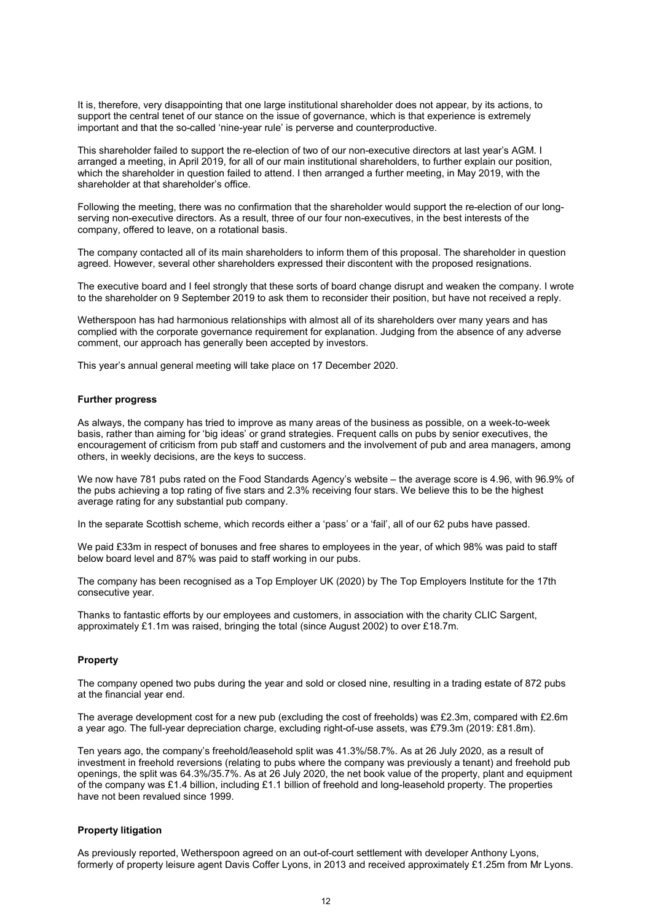It is, therefore, very disappointing that one large institutional shareholder does not appear, by its actions, to support the central tenet of our stance on the issue of governance, which is that experience is extremely important and that the so-called 'nine-year rule' is perverse and counterproductive.

This shareholder failed to support the re-election of two of our non-executive directors at last year's AGM. I arranged a meeting, in April 2019, for all of our main institutional shareholders, to further explain our position, which the shareholder in question failed to attend. I then arranged a further meeting, in May 2019, with the shareholder at that shareholder's office.

Following the meeting, there was no confirmation that the shareholder would support the re-election of our longserving non-executive directors. As a result, three of our four non-executives, in the best interests of the company, offered to leave, on a rotational basis.

The company contacted all of its main shareholders to inform them of this proposal. The shareholder in question agreed. However, several other shareholders expressed their discontent with the proposed resignations.

The executive board and I feel strongly that these sorts of board change disrupt and weaken the company. I wrote to the shareholder on 9 September 2019 to ask them to reconsider their position, but have not received a reply.

Wetherspoon has had harmonious relationships with almost all of its shareholders over many years and has complied with the corporate governance requirement for explanation. Judging from the absence of any adverse comment, our approach has generally been accepted by investors.

This year's annual general meeting will take place on 17 December 2020.

### **Further progress**

As always, the company has tried to improve as many areas of the business as possible, on a week-to-week basis, rather than aiming for 'big ideas' or grand strategies. Frequent calls on pubs by senior executives, the encouragement of criticism from pub staff and customers and the involvement of pub and area managers, among others, in weekly decisions, are the keys to success.

We now have 781 pubs rated on the Food Standards Agency's website – the average score is 4.96, with 96.9% of the pubs achieving a top rating of five stars and 2.3% receiving four stars. We believe this to be the highest average rating for any substantial pub company.

In the separate Scottish scheme, which records either a 'pass' or a 'fail', all of our 62 pubs have passed.

We paid £33m in respect of bonuses and free shares to employees in the year, of which 98% was paid to staff below board level and 87% was paid to staff working in our pubs.

The company has been recognised as a Top Employer UK (2020) by The Top Employers Institute for the 17th consecutive year.

Thanks to fantastic efforts by our employees and customers, in association with the charity CLIC Sargent, approximately £1.1m was raised, bringing the total (since August 2002) to over £18.7m.

### **Property**

The company opened two pubs during the year and sold or closed nine, resulting in a trading estate of 872 pubs at the financial year end.

The average development cost for a new pub (excluding the cost of freeholds) was £2.3m, compared with £2.6m a year ago. The full-year depreciation charge, excluding right-of-use assets, was £79.3m (2019: £81.8m).

Ten years ago, the company's freehold/leasehold split was 41.3%/58.7%. As at 26 July 2020, as a result of investment in freehold reversions (relating to pubs where the company was previously a tenant) and freehold pub openings, the split was 64.3%/35.7%. As at 26 July 2020, the net book value of the property, plant and equipment of the company was £1.4 billion, including £1.1 billion of freehold and long-leasehold property. The properties have not been revalued since 1999.

### **Property litigation**

As previously reported, Wetherspoon agreed on an out-of-court settlement with developer Anthony Lyons, formerly of property leisure agent Davis Coffer Lyons, in 2013 and received approximately £1.25m from Mr Lyons.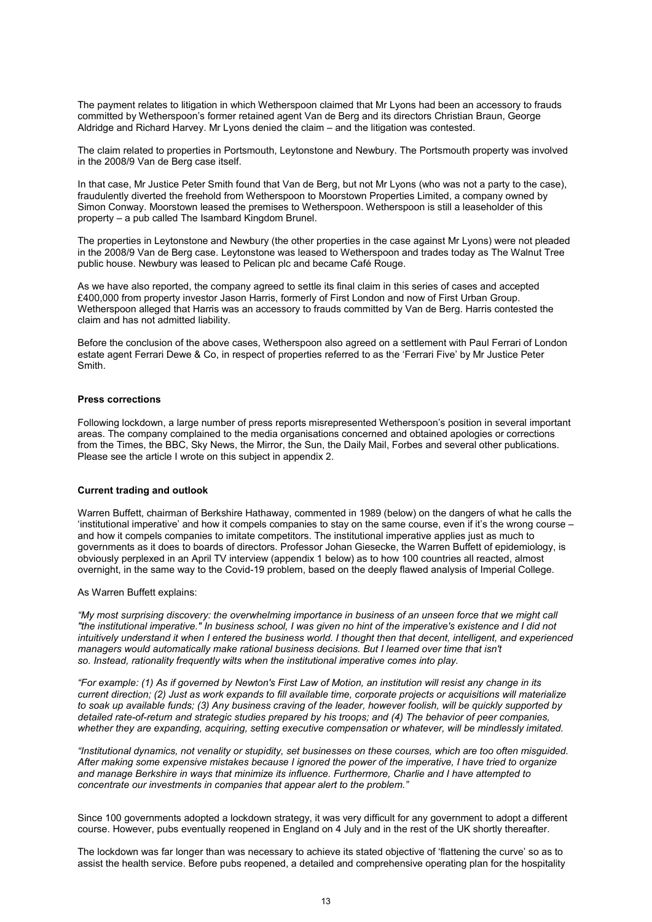The payment relates to litigation in which Wetherspoon claimed that Mr Lyons had been an accessory to frauds committed by Wetherspoon's former retained agent Van de Berg and its directors Christian Braun, George Aldridge and Richard Harvey. Mr Lyons denied the claim – and the litigation was contested.

The claim related to properties in Portsmouth, Leytonstone and Newbury. The Portsmouth property was involved in the 2008/9 Van de Berg case itself.

In that case, Mr Justice Peter Smith found that Van de Berg, but not Mr Lyons (who was not a party to the case), fraudulently diverted the freehold from Wetherspoon to Moorstown Properties Limited, a company owned by Simon Conway. Moorstown leased the premises to Wetherspoon. Wetherspoon is still a leaseholder of this property – a pub called The Isambard Kingdom Brunel.

The properties in Leytonstone and Newbury (the other properties in the case against Mr Lyons) were not pleaded in the 2008/9 Van de Berg case. Leytonstone was leased to Wetherspoon and trades today as The Walnut Tree public house. Newbury was leased to Pelican plc and became Café Rouge.

As we have also reported, the company agreed to settle its final claim in this series of cases and accepted £400,000 from property investor Jason Harris, formerly of First London and now of First Urban Group. Wetherspoon alleged that Harris was an accessory to frauds committed by Van de Berg. Harris contested the claim and has not admitted liability.

Before the conclusion of the above cases, Wetherspoon also agreed on a settlement with Paul Ferrari of London estate agent Ferrari Dewe & Co, in respect of properties referred to as the 'Ferrari Five' by Mr Justice Peter Smith.

### **Press corrections**

Following lockdown, a large number of press reports misrepresented Wetherspoon's position in several important areas. The company complained to the media organisations concerned and obtained apologies or corrections from the Times, the BBC, Sky News, the Mirror, the Sun, the Daily Mail, Forbes and several other publications. Please see the article I wrote on this subject in appendix 2.

#### **Current trading and outlook**

Warren Buffett, chairman of Berkshire Hathaway, commented in 1989 (below) on the dangers of what he calls the 'institutional imperative' and how it compels companies to stay on the same course, even if it's the wrong course – and how it compels companies to imitate competitors. The institutional imperative applies just as much to governments as it does to boards of directors. Professor Johan Giesecke, the Warren Buffett of epidemiology, is obviously perplexed in an April TV interview (appendix 1 below) as to how 100 countries all reacted, almost overnight, in the same way to the Covid-19 problem, based on the deeply flawed analysis of Imperial College.

### As Warren Buffett explains:

*"My most surprising discovery: the overwhelming importance in business of an unseen force that we might call "the institutional imperative." In business school, I was given no hint of the imperative's existence and I did not intuitively understand it when I entered the business world. I thought then that decent, intelligent, and experienced managers would automatically make rational business decisions. But I learned over time that isn't so. Instead, rationality frequently wilts when the institutional imperative comes into play.*

*"For example: (1) As if governed by Newton's First Law of Motion, an institution will resist any change in its current direction; (2) Just as work expands to fill available time, corporate projects or acquisitions will materialize to soak up available funds; (3) Any business craving of the leader, however foolish, will be quickly supported by detailed rate-of-return and strategic studies prepared by his troops; and (4) The behavior of peer companies, whether they are expanding, acquiring, setting executive compensation or whatever, will be mindlessly imitated.*

*"Institutional dynamics, not venality or stupidity, set businesses on these courses, which are too often misguided. After making some expensive mistakes because I ignored the power of the imperative, I have tried to organize and manage Berkshire in ways that minimize its influence. Furthermore, Charlie and I have attempted to concentrate our investments in companies that appear alert to the problem."*

Since 100 governments adopted a lockdown strategy, it was very difficult for any government to adopt a different course. However, pubs eventually reopened in England on 4 July and in the rest of the UK shortly thereafter.

The lockdown was far longer than was necessary to achieve its stated objective of 'flattening the curve' so as to assist the health service. Before pubs reopened, a detailed and comprehensive operating plan for the hospitality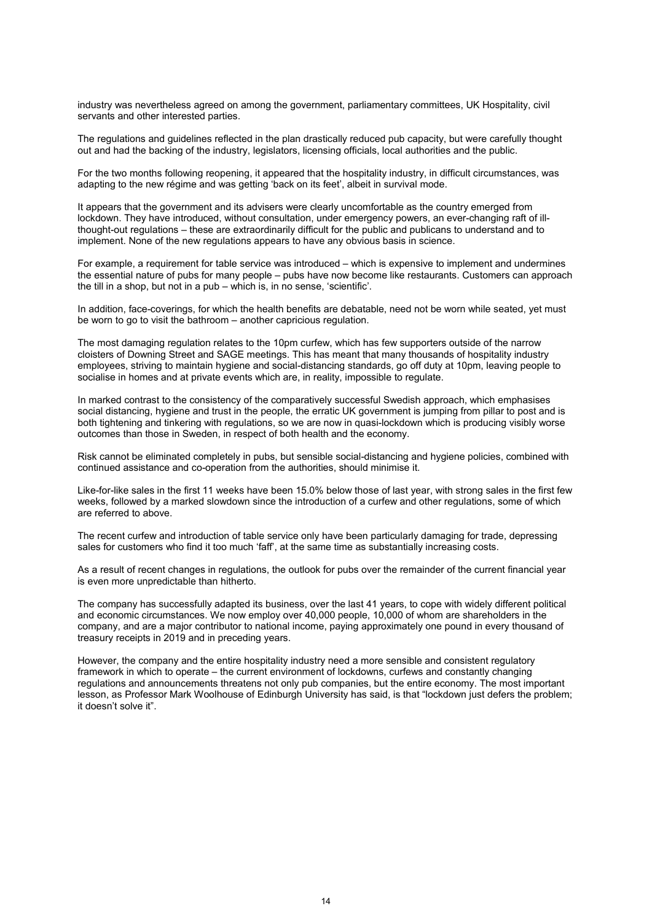industry was nevertheless agreed on among the government, parliamentary committees, UK Hospitality, civil servants and other interested parties.

The regulations and guidelines reflected in the plan drastically reduced pub capacity, but were carefully thought out and had the backing of the industry, legislators, licensing officials, local authorities and the public.

For the two months following reopening, it appeared that the hospitality industry, in difficult circumstances, was adapting to the new régime and was getting 'back on its feet', albeit in survival mode.

It appears that the government and its advisers were clearly uncomfortable as the country emerged from lockdown. They have introduced, without consultation, under emergency powers, an ever-changing raft of illthought-out regulations – these are extraordinarily difficult for the public and publicans to understand and to implement. None of the new regulations appears to have any obvious basis in science.

For example, a requirement for table service was introduced – which is expensive to implement and undermines the essential nature of pubs for many people – pubs have now become like restaurants. Customers can approach the till in a shop, but not in a pub – which is, in no sense, 'scientific'.

In addition, face-coverings, for which the health benefits are debatable, need not be worn while seated, yet must be worn to go to visit the bathroom – another capricious regulation.

The most damaging regulation relates to the 10pm curfew, which has few supporters outside of the narrow cloisters of Downing Street and SAGE meetings. This has meant that many thousands of hospitality industry employees, striving to maintain hygiene and social-distancing standards, go off duty at 10pm, leaving people to socialise in homes and at private events which are, in reality, impossible to regulate.

In marked contrast to the consistency of the comparatively successful Swedish approach, which emphasises social distancing, hygiene and trust in the people, the erratic UK government is jumping from pillar to post and is both tightening and tinkering with regulations, so we are now in quasi-lockdown which is producing visibly worse outcomes than those in Sweden, in respect of both health and the economy.

Risk cannot be eliminated completely in pubs, but sensible social-distancing and hygiene policies, combined with continued assistance and co-operation from the authorities, should minimise it.

Like-for-like sales in the first 11 weeks have been 15.0% below those of last year, with strong sales in the first few weeks, followed by a marked slowdown since the introduction of a curfew and other regulations, some of which are referred to above.

The recent curfew and introduction of table service only have been particularly damaging for trade, depressing sales for customers who find it too much 'faff', at the same time as substantially increasing costs.

As a result of recent changes in regulations, the outlook for pubs over the remainder of the current financial year is even more unpredictable than hitherto.

The company has successfully adapted its business, over the last 41 years, to cope with widely different political and economic circumstances. We now employ over 40,000 people, 10,000 of whom are shareholders in the company, and are a major contributor to national income, paying approximately one pound in every thousand of treasury receipts in 2019 and in preceding years.

However, the company and the entire hospitality industry need a more sensible and consistent regulatory framework in which to operate – the current environment of lockdowns, curfews and constantly changing regulations and announcements threatens not only pub companies, but the entire economy. The most important lesson, as Professor Mark Woolhouse of Edinburgh University has said, is that "lockdown just defers the problem; it doesn't solve it".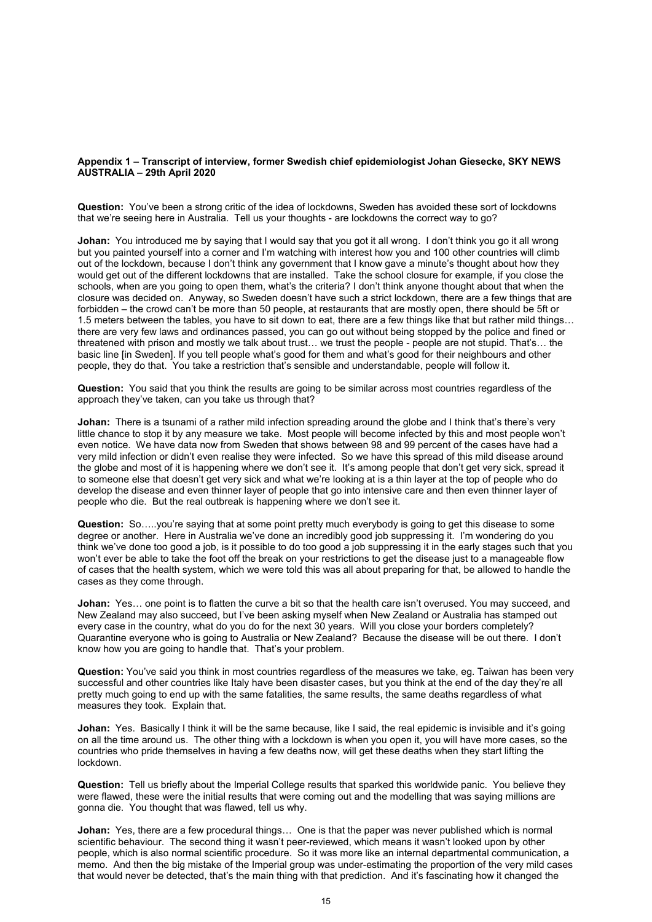### **Appendix 1 – Transcript of interview, former Swedish chief epidemiologist Johan Giesecke, SKY NEWS AUSTRALIA – 29th April 2020**

**Question:** You've been a strong critic of the idea of lockdowns, Sweden has avoided these sort of lockdowns that we're seeing here in Australia. Tell us your thoughts - are lockdowns the correct way to go?

**Johan:** You introduced me by saying that I would say that you got it all wrong. I don't think you go it all wrong but you painted yourself into a corner and I'm watching with interest how you and 100 other countries will climb out of the lockdown, because I don't think any government that I know gave a minute's thought about how they would get out of the different lockdowns that are installed. Take the school closure for example, if you close the schools, when are you going to open them, what's the criteria? I don't think anyone thought about that when the closure was decided on. Anyway, so Sweden doesn't have such a strict lockdown, there are a few things that are forbidden – the crowd can't be more than 50 people, at restaurants that are mostly open, there should be 5ft or 1.5 meters between the tables, you have to sit down to eat, there are a few things like that but rather mild things… there are very few laws and ordinances passed, you can go out without being stopped by the police and fined or threatened with prison and mostly we talk about trust… we trust the people - people are not stupid. That's… the basic line [in Sweden]. If you tell people what's good for them and what's good for their neighbours and other people, they do that. You take a restriction that's sensible and understandable, people will follow it.

**Question:** You said that you think the results are going to be similar across most countries regardless of the approach they've taken, can you take us through that?

**Johan:** There is a tsunami of a rather mild infection spreading around the globe and I think that's there's very little chance to stop it by any measure we take. Most people will become infected by this and most people won't even notice. We have data now from Sweden that shows between 98 and 99 percent of the cases have had a very mild infection or didn't even realise they were infected. So we have this spread of this mild disease around the globe and most of it is happening where we don't see it. It's among people that don't get very sick, spread it to someone else that doesn't get very sick and what we're looking at is a thin layer at the top of people who do develop the disease and even thinner layer of people that go into intensive care and then even thinner layer of people who die. But the real outbreak is happening where we don't see it.

**Question:** So…..you're saying that at some point pretty much everybody is going to get this disease to some degree or another. Here in Australia we've done an incredibly good job suppressing it. I'm wondering do you think we've done too good a job, is it possible to do too good a job suppressing it in the early stages such that you won't ever be able to take the foot off the break on your restrictions to get the disease just to a manageable flow of cases that the health system, which we were told this was all about preparing for that, be allowed to handle the cases as they come through.

**Johan:** Yes… one point is to flatten the curve a bit so that the health care isn't overused. You may succeed, and New Zealand may also succeed, but I've been asking myself when New Zealand or Australia has stamped out every case in the country, what do you do for the next 30 years. Will you close your borders completely? Quarantine everyone who is going to Australia or New Zealand? Because the disease will be out there. I don't know how you are going to handle that. That's your problem.

**Question:** You've said you think in most countries regardless of the measures we take, eg. Taiwan has been very successful and other countries like Italy have been disaster cases, but you think at the end of the day they're all pretty much going to end up with the same fatalities, the same results, the same deaths regardless of what measures they took. Explain that.

**Johan:** Yes. Basically I think it will be the same because, like I said, the real epidemic is invisible and it's going on all the time around us. The other thing with a lockdown is when you open it, you will have more cases, so the countries who pride themselves in having a few deaths now, will get these deaths when they start lifting the lockdown.

**Question:** Tell us briefly about the Imperial College results that sparked this worldwide panic. You believe they were flawed, these were the initial results that were coming out and the modelling that was saying millions are gonna die. You thought that was flawed, tell us why.

**Johan:** Yes, there are a few procedural things... One is that the paper was never published which is normal scientific behaviour. The second thing it wasn't peer-reviewed, which means it wasn't looked upon by other people, which is also normal scientific procedure. So it was more like an internal departmental communication, a memo. And then the big mistake of the Imperial group was under-estimating the proportion of the very mild cases that would never be detected, that's the main thing with that prediction. And it's fascinating how it changed the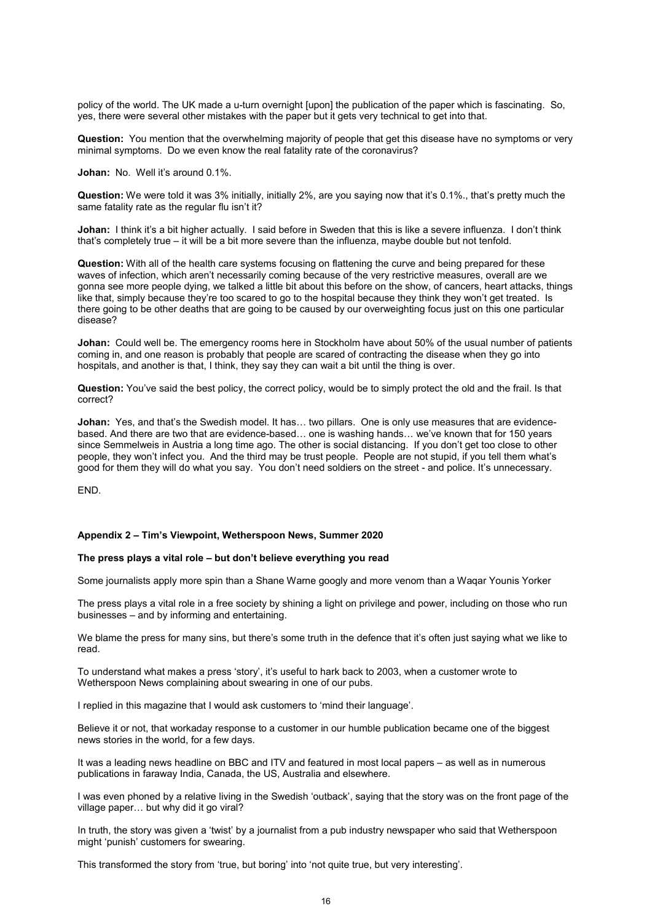policy of the world. The UK made a u-turn overnight [upon] the publication of the paper which is fascinating. So, yes, there were several other mistakes with the paper but it gets very technical to get into that.

**Question:** You mention that the overwhelming majority of people that get this disease have no symptoms or very minimal symptoms. Do we even know the real fatality rate of the coronavirus?

**Johan:** No. Well it's around 0.1%.

**Question:** We were told it was 3% initially, initially 2%, are you saying now that it's 0.1%., that's pretty much the same fatality rate as the regular flu isn't it?

**Johan:** I think it's a bit higher actually. I said before in Sweden that this is like a severe influenza. I don't think that's completely true – it will be a bit more severe than the influenza, maybe double but not tenfold.

**Question:** With all of the health care systems focusing on flattening the curve and being prepared for these waves of infection, which aren't necessarily coming because of the very restrictive measures, overall are we gonna see more people dying, we talked a little bit about this before on the show, of cancers, heart attacks, things like that, simply because they're too scared to go to the hospital because they think they won't get treated. Is there going to be other deaths that are going to be caused by our overweighting focus just on this one particular disease?

**Johan:** Could well be. The emergency rooms here in Stockholm have about 50% of the usual number of patients coming in, and one reason is probably that people are scared of contracting the disease when they go into hospitals, and another is that, I think, they say they can wait a bit until the thing is over.

**Question:** You've said the best policy, the correct policy, would be to simply protect the old and the frail. Is that correct?

**Johan:** Yes, and that's the Swedish model. It has… two pillars. One is only use measures that are evidencebased. And there are two that are evidence-based… one is washing hands… we've known that for 150 years since Semmelweis in Austria a long time ago. The other is social distancing. If you don't get too close to other people, they won't infect you. And the third may be trust people. People are not stupid, if you tell them what's good for them they will do what you say. You don't need soldiers on the street - and police. It's unnecessary.

END.

#### **Appendix 2 – Tim's Viewpoint, Wetherspoon News, Summer 2020**

### **The press plays a vital role – but don't believe everything you read**

Some journalists apply more spin than a Shane Warne googly and more venom than a Waqar Younis Yorker

The press plays a vital role in a free society by shining a light on privilege and power, including on those who run businesses – and by informing and entertaining.

We blame the press for many sins, but there's some truth in the defence that it's often just saying what we like to read.

To understand what makes a press 'story', it's useful to hark back to 2003, when a customer wrote to Wetherspoon News complaining about swearing in one of our pubs.

I replied in this magazine that I would ask customers to 'mind their language'.

Believe it or not, that workaday response to a customer in our humble publication became one of the biggest news stories in the world, for a few days.

It was a leading news headline on BBC and ITV and featured in most local papers – as well as in numerous publications in faraway India, Canada, the US, Australia and elsewhere.

I was even phoned by a relative living in the Swedish 'outback', saying that the story was on the front page of the village paper… but why did it go viral?

In truth, the story was given a 'twist' by a journalist from a pub industry newspaper who said that Wetherspoon might 'punish' customers for swearing.

This transformed the story from 'true, but boring' into 'not quite true, but very interesting'.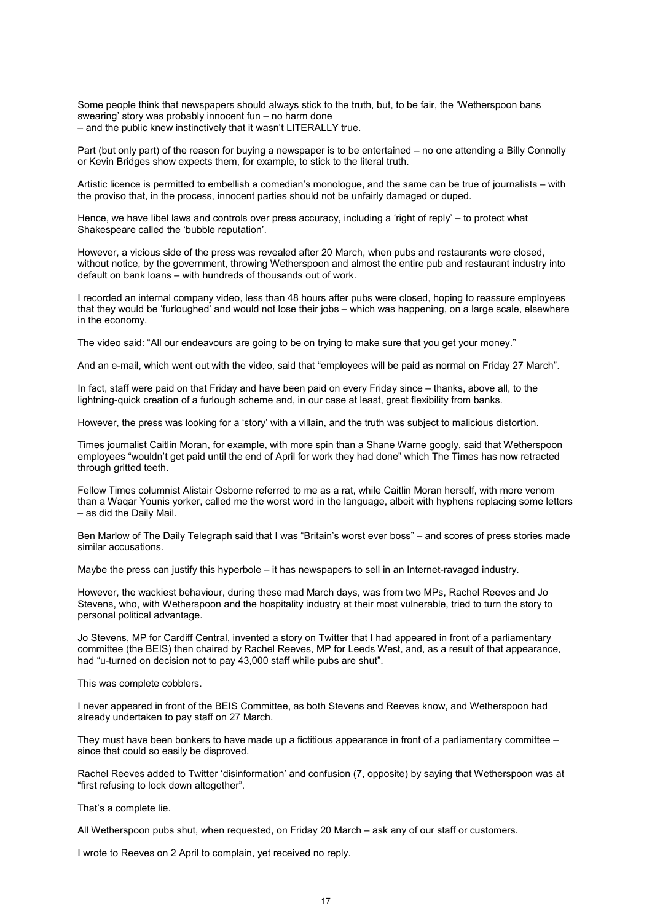Some people think that newspapers should always stick to the truth, but, to be fair, the 'Wetherspoon bans swearing' story was probably innocent fun – no harm done – and the public knew instinctively that it wasn't LITERALLY true.

Part (but only part) of the reason for buying a newspaper is to be entertained – no one attending a Billy Connolly or Kevin Bridges show expects them, for example, to stick to the literal truth.

Artistic licence is permitted to embellish a comedian's monologue, and the same can be true of journalists – with the proviso that, in the process, innocent parties should not be unfairly damaged or duped.

Hence, we have libel laws and controls over press accuracy, including a 'right of reply' – to protect what Shakespeare called the 'bubble reputation'.

However, a vicious side of the press was revealed after 20 March, when pubs and restaurants were closed, without notice, by the government, throwing Wetherspoon and almost the entire pub and restaurant industry into default on bank loans – with hundreds of thousands out of work.

I recorded an internal company video, less than 48 hours after pubs were closed, hoping to reassure employees that they would be 'furloughed' and would not lose their jobs – which was happening, on a large scale, elsewhere in the economy.

The video said: "All our endeavours are going to be on trying to make sure that you get your money."

And an e-mail, which went out with the video, said that "employees will be paid as normal on Friday 27 March".

In fact, staff were paid on that Friday and have been paid on every Friday since – thanks, above all, to the lightning-quick creation of a furlough scheme and, in our case at least, great flexibility from banks.

However, the press was looking for a 'story' with a villain, and the truth was subject to malicious distortion.

Times journalist Caitlin Moran, for example, with more spin than a Shane Warne googly, said that Wetherspoon employees "wouldn't get paid until the end of April for work they had done" which The Times has now retracted through gritted teeth.

Fellow Times columnist Alistair Osborne referred to me as a rat, while Caitlin Moran herself, with more venom than a Waqar Younis yorker, called me the worst word in the language, albeit with hyphens replacing some letters – as did the Daily Mail.

Ben Marlow of The Daily Telegraph said that I was "Britain's worst ever boss" – and scores of press stories made similar accusations.

Maybe the press can justify this hyperbole – it has newspapers to sell in an Internet-ravaged industry.

However, the wackiest behaviour, during these mad March days, was from two MPs, Rachel Reeves and Jo Stevens, who, with Wetherspoon and the hospitality industry at their most vulnerable, tried to turn the story to personal political advantage.

Jo Stevens, MP for Cardiff Central, invented a story on Twitter that I had appeared in front of a parliamentary committee (the BEIS) then chaired by Rachel Reeves, MP for Leeds West, and, as a result of that appearance, had "u-turned on decision not to pay 43,000 staff while pubs are shut".

This was complete cobblers.

I never appeared in front of the BEIS Committee, as both Stevens and Reeves know, and Wetherspoon had already undertaken to pay staff on 27 March.

They must have been bonkers to have made up a fictitious appearance in front of a parliamentary committee – since that could so easily be disproved.

Rachel Reeves added to Twitter 'disinformation' and confusion (7, opposite) by saying that Wetherspoon was at "first refusing to lock down altogether".

That's a complete lie.

All Wetherspoon pubs shut, when requested, on Friday 20 March – ask any of our staff or customers.

I wrote to Reeves on 2 April to complain, yet received no reply.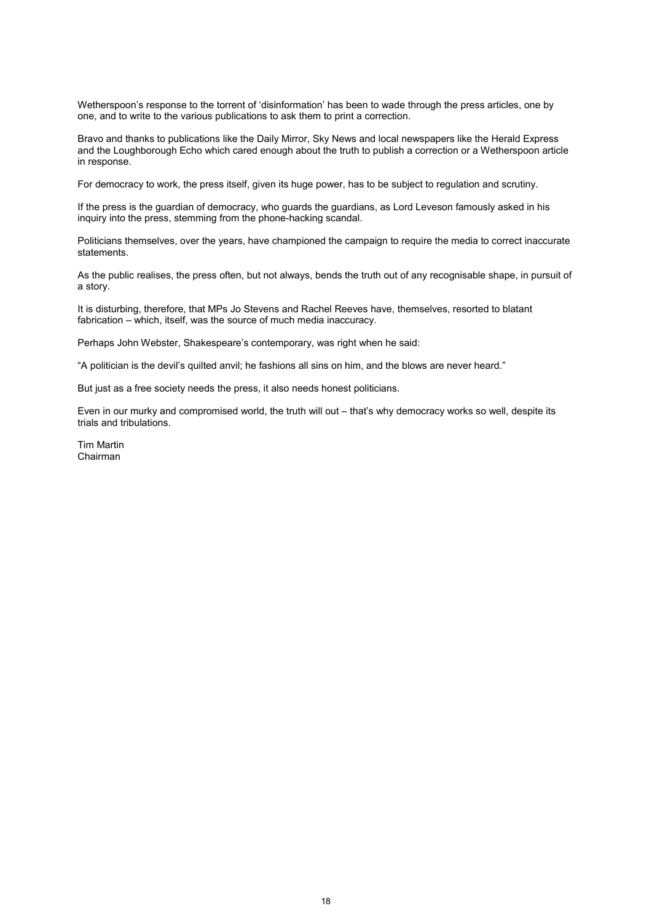Wetherspoon's response to the torrent of 'disinformation' has been to wade through the press articles, one by one, and to write to the various publications to ask them to print a correction.

Bravo and thanks to publications like the Daily Mirror, Sky News and local newspapers like the Herald Express and the Loughborough Echo which cared enough about the truth to publish a correction or a Wetherspoon article in response.

For democracy to work, the press itself, given its huge power, has to be subject to regulation and scrutiny.

If the press is the guardian of democracy, who guards the guardians, as Lord Leveson famously asked in his inquiry into the press, stemming from the phone-hacking scandal.

Politicians themselves, over the years, have championed the campaign to require the media to correct inaccurate statements.

As the public realises, the press often, but not always, bends the truth out of any recognisable shape, in pursuit of a story.

It is disturbing, therefore, that MPs Jo Stevens and Rachel Reeves have, themselves, resorted to blatant fabrication – which, itself, was the source of much media inaccuracy.

Perhaps John Webster, Shakespeare's contemporary, was right when he said:

"A politician is the devil's quilted anvil; he fashions all sins on him, and the blows are never heard."

But just as a free society needs the press, it also needs honest politicians.

Even in our murky and compromised world, the truth will out – that's why democracy works so well, despite its trials and tribulations.

Tim Martin Chairman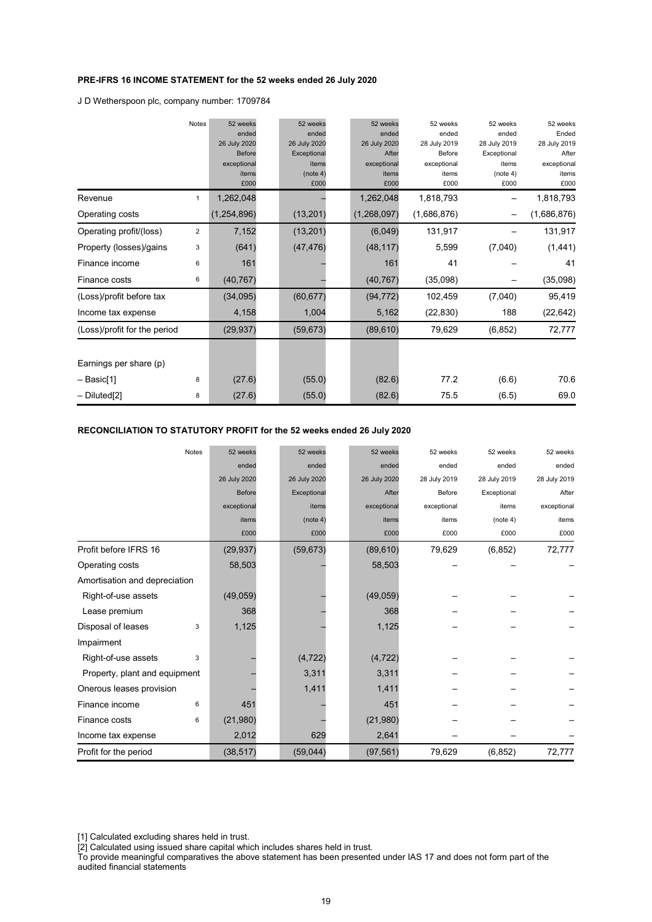### **PRE-IFRS 16 INCOME STATEMENT for the 52 weeks ended 26 July 2020**

J D Wetherspoon plc, company number: 1709784

|                              | Notes        | 52 weeks      | 52 weeks     | 52 weeks     | 52 weeks     | 52 weeks     | 52 weeks     |
|------------------------------|--------------|---------------|--------------|--------------|--------------|--------------|--------------|
|                              |              | ended         | ended        | ended        | ended        | ended        | Ended        |
|                              |              | 26 July 2020  | 26 July 2020 | 26 July 2020 | 28 July 2019 | 28 July 2019 | 28 July 2019 |
|                              |              | <b>Before</b> | Exceptional  | After        | Before       | Exceptional  | After        |
|                              |              | exceptional   | items        | exceptional  | exceptional  | items        | exceptional  |
|                              |              | items         | (note 4)     | items        | items        | (note 4)     | items        |
|                              |              | £000          | £000         | £000         | £000         | £000         | £000         |
| Revenue                      | $\mathbf{1}$ | 1,262,048     |              | 1,262,048    | 1,818,793    |              | 1,818,793    |
| Operating costs              |              | (1, 254, 896) | (13, 201)    | (1,268,097)  | (1,686,876)  |              | (1,686,876)  |
| Operating profit/(loss)      | 2            | 7,152         | (13, 201)    | (6,049)      | 131,917      |              | 131,917      |
| Property (losses)/gains      | 3            | (641)         | (47, 476)    | (48, 117)    | 5,599        | (7,040)      | (1, 441)     |
| Finance income               | 6            | 161           |              | 161          | 41           |              | 41           |
| Finance costs                | 6            | (40, 767)     |              | (40, 767)    | (35,098)     |              | (35,098)     |
| (Loss)/profit before tax     |              | (34,095)      | (60, 677)    | (94, 772)    | 102,459      | (7,040)      | 95,419       |
| Income tax expense           |              | 4,158         | 1,004        | 5,162        | (22, 830)    | 188          | (22, 642)    |
| (Loss)/profit for the period |              | (29, 937)     | (59, 673)    | (89, 610)    | 79,629       | (6, 852)     | 72,777       |
|                              |              |               |              |              |              |              |              |
| Earnings per share (p)       |              |               |              |              |              |              |              |
| – Basic[1]                   | 8            | (27.6)        | (55.0)       | (82.6)       | 77.2         | (6.6)        | 70.6         |
| $-$ Diluted[2]               | 8            | (27.6)        | (55.0)       | (82.6)       | 75.5         | (6.5)        | 69.0         |

### **RECONCILIATION TO STATUTORY PROFIT for the 52 weeks ended 26 July 2020**

| <b>Notes</b>                  | 52 weeks     | 52 weeks     | 52 weeks     | 52 weeks     | 52 weeks     | 52 weeks     |
|-------------------------------|--------------|--------------|--------------|--------------|--------------|--------------|
|                               | ended        | ended        | ended        | ended        | ended        | ended        |
|                               | 26 July 2020 | 26 July 2020 | 26 July 2020 | 28 July 2019 | 28 July 2019 | 28 July 2019 |
|                               | Before       | Exceptional  | After        | Before       | Exceptional  | After        |
|                               | exceptional  | items        | exceptional  | exceptional  | items        | exceptional  |
|                               | items        | (note 4)     | items        | items        | (note 4)     | items        |
|                               | £000         | £000         | £000         | £000         | £000         | £000         |
| Profit before IFRS 16         | (29, 937)    | (59, 673)    | (89, 610)    | 79,629       | (6, 852)     | 72,777       |
| Operating costs               | 58,503       |              | 58,503       |              |              |              |
| Amortisation and depreciation |              |              |              |              |              |              |
| Right-of-use assets           | (49, 059)    |              | (49, 059)    |              |              |              |
| Lease premium                 | 368          |              | 368          |              |              |              |
| Disposal of leases<br>3       | 1,125        |              | 1,125        |              |              |              |
| Impairment                    |              |              |              |              |              |              |
| Right-of-use assets<br>3      |              | (4, 722)     | (4, 722)     |              |              |              |
| Property, plant and equipment |              | 3,311        | 3,311        |              |              |              |
| Onerous leases provision      |              | 1,411        | 1,411        |              |              |              |
| Finance income<br>6           | 451          |              | 451          |              |              |              |
| Finance costs<br>6            | (21,980)     |              | (21,980)     |              |              |              |
| Income tax expense            | 2,012        | 629          | 2,641        |              |              |              |
| Profit for the period         | (38, 517)    | (59,044)     | (97, 561)    | 79,629       | (6, 852)     | 72,777       |

[1] Calculated excluding shares held in trust.

[2] Calculated using issued share capital which includes shares held in trust.

To provide meaningful comparatives the above statement has been presented under IAS 17 and does not form part of the audited financial statements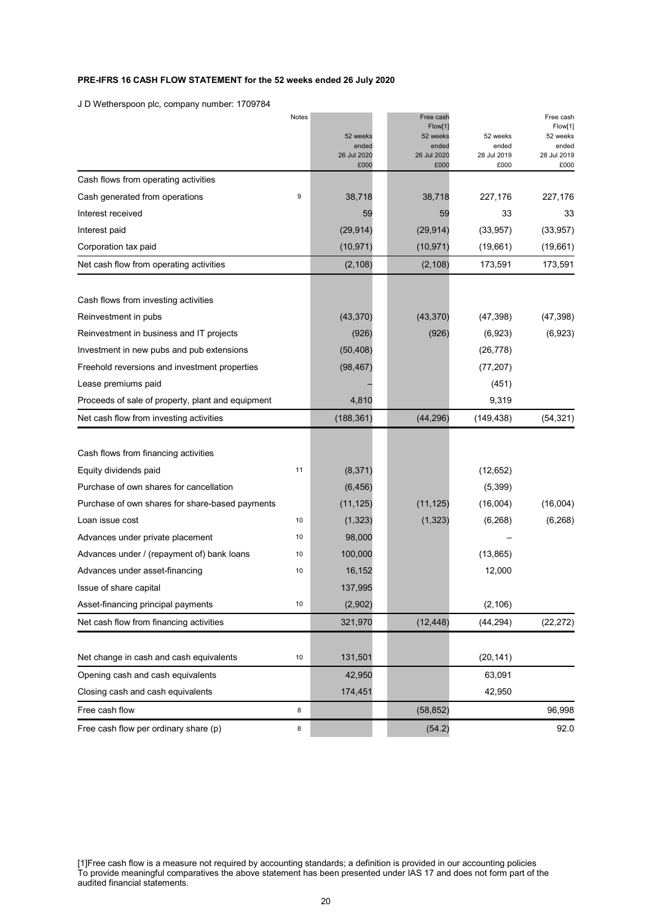### **PRE-IFRS 16 CASH FLOW STATEMENT for the 52 weeks ended 26 July 2020**

J D Wetherspoon plc, company number: 1709784

|                                                   | Notes |                     | Free cash           |                     | Free cash           |
|---------------------------------------------------|-------|---------------------|---------------------|---------------------|---------------------|
|                                                   |       | 52 weeks            | Flow[1]<br>52 weeks | 52 weeks            | Flow[1]<br>52 weeks |
|                                                   |       | ended               | ended               | ended               | ended               |
|                                                   |       | 26 Jul 2020<br>£000 | 26 Jul 2020<br>£000 | 28 Jul 2019<br>£000 | 28 Jul 2019<br>£000 |
| Cash flows from operating activities              |       |                     |                     |                     |                     |
| Cash generated from operations                    | 9     | 38,718              | 38,718              | 227,176             | 227,176             |
| Interest received                                 |       | 59                  | 59                  | 33                  | 33                  |
| Interest paid                                     |       | (29, 914)           | (29, 914)           | (33, 957)           | (33, 957)           |
| Corporation tax paid                              |       | (10, 971)           | (10, 971)           | (19,661)            | (19,661)            |
| Net cash flow from operating activities           |       | (2, 108)            | (2, 108)            | 173,591             | 173,591             |
| Cash flows from investing activities              |       |                     |                     |                     |                     |
| Reinvestment in pubs                              |       | (43, 370)           | (43, 370)           | (47, 398)           | (47, 398)           |
| Reinvestment in business and IT projects          |       | (926)               | (926)               | (6,923)             | (6,923)             |
| Investment in new pubs and pub extensions         |       | (50, 408)           |                     | (26, 778)           |                     |
| Freehold reversions and investment properties     |       | (98, 467)           |                     | (77, 207)           |                     |
| Lease premiums paid                               |       |                     |                     | (451)               |                     |
| Proceeds of sale of property, plant and equipment |       | 4,810               |                     | 9,319               |                     |
| Net cash flow from investing activities           |       | (188, 361)          | (44, 296)           | (149, 438)          | (54, 321)           |
|                                                   |       |                     |                     |                     |                     |
| Cash flows from financing activities              |       |                     |                     |                     |                     |
| Equity dividends paid                             | 11    | (8, 371)            |                     | (12, 652)           |                     |
| Purchase of own shares for cancellation           |       | (6, 456)            |                     | (5,399)             |                     |
| Purchase of own shares for share-based payments   |       | (11, 125)           | (11, 125)           | (16,004)            | (16,004)            |
| Loan issue cost                                   | 10    | (1, 323)            | (1, 323)            | (6, 268)            | (6, 268)            |
| Advances under private placement                  | 10    | 98,000              |                     |                     |                     |
| Advances under / (repayment of) bank loans        | 10    | 100,000             |                     | (13, 865)           |                     |
| Advances under asset-financing                    | 10    | 16,152              |                     | 12,000              |                     |
| Issue of share capital                            |       | 137,995             |                     |                     |                     |
| Asset-financing principal payments                | 10    | (2,902)             |                     | (2, 106)            |                     |
| Net cash flow from financing activities           |       | 321,970             | (12, 448)           | (44, 294)           | (22, 272)           |
| Net change in cash and cash equivalents           | 10    | 131,501             |                     | (20, 141)           |                     |
| Opening cash and cash equivalents                 |       | 42,950              |                     | 63,091              |                     |
| Closing cash and cash equivalents                 |       | 174,451             |                     | 42,950              |                     |
| Free cash flow                                    | 8     |                     | (58, 852)           |                     | 96,998              |
| Free cash flow per ordinary share (p)             | 8     |                     | (54.2)              |                     | 92.0                |

[1]Free cash flow is a measure not required by accounting standards; a definition is provided in our accounting policies To provide meaningful comparatives the above statement has been presented under IAS 17 and does not form part of the audited financial statements.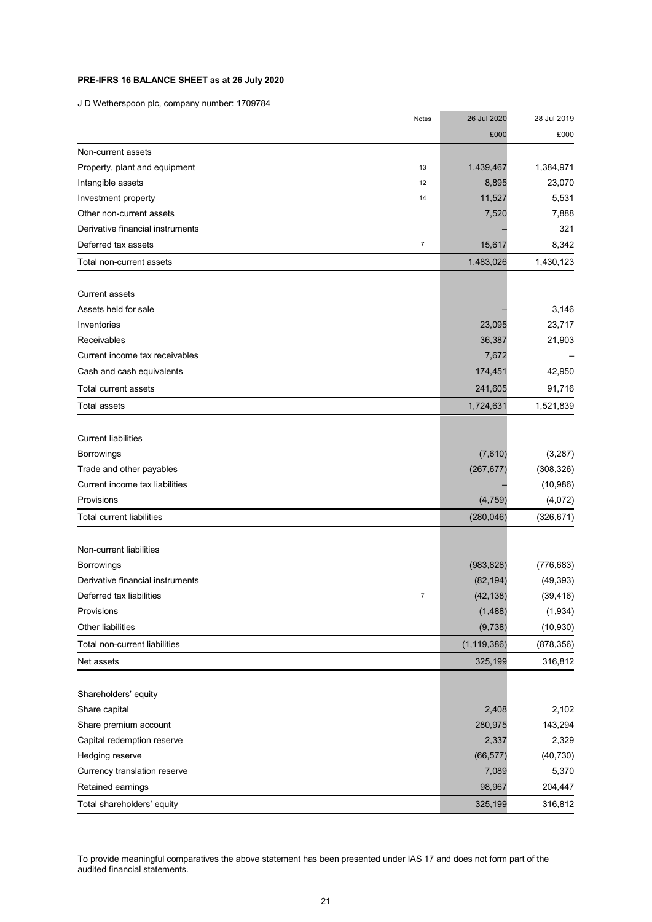### **PRE-IFRS 16 BALANCE SHEET as at 26 July 2020**

J D Wetherspoon plc, company number: 1709784

|                                  | Notes            | 26 Jul 2020   | 28 Jul 2019 |
|----------------------------------|------------------|---------------|-------------|
|                                  |                  | £000          | £000        |
| Non-current assets               |                  |               |             |
| Property, plant and equipment    | 13               | 1,439,467     | 1,384,971   |
| Intangible assets                | 12               | 8,895         | 23,070      |
| Investment property              | 14               | 11,527        | 5,531       |
| Other non-current assets         |                  | 7,520         | 7,888       |
| Derivative financial instruments |                  |               | 321         |
| Deferred tax assets              | $\boldsymbol{7}$ | 15,617        | 8,342       |
| Total non-current assets         |                  | 1,483,026     | 1,430,123   |
|                                  |                  |               |             |
| <b>Current assets</b>            |                  |               |             |
| Assets held for sale             |                  |               | 3,146       |
| Inventories                      |                  | 23,095        | 23,717      |
| Receivables                      |                  | 36,387        | 21,903      |
| Current income tax receivables   |                  | 7,672         |             |
| Cash and cash equivalents        |                  | 174,451       | 42,950      |
| Total current assets             |                  | 241,605       | 91,716      |
| <b>Total assets</b>              |                  | 1,724,631     | 1,521,839   |
| <b>Current liabilities</b>       |                  |               |             |
| <b>Borrowings</b>                |                  | (7,610)       | (3,287)     |
| Trade and other payables         |                  | (267, 677)    | (308, 326)  |
| Current income tax liabilities   |                  |               |             |
| Provisions                       |                  | (4, 759)      | (10, 986)   |
|                                  |                  |               | (4,072)     |
| Total current liabilities        |                  | (280, 046)    | (326, 671)  |
| Non-current liabilities          |                  |               |             |
| <b>Borrowings</b>                |                  | (983, 828)    | (776, 683)  |
| Derivative financial instruments |                  | (82, 194)     | (49, 393)   |
| Deferred tax liabilities         | $\overline{7}$   | (42, 138)     | (39, 416)   |
| Provisions                       |                  | (1, 488)      | (1,934)     |
| Other liabilities                |                  | (9,738)       | (10, 930)   |
| Total non-current liabilities    |                  | (1, 119, 386) | (878, 356)  |
| Net assets                       |                  | 325,199       | 316,812     |
| Shareholders' equity             |                  |               |             |
| Share capital                    |                  | 2,408         | 2,102       |
| Share premium account            |                  | 280,975       | 143,294     |
| Capital redemption reserve       |                  | 2,337         | 2,329       |
| Hedging reserve                  |                  | (66, 577)     | (40, 730)   |
| Currency translation reserve     |                  | 7,089         | 5,370       |
|                                  |                  | 98,967        | 204,447     |
| Retained earnings                |                  |               |             |
| Total shareholders' equity       |                  | 325,199       | 316,812     |

To provide meaningful comparatives the above statement has been presented under IAS 17 and does not form part of the audited financial statements.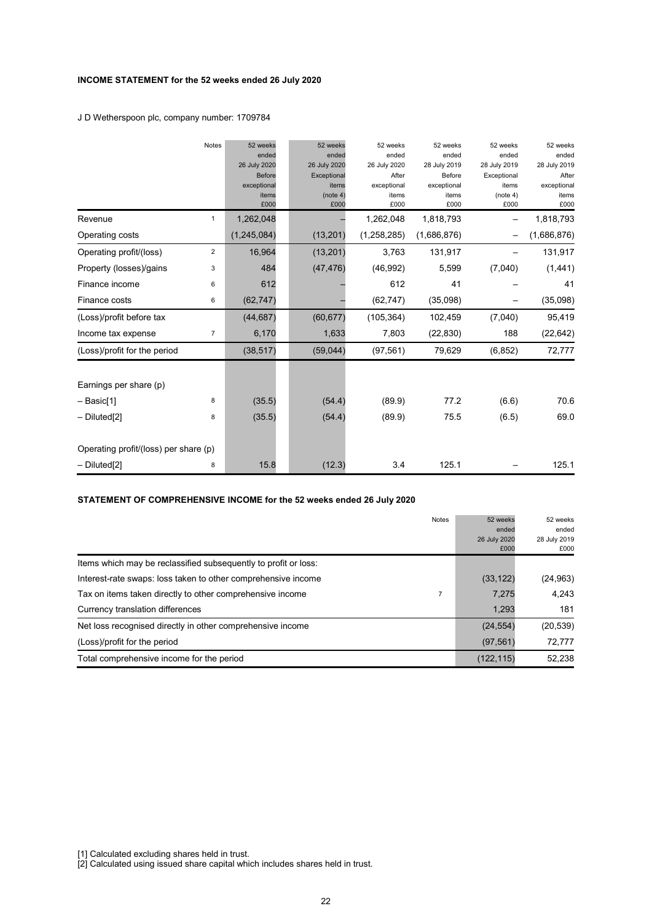### **INCOME STATEMENT for the 52 weeks ended 26 July 2020**

J D Wetherspoon plc, company number: 1709784

|                                       | <b>Notes</b>   | 52 weeks      | 52 weeks     | 52 weeks      | 52 weeks     | 52 weeks     | 52 weeks     |
|---------------------------------------|----------------|---------------|--------------|---------------|--------------|--------------|--------------|
|                                       |                | ended         | ended        | ended         | ended        | ended        | ended        |
|                                       |                | 26 July 2020  | 26 July 2020 | 26 July 2020  | 28 July 2019 | 28 July 2019 | 28 July 2019 |
|                                       |                | <b>Before</b> | Exceptional  | After         | Before       | Exceptional  | After        |
|                                       |                | exceptional   | items        | exceptional   | exceptional  | items        | exceptional  |
|                                       |                | items         | (note 4)     | items         | items        | (note 4)     | items        |
|                                       |                | £000          | £000         | £000          | £000         | £000         | £000         |
| Revenue                               | $\mathbf{1}$   | 1,262,048     |              | 1,262,048     | 1,818,793    |              | 1,818,793    |
| Operating costs                       |                | (1, 245, 084) | (13, 201)    | (1, 258, 285) | (1,686,876)  |              | (1,686,876)  |
| Operating profit/(loss)               | $\overline{2}$ | 16,964        | (13, 201)    | 3,763         | 131,917      |              | 131,917      |
| Property (losses)/gains               | 3              | 484           | (47, 476)    | (46,992)      | 5,599        | (7,040)      | (1, 441)     |
| Finance income                        | 6              | 612           |              | 612           | 41           |              | 41           |
| Finance costs                         | 6              | (62, 747)     |              | (62, 747)     | (35,098)     |              | (35,098)     |
| (Loss)/profit before tax              |                | (44, 687)     | (60, 677)    | (105, 364)    | 102,459      | (7,040)      | 95,419       |
| Income tax expense                    | $\overline{7}$ | 6,170         | 1,633        | 7,803         | (22, 830)    | 188          | (22, 642)    |
| (Loss)/profit for the period          |                | (38, 517)     | (59, 044)    | (97, 561)     | 79,629       | (6, 852)     | 72,777       |
|                                       |                |               |              |               |              |              |              |
| Earnings per share (p)                |                |               |              |               |              |              |              |
| – Basic[1]                            | 8              | (35.5)        | (54.4)       | (89.9)        | 77.2         | (6.6)        | 70.6         |
| $-$ Diluted[2]                        | 8              | (35.5)        | (54.4)       | (89.9)        | 75.5         | (6.5)        | 69.0         |
| Operating profit/(loss) per share (p) |                |               |              |               |              |              |              |
| - Diluted <sup>[2]</sup>              | 8              | 15.8          | (12.3)       | 3.4           | 125.1        |              | 125.1        |

### **STATEMENT OF COMPREHENSIVE INCOME for the 52 weeks ended 26 July 2020**

| <b>Notes</b>                                                    | 52 weeks     | 52 weeks     |
|-----------------------------------------------------------------|--------------|--------------|
|                                                                 | ended        | ended        |
|                                                                 | 26 July 2020 | 28 July 2019 |
|                                                                 | £000         | £000         |
| Items which may be reclassified subsequently to profit or loss: |              |              |
| Interest-rate swaps: loss taken to other comprehensive income   | (33, 122)    | (24, 963)    |
| Tax on items taken directly to other comprehensive income       | 7.275        | 4.243        |
| Currency translation differences                                | 1,293        | 181          |
| Net loss recognised directly in other comprehensive income      | (24, 554)    | (20, 539)    |
| (Loss)/profit for the period                                    | (97, 561)    | 72,777       |
| Total comprehensive income for the period                       | (122, 115)   | 52,238       |

[1] Calculated excluding shares held in trust.

[2] Calculated using issued share capital which includes shares held in trust.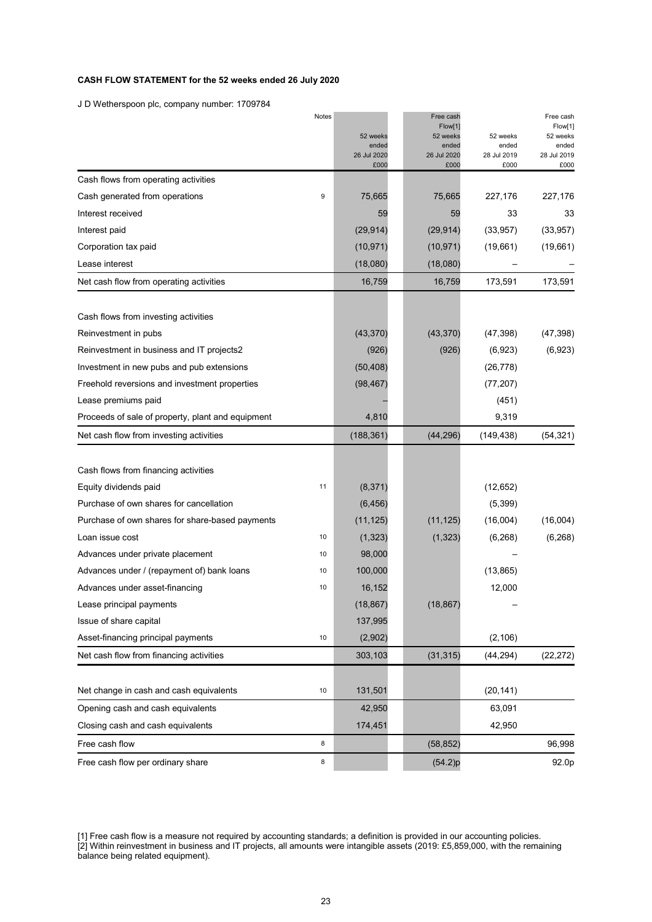### **CASH FLOW STATEMENT for the 52 weeks ended 26 July 2020**

J D Wetherspoon plc, company number: 1709784

|                                                   | Notes | 52 weeks<br>ended<br>26 Jul 2020<br>£000 | Free cash<br>Flow[1]<br>52 weeks<br>ended<br>26 Jul 2020<br>£000 | 52 weeks<br>ended<br>28 Jul 2019<br>£000 | Free cash<br>Flow[1]<br>52 weeks<br>ended<br>28 Jul 2019<br>£000 |
|---------------------------------------------------|-------|------------------------------------------|------------------------------------------------------------------|------------------------------------------|------------------------------------------------------------------|
| Cash flows from operating activities              |       |                                          |                                                                  |                                          |                                                                  |
| Cash generated from operations                    | 9     | 75,665                                   | 75,665                                                           | 227,176                                  | 227,176                                                          |
| Interest received                                 |       | 59                                       | 59                                                               | 33                                       | 33                                                               |
| Interest paid                                     |       | (29, 914)                                | (29, 914)                                                        | (33, 957)                                | (33, 957)                                                        |
| Corporation tax paid                              |       | (10, 971)                                | (10, 971)                                                        | (19,661)                                 | (19,661)                                                         |
| Lease interest                                    |       | (18,080)                                 | (18,080)                                                         |                                          |                                                                  |
| Net cash flow from operating activities           |       | 16,759                                   | 16,759                                                           | 173,591                                  | 173,591                                                          |
| Cash flows from investing activities              |       |                                          |                                                                  |                                          |                                                                  |
| Reinvestment in pubs                              |       | (43, 370)                                | (43, 370)                                                        | (47, 398)                                | (47, 398)                                                        |
| Reinvestment in business and IT projects2         |       | (926)                                    | (926)                                                            | (6,923)                                  | (6,923)                                                          |
| Investment in new pubs and pub extensions         |       | (50, 408)                                |                                                                  | (26, 778)                                |                                                                  |
| Freehold reversions and investment properties     |       | (98, 467)                                |                                                                  | (77, 207)                                |                                                                  |
| Lease premiums paid                               |       |                                          |                                                                  | (451)                                    |                                                                  |
| Proceeds of sale of property, plant and equipment |       | 4,810                                    |                                                                  | 9,319                                    |                                                                  |
| Net cash flow from investing activities           |       | (188, 361)                               | (44, 296)                                                        | (149, 438)                               | (54, 321)                                                        |
| Cash flows from financing activities              |       |                                          |                                                                  |                                          |                                                                  |
| Equity dividends paid                             | 11    | (8, 371)                                 |                                                                  | (12, 652)                                |                                                                  |
| Purchase of own shares for cancellation           |       | (6, 456)                                 |                                                                  | (5,399)                                  |                                                                  |
| Purchase of own shares for share-based payments   |       | (11, 125)                                | (11, 125)                                                        | (16,004)                                 | (16,004)                                                         |
| Loan issue cost                                   | 10    | (1, 323)                                 | (1, 323)                                                         | (6, 268)                                 | (6, 268)                                                         |
| Advances under private placement                  | 10    | 98,000                                   |                                                                  |                                          |                                                                  |
| Advances under / (repayment of) bank loans        | 10    | 100,000                                  |                                                                  | (13, 865)                                |                                                                  |
| Advances under asset-financing                    | 10    | 16,152                                   |                                                                  | 12,000                                   |                                                                  |
| Lease principal payments                          |       | (18, 867)                                | (18, 867)                                                        |                                          |                                                                  |
| Issue of share capital                            |       | 137,995                                  |                                                                  |                                          |                                                                  |
| Asset-financing principal payments                | $10$  | (2,902)                                  |                                                                  | (2, 106)                                 |                                                                  |
| Net cash flow from financing activities           |       | 303,103                                  | (31, 315)                                                        | (44, 294)                                | (22, 272)                                                        |
| Net change in cash and cash equivalents           | $10$  | 131,501                                  |                                                                  | (20, 141)                                |                                                                  |
| Opening cash and cash equivalents                 |       | 42,950                                   |                                                                  | 63,091                                   |                                                                  |
| Closing cash and cash equivalents                 |       | 174,451                                  |                                                                  | 42,950                                   |                                                                  |
| Free cash flow                                    | 8     |                                          | (58, 852)                                                        |                                          | 96,998                                                           |
| Free cash flow per ordinary share                 | 8     |                                          | (54.2)p                                                          |                                          | 92.0p                                                            |

<sup>[1]</sup> Free cash flow is a measure not required by accounting standards; a definition is provided in our accounting policies. [2] Within reinvestment in business and IT projects, all amounts were intangible assets (2019: £5,859,000, with the remaining balance being related equipment).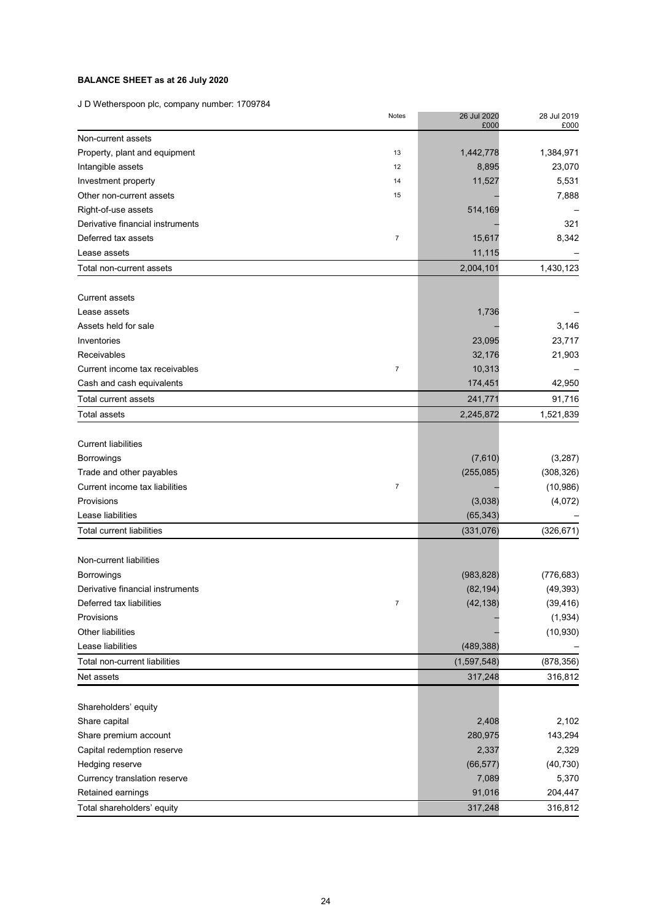## **BALANCE SHEET as at 26 July 2020**

J D Wetherspoon plc, company number: 1709784

|                                  | Notes            | 26 Jul 2020<br>£000 | 28 Jul 2019<br>£000 |
|----------------------------------|------------------|---------------------|---------------------|
| Non-current assets               |                  |                     |                     |
| Property, plant and equipment    | 13               | 1,442,778           | 1,384,971           |
| Intangible assets                | 12               | 8,895               | 23,070              |
| Investment property              | 14               | 11,527              | 5,531               |
| Other non-current assets         | 15               |                     | 7,888               |
| Right-of-use assets              |                  | 514,169             |                     |
| Derivative financial instruments |                  |                     | 321                 |
| Deferred tax assets              | $\boldsymbol{7}$ | 15,617              | 8,342               |
| Lease assets                     |                  | 11,115              |                     |
| Total non-current assets         |                  | 2,004,101           | 1,430,123           |
| <b>Current assets</b>            |                  |                     |                     |
| Lease assets                     |                  | 1,736               |                     |
| Assets held for sale             |                  |                     | 3,146               |
| Inventories                      |                  | 23,095              | 23,717              |
| Receivables                      |                  | 32,176              | 21,903              |
| Current income tax receivables   | $\overline{7}$   | 10,313              |                     |
| Cash and cash equivalents        |                  | 174,451             | 42,950              |
| Total current assets             |                  | 241,771             | 91,716              |
| Total assets                     |                  | 2,245,872           | 1,521,839           |
| <b>Current liabilities</b>       |                  |                     |                     |
| Borrowings                       |                  | (7,610)             | (3, 287)            |
| Trade and other payables         |                  | (255,085)           | (308, 326)          |
| Current income tax liabilities   | $\boldsymbol{7}$ |                     | (10, 986)           |
| Provisions                       |                  | (3,038)             | (4,072)             |
| Lease liabilities                |                  | (65, 343)           |                     |
| <b>Total current liabilities</b> |                  | (331, 076)          | (326, 671)          |
|                                  |                  |                     |                     |
| Non-current liabilities          |                  |                     |                     |
| <b>Borrowings</b>                |                  | (983, 828)          | (776, 683)          |
| Derivative financial instruments |                  | (82, 194)           | (49, 393)           |
| Deferred tax liabilities         | $\overline{7}$   | (42, 138)           | (39, 416)           |
| Provisions                       |                  |                     | (1,934)             |
| Other liabilities                |                  |                     | (10, 930)           |
| Lease liabilities                |                  | (489, 388)          |                     |
| Total non-current liabilities    |                  | (1,597,548)         | (878, 356)          |
| Net assets                       |                  | 317,248             | 316,812             |
| Shareholders' equity             |                  |                     |                     |
| Share capital                    |                  | 2,408               | 2,102               |
| Share premium account            |                  | 280,975             | 143,294             |
| Capital redemption reserve       |                  | 2,337               | 2,329               |
| Hedging reserve                  |                  | (66, 577)           | (40, 730)           |
| Currency translation reserve     |                  | 7,089               | 5,370               |
| Retained earnings                |                  | 91,016              | 204,447             |
| Total shareholders' equity       |                  | 317,248             | 316,812             |
|                                  |                  |                     |                     |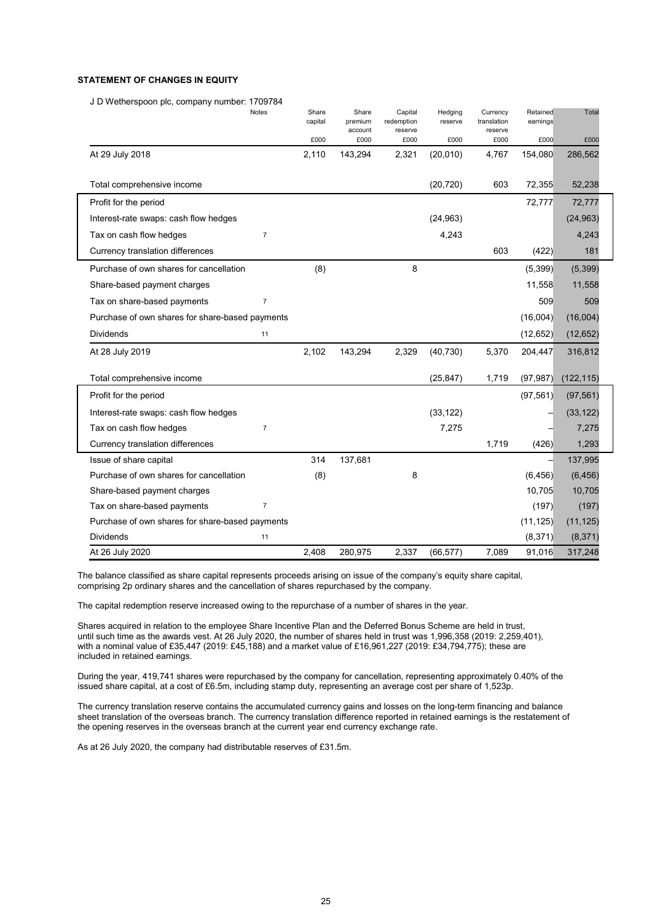### **STATEMENT OF CHANGES IN EQUITY**

J D Wetherspoon plc, company number: 1709784

|                                                 | Notes          | Share<br>capital | Share<br>premium | Capital<br>redemption | Hedging<br>reserve | Currency<br>translation | Retained<br>earnings | Total      |  |
|-------------------------------------------------|----------------|------------------|------------------|-----------------------|--------------------|-------------------------|----------------------|------------|--|
|                                                 |                | £000             | account<br>£000  | reserve<br>£000       | £000               | reserve<br>£000         | £000                 | £000       |  |
| At 29 July 2018                                 |                | 2,110            | 143,294          | 2,321                 | (20, 010)          | 4,767                   | 154,080              | 286,562    |  |
|                                                 |                |                  |                  |                       |                    |                         |                      |            |  |
| Total comprehensive income                      |                |                  |                  |                       | (20, 720)          | 603                     | 72,355               | 52,238     |  |
| Profit for the period                           |                |                  |                  |                       |                    |                         | 72,777               | 72,777     |  |
| Interest-rate swaps: cash flow hedges           |                |                  |                  |                       | (24, 963)          |                         |                      | (24, 963)  |  |
| Tax on cash flow hedges                         | $\overline{7}$ |                  |                  |                       | 4,243              |                         |                      | 4,243      |  |
| Currency translation differences                |                |                  |                  |                       |                    | 603                     | (422)                | 181        |  |
| Purchase of own shares for cancellation         |                | (8)              |                  | 8                     |                    |                         | (5,399)              | (5, 399)   |  |
| Share-based payment charges                     |                |                  |                  |                       |                    |                         | 11,558               | 11,558     |  |
| Tax on share-based payments                     | $\overline{7}$ |                  |                  |                       |                    |                         | 509                  | 509        |  |
| Purchase of own shares for share-based payments |                |                  |                  |                       |                    |                         | (16,004)             | (16,004)   |  |
| <b>Dividends</b>                                | 11             |                  |                  |                       |                    |                         | (12, 652)            | (12, 652)  |  |
| At 28 July 2019                                 |                | 2,102            | 143,294          | 2,329                 | (40, 730)          | 5,370                   | 204,447              | 316,812    |  |
|                                                 |                |                  |                  |                       |                    |                         |                      |            |  |
| Total comprehensive income                      |                |                  |                  |                       | (25, 847)          | 1,719                   | (97, 987)            | (122, 115) |  |
| Profit for the period                           |                |                  |                  |                       |                    |                         | (97, 561)            | (97, 561)  |  |
| Interest-rate swaps: cash flow hedges           |                |                  |                  |                       | (33, 122)          |                         |                      | (33, 122)  |  |
| Tax on cash flow hedges                         | $\overline{7}$ |                  |                  |                       | 7,275              |                         |                      | 7,275      |  |
| Currency translation differences                |                |                  |                  |                       |                    | 1,719                   | (426)                | 1,293      |  |
| Issue of share capital                          |                | 314              | 137,681          |                       |                    |                         |                      | 137,995    |  |
| Purchase of own shares for cancellation         |                | (8)              |                  | 8                     |                    |                         | (6, 456)             | (6, 456)   |  |
| Share-based payment charges                     |                |                  |                  |                       |                    |                         | 10,705               | 10,705     |  |
| Tax on share-based payments                     | $\overline{7}$ |                  |                  |                       |                    |                         | (197)                | (197)      |  |
| Purchase of own shares for share-based payments |                |                  |                  |                       |                    |                         | (11, 125)            | (11, 125)  |  |
| Dividends                                       | 11             |                  |                  |                       |                    |                         | (8, 371)             | (8, 371)   |  |
| At 26 July 2020                                 |                | 2.408            | 280,975          | 2,337                 | (66, 577)          | 7,089                   | 91,016               | 317,248    |  |

The balance classified as share capital represents proceeds arising on issue of the company's equity share capital, comprising 2p ordinary shares and the cancellation of shares repurchased by the company.

The capital redemption reserve increased owing to the repurchase of a number of shares in the year.

Shares acquired in relation to the employee Share Incentive Plan and the Deferred Bonus Scheme are held in trust, until such time as the awards vest. At 26 July 2020, the number of shares held in trust was 1,996,358 (2019: 2,259,401), with a nominal value of £35,447 (2019: £45,188) and a market value of £16,961,227 (2019: £34,794,775); these are included in retained earnings.

During the year, 419,741 shares were repurchased by the company for cancellation, representing approximately 0.40% of the issued share capital, at a cost of £6.5m, including stamp duty, representing an average cost per share of 1,523p.

The currency translation reserve contains the accumulated currency gains and losses on the long-term financing and balance sheet translation of the overseas branch. The currency translation difference reported in retained earnings is the restatement of the opening reserves in the overseas branch at the current year end currency exchange rate.

As at 26 July 2020, the company had distributable reserves of £31.5m.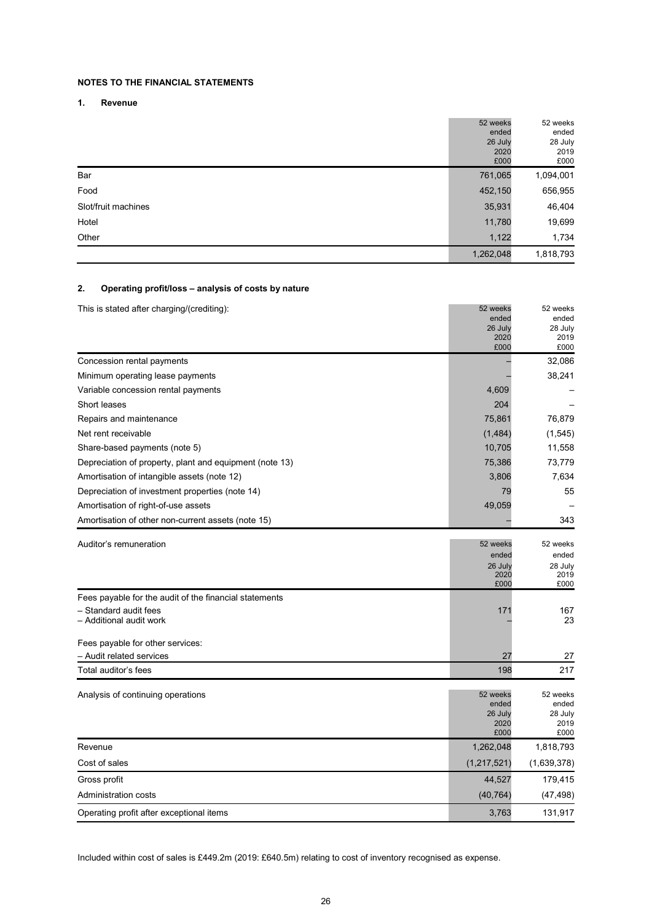### **NOTES TO THE FINANCIAL STATEMENTS**

**1. Revenue**

|                     | 52 weeks  | 52 weeks  |
|---------------------|-----------|-----------|
|                     | ended     | ended     |
|                     | 26 July   | 28 July   |
|                     | 2020      | 2019      |
|                     | £000      | £000      |
| Bar                 | 761,065   | 1,094,001 |
| Food                | 452,150   | 656,955   |
| Slot/fruit machines | 35,931    | 46,404    |
| Hotel               | 11,780    | 19,699    |
| Other               | 1,122     | 1,734     |
|                     | 1,262,048 | 1,818,793 |

### **2. Operating profit/loss – analysis of costs by nature**

| This is stated after charging/(crediting):                                      | 52 weeks         | 52 weeks         |
|---------------------------------------------------------------------------------|------------------|------------------|
|                                                                                 | ended<br>26 July | ended<br>28 July |
|                                                                                 | 2020             | 2019             |
|                                                                                 | £000             | £000             |
| Concession rental payments                                                      |                  | 32,086           |
| Minimum operating lease payments                                                |                  | 38,241           |
| Variable concession rental payments                                             | 4,609            |                  |
| Short leases                                                                    | 204              |                  |
| Repairs and maintenance                                                         | 75,861           | 76,879           |
| Net rent receivable                                                             | (1, 484)         | (1, 545)         |
| Share-based payments (note 5)                                                   | 10,705           | 11,558           |
| Depreciation of property, plant and equipment (note 13)                         | 75,386           | 73,779           |
| Amortisation of intangible assets (note 12)                                     | 3,806            | 7,634            |
| Depreciation of investment properties (note 14)                                 | 79               | 55               |
| Amortisation of right-of-use assets                                             | 49,059           |                  |
| Amortisation of other non-current assets (note 15)                              |                  | 343              |
|                                                                                 |                  |                  |
| Auditor's remuneration                                                          | 52 weeks         | 52 weeks         |
|                                                                                 | ended<br>26 July | ended<br>28 July |
|                                                                                 | 2020             | 2019             |
|                                                                                 | £000             | £000             |
| Fees payable for the audit of the financial statements<br>- Standard audit fees | 171              | 167              |
| – Additional audit work                                                         |                  | 23               |
|                                                                                 |                  |                  |
| Fees payable for other services:                                                |                  |                  |
| – Audit related services                                                        | 27               | 27               |
| Total auditor's fees                                                            | 198              | 217              |
| Analysis of continuing operations                                               | 52 weeks         | 52 weeks         |
|                                                                                 | ended            | ended            |
|                                                                                 | 26 July          | 28 July          |
|                                                                                 | 2020<br>£000     | 2019<br>£000     |
| Revenue                                                                         | 1,262,048        | 1,818,793        |
| Cost of sales                                                                   | (1,217,521)      | (1,639,378)      |
| Gross profit                                                                    | 44,527           | 179,415          |
| Administration costs                                                            | (40, 764)        | (47,498)         |
| Operating profit after exceptional items                                        | 3,763            | 131,917          |

Included within cost of sales is £449.2m (2019: £640.5m) relating to cost of inventory recognised as expense.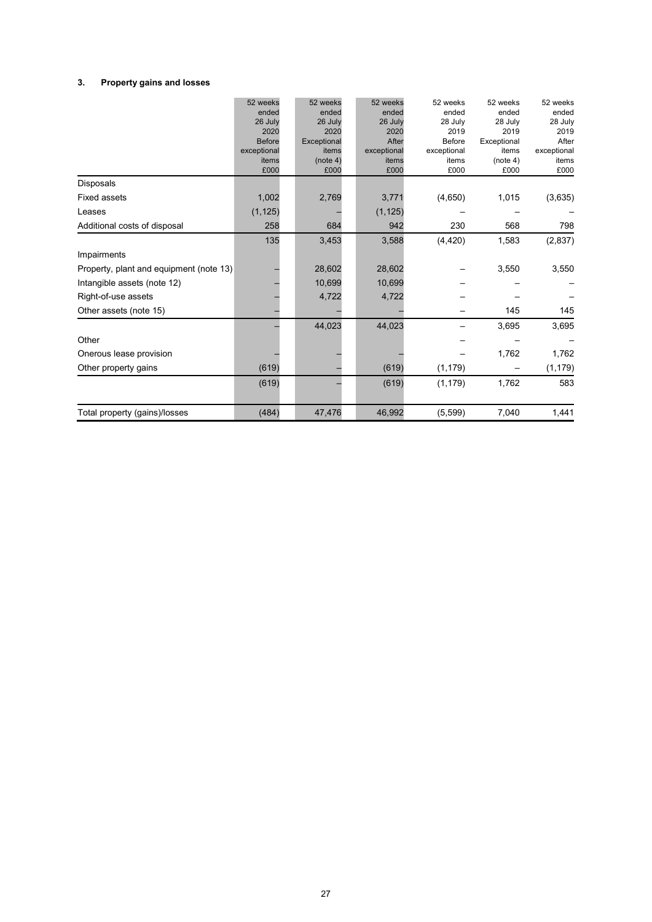### **3. Property gains and losses**

|                                         | 52 weeks      | 52 weeks         | 52 weeks      | 52 weeks      | 52 weeks         | 52 weeks      |
|-----------------------------------------|---------------|------------------|---------------|---------------|------------------|---------------|
|                                         | ended         | ended            | ended         | ended         | ended            | ended         |
|                                         | 26 July       | 26 July          | 26 July       | 28 July       | 28 July          | 28 July       |
|                                         | 2020          | 2020             | 2020          | 2019          | 2019             | 2019          |
|                                         | <b>Before</b> | Exceptional      | After         | <b>Before</b> | Exceptional      | After         |
|                                         | exceptional   | items            | exceptional   | exceptional   | items            | exceptional   |
|                                         | items<br>£000 | (note 4)<br>£000 | items<br>£000 | items<br>£000 | (note 4)<br>£000 | items<br>£000 |
| Disposals                               |               |                  |               |               |                  |               |
| <b>Fixed assets</b>                     | 1,002         | 2,769            | 3,771         | (4,650)       | 1,015            | (3,635)       |
| Leases                                  | (1, 125)      |                  | (1, 125)      |               |                  |               |
| Additional costs of disposal            | 258           | 684              | 942           | 230           | 568              | 798           |
|                                         | 135           | 3,453            | 3,588         | (4, 420)      | 1,583            | (2, 837)      |
| Impairments                             |               |                  |               |               |                  |               |
| Property, plant and equipment (note 13) |               | 28,602           | 28,602        |               | 3,550            | 3,550         |
| Intangible assets (note 12)             |               | 10,699           | 10,699        |               |                  |               |
| Right-of-use assets                     |               | 4,722            | 4,722         |               |                  |               |
| Other assets (note 15)                  |               |                  |               |               | 145              | 145           |
|                                         |               | 44,023           | 44,023        |               | 3,695            | 3,695         |
| Other                                   |               |                  |               |               |                  |               |
| Onerous lease provision                 |               |                  |               |               | 1,762            | 1,762         |
| Other property gains                    | (619)         |                  | (619)         | (1, 179)      |                  | (1, 179)      |
|                                         | (619)         |                  | (619)         | (1, 179)      | 1,762            | 583           |
| Total property (gains)/losses           | (484)         | 47,476           | 46,992        | (5, 599)      | 7,040            | 1,441         |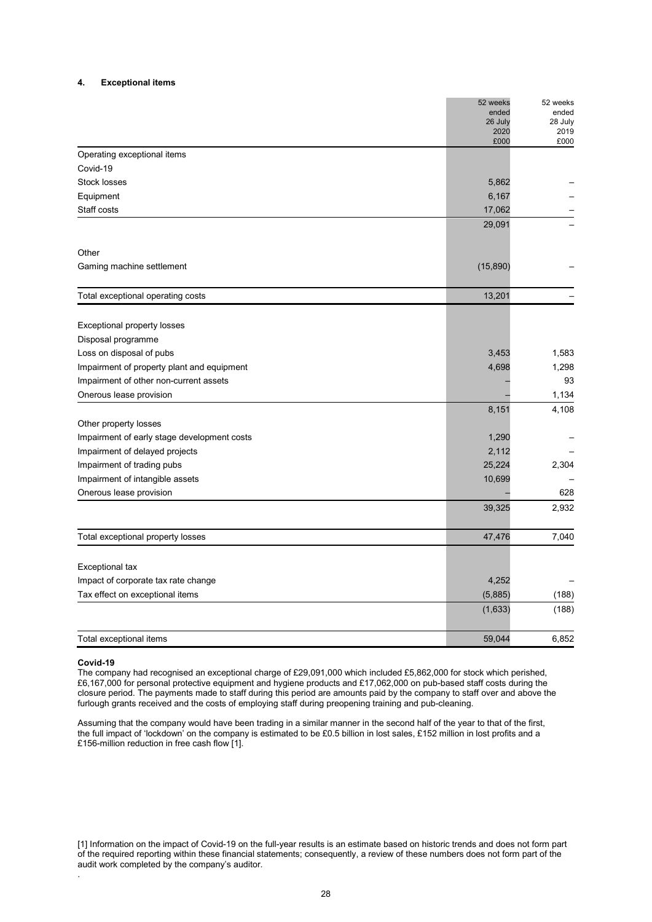#### **4. Exceptional items**

|                                             | 52 weeks        | 52 weeks        |
|---------------------------------------------|-----------------|-----------------|
|                                             | ended           | ended           |
|                                             | 26 July<br>2020 | 28 July<br>2019 |
|                                             | £000            | £000            |
| Operating exceptional items                 |                 |                 |
| Covid-19                                    |                 |                 |
| Stock losses                                | 5,862           |                 |
| Equipment                                   | 6,167           |                 |
| Staff costs                                 | 17,062          |                 |
|                                             | 29,091          |                 |
| Other                                       |                 |                 |
| Gaming machine settlement                   | (15, 890)       |                 |
| Total exceptional operating costs           | 13,201          |                 |
|                                             |                 |                 |
| Exceptional property losses                 |                 |                 |
| Disposal programme                          |                 |                 |
| Loss on disposal of pubs                    | 3,453           | 1,583           |
| Impairment of property plant and equipment  | 4,698           | 1,298           |
| Impairment of other non-current assets      |                 | 93              |
| Onerous lease provision                     |                 | 1,134           |
|                                             | 8,151           | 4,108           |
| Other property losses                       |                 |                 |
| Impairment of early stage development costs | 1,290           |                 |
| Impairment of delayed projects              | 2,112           |                 |
| Impairment of trading pubs                  | 25,224          | 2,304           |
| Impairment of intangible assets             | 10,699          |                 |
| Onerous lease provision                     |                 | 628             |
|                                             | 39,325          | 2,932           |
| Total exceptional property losses           | 47,476          | 7,040           |
|                                             |                 |                 |
| Exceptional tax                             |                 |                 |
| Impact of corporate tax rate change         | 4,252           |                 |
| Tax effect on exceptional items             | (5,885)         | (188)           |
|                                             | (1,633)         | (188)           |
| Total exceptional items                     | 59,044          | 6,852           |

#### **Covid-19**

.

The company had recognised an exceptional charge of £29,091,000 which included £5,862,000 for stock which perished, £6,167,000 for personal protective equipment and hygiene products and £17,062,000 on pub-based staff costs during the closure period. The payments made to staff during this period are amounts paid by the company to staff over and above the furlough grants received and the costs of employing staff during preopening training and pub-cleaning.

Assuming that the company would have been trading in a similar manner in the second half of the year to that of the first, the full impact of 'lockdown' on the company is estimated to be £0.5 billion in lost sales, £152 million in lost profits and a £156-million reduction in free cash flow [1].

[1] Information on the impact of Covid-19 on the full-year results is an estimate based on historic trends and does not form part of the required reporting within these financial statements; consequently, a review of these numbers does not form part of the audit work completed by the company's auditor.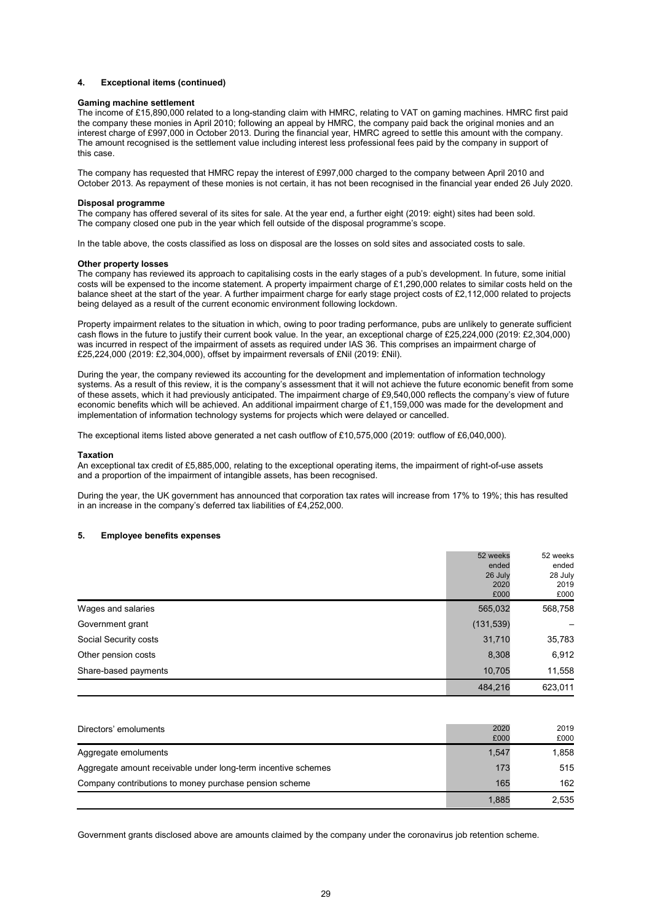#### **4. Exceptional items (continued)**

#### **Gaming machine settlement**

The income of £15,890,000 related to a long-standing claim with HMRC, relating to VAT on gaming machines. HMRC first paid the company these monies in April 2010; following an appeal by HMRC, the company paid back the original monies and an interest charge of £997,000 in October 2013. During the financial year, HMRC agreed to settle this amount with the company. The amount recognised is the settlement value including interest less professional fees paid by the company in support of this case.

The company has requested that HMRC repay the interest of £997,000 charged to the company between April 2010 and October 2013. As repayment of these monies is not certain, it has not been recognised in the financial year ended 26 July 2020.

#### **Disposal programme**

The company has offered several of its sites for sale. At the year end, a further eight (2019: eight) sites had been sold. The company closed one pub in the year which fell outside of the disposal programme's scope.

In the table above, the costs classified as loss on disposal are the losses on sold sites and associated costs to sale.

#### **Other property losses**

The company has reviewed its approach to capitalising costs in the early stages of a pub's development. In future, some initial costs will be expensed to the income statement. A property impairment charge of £1,290,000 relates to similar costs held on the balance sheet at the start of the year. A further impairment charge for early stage project costs of £2,112,000 related to projects being delayed as a result of the current economic environment following lockdown.

Property impairment relates to the situation in which, owing to poor trading performance, pubs are unlikely to generate sufficient cash flows in the future to justify their current book value. In the year, an exceptional charge of £25,224,000 (2019: £2,304,000) was incurred in respect of the impairment of assets as required under IAS 36. This comprises an impairment charge of £25,224,000 (2019: £2,304,000), offset by impairment reversals of £Nil (2019: £Nil).

During the year, the company reviewed its accounting for the development and implementation of information technology systems. As a result of this review, it is the company's assessment that it will not achieve the future economic benefit from some of these assets, which it had previously anticipated. The impairment charge of £9,540,000 reflects the company's view of future economic benefits which will be achieved. An additional impairment charge of £1,159,000 was made for the development and implementation of information technology systems for projects which were delayed or cancelled.

The exceptional items listed above generated a net cash outflow of £10,575,000 (2019: outflow of £6,040,000).

#### **Taxation**

An exceptional tax credit of £5,885,000, relating to the exceptional operating items, the impairment of right-of-use assets and a proportion of the impairment of intangible assets, has been recognised.

During the year, the UK government has announced that corporation tax rates will increase from 17% to 19%; this has resulted in an increase in the company's deferred tax liabilities of £4,252,000.

### **5. Employee benefits expenses**

|                       | 52 weeks   | 52 weeks |
|-----------------------|------------|----------|
|                       | ended      | ended    |
|                       | 26 July    | 28 July  |
|                       | 2020       | 2019     |
|                       | £000       | £000     |
| Wages and salaries    | 565,032    | 568,758  |
| Government grant      | (131, 539) |          |
| Social Security costs | 31,710     | 35,783   |
| Other pension costs   | 8,308      | 6,912    |
| Share-based payments  | 10,705     | 11,558   |
|                       | 484,216    | 623,011  |

| Directors' emoluments                                         | 2020<br>£000 | 2019<br>£000 |
|---------------------------------------------------------------|--------------|--------------|
| Aggregate emoluments                                          | 1,547        | 1.858        |
| Aggregate amount receivable under long-term incentive schemes | 173          | 515          |
| Company contributions to money purchase pension scheme        | 165          | 162          |
|                                                               | 1,885        | 2,535        |

Government grants disclosed above are amounts claimed by the company under the coronavirus job retention scheme.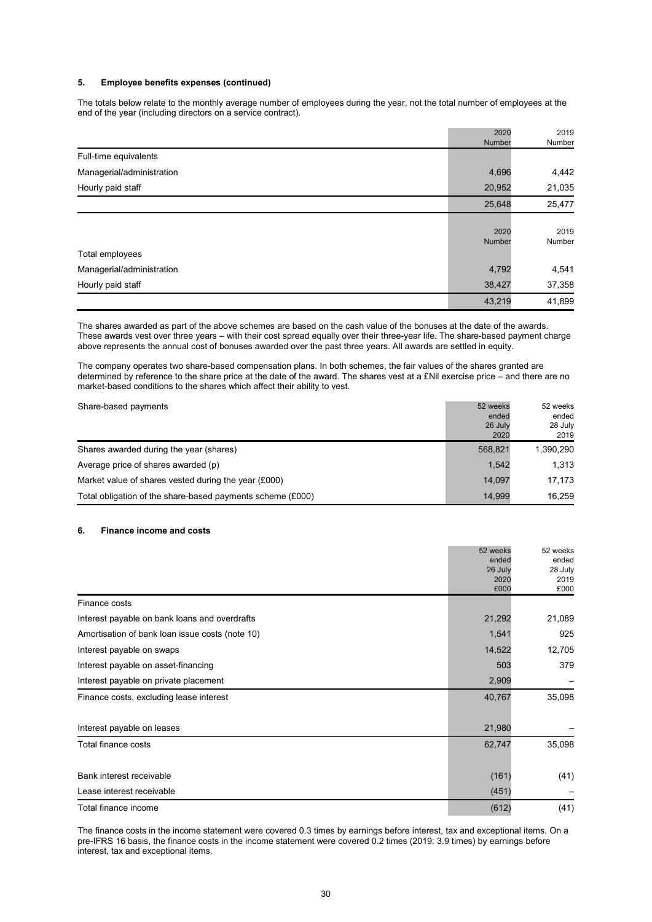### **5. Employee benefits expenses (continued)**

The totals below relate to the monthly average number of employees during the year, not the total number of employees at the end of the year (including directors on a service contract).

|                           | 2020<br>Number | 2019<br>Number |
|---------------------------|----------------|----------------|
| Full-time equivalents     |                |                |
| Managerial/administration | 4,696          | 4,442          |
| Hourly paid staff         | 20,952         | 21,035         |
|                           | 25,648         | 25,477         |
|                           | 2020<br>Number | 2019<br>Number |
| Total employees           |                |                |
| Managerial/administration | 4,792          | 4,541          |
| Hourly paid staff         | 38,427         | 37,358         |
|                           | 43,219         | 41,899         |

The shares awarded as part of the above schemes are based on the cash value of the bonuses at the date of the awards. These awards vest over three years – with their cost spread equally over their three-year life. The share-based payment charge above represents the annual cost of bonuses awarded over the past three years. All awards are settled in equity.

The company operates two share-based compensation plans. In both schemes, the fair values of the shares granted are determined by reference to the share price at the date of the award. The shares vest at a £Nil exercise price – and there are no market-based conditions to the shares which affect their ability to vest.

| Share-based payments                                       | 52 weeks<br>ended<br>26 July<br>2020 | 52 weeks<br>ended<br>28 July<br>2019 |
|------------------------------------------------------------|--------------------------------------|--------------------------------------|
| Shares awarded during the year (shares)                    | 568,821                              | 1,390,290                            |
| Average price of shares awarded (p)                        | 1.542                                | 1.313                                |
| Market value of shares vested during the year (£000)       | 14.097                               | 17.173                               |
| Total obligation of the share-based payments scheme (£000) | 14.999                               | 16.259                               |

#### **6. Finance income and costs**

|                                                 | 52 weeks        | 52 weeks        |
|-------------------------------------------------|-----------------|-----------------|
|                                                 | ended           | ended           |
|                                                 | 26 July<br>2020 | 28 July<br>2019 |
|                                                 | £000            | £000            |
| Finance costs                                   |                 |                 |
| Interest payable on bank loans and overdrafts   | 21,292          | 21,089          |
| Amortisation of bank loan issue costs (note 10) | 1,541           | 925             |
| Interest payable on swaps                       | 14,522          | 12,705          |
| Interest payable on asset-financing             | 503             | 379             |
| Interest payable on private placement           | 2,909           |                 |
| Finance costs, excluding lease interest         | 40,767          | 35,098          |
| Interest payable on leases                      | 21,980          |                 |
| Total finance costs                             | 62,747          | 35,098          |
| Bank interest receivable                        | (161)           | (41)            |
| Lease interest receivable                       | (451)           |                 |
| Total finance income                            | (612)           | (41)            |

The finance costs in the income statement were covered 0.3 times by earnings before interest, tax and exceptional items. On a pre-IFRS 16 basis, the finance costs in the income statement were covered 0.2 times (2019: 3.9 times) by earnings before interest, tax and exceptional items.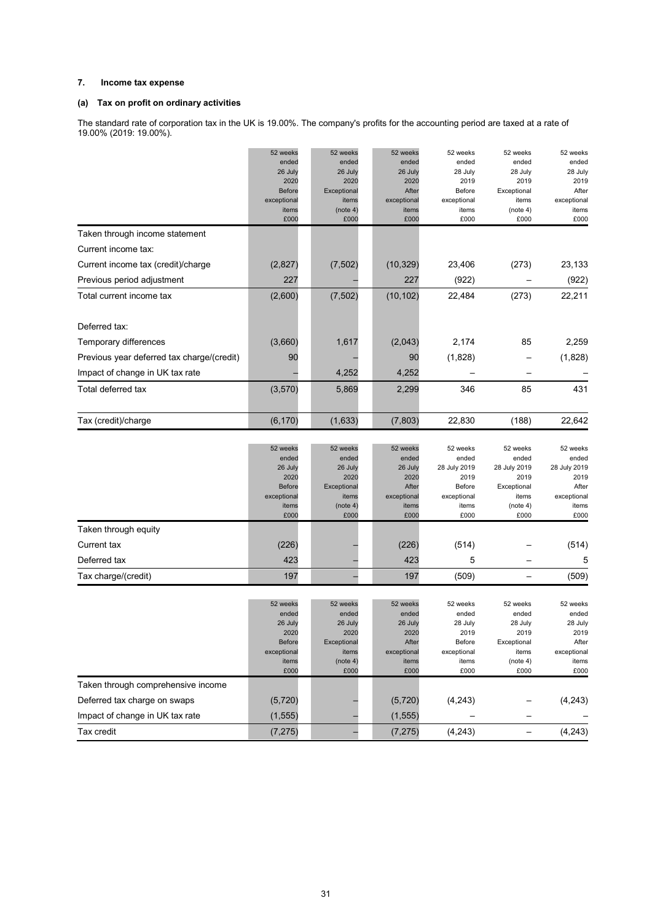### **7. Income tax expense**

### **(a) Tax on profit on ordinary activities**

The standard rate of corporation tax in the UK is 19.00%. The company's profits for the accounting period are taxed at a rate of 19.00% (2019: 19.00%).

|                                            | 52 weeks<br>ended<br>26 July<br>2020<br><b>Before</b><br>exceptional<br>items<br>£000 | 52 weeks<br>ended<br>26 July<br>2020<br>Exceptional<br>items<br>(note 4)<br>£000 | 52 weeks<br>ended<br>26 July<br>2020<br>After<br>exceptional<br>items<br>£000 | 52 weeks<br>ended<br>28 July<br>2019<br>Before<br>exceptional<br>items<br>£000      | 52 weeks<br>ended<br>28 July<br>2019<br>Exceptional<br>items<br>(note 4)<br>£000      | 52 weeks<br>ended<br>28 July<br>2019<br>After<br>exceptional<br>items<br>£000      |
|--------------------------------------------|---------------------------------------------------------------------------------------|----------------------------------------------------------------------------------|-------------------------------------------------------------------------------|-------------------------------------------------------------------------------------|---------------------------------------------------------------------------------------|------------------------------------------------------------------------------------|
| Taken through income statement             |                                                                                       |                                                                                  |                                                                               |                                                                                     |                                                                                       |                                                                                    |
| Current income tax:                        |                                                                                       |                                                                                  |                                                                               |                                                                                     |                                                                                       |                                                                                    |
| Current income tax (credit)/charge         | (2,827)                                                                               | (7, 502)                                                                         | (10, 329)                                                                     | 23,406                                                                              | (273)                                                                                 | 23,133                                                                             |
| Previous period adjustment                 | 227                                                                                   |                                                                                  | 227                                                                           | (922)                                                                               |                                                                                       | (922)                                                                              |
| Total current income tax                   | (2,600)                                                                               | (7, 502)                                                                         | (10, 102)                                                                     | 22,484                                                                              | (273)                                                                                 | 22,211                                                                             |
| Deferred tax:                              |                                                                                       |                                                                                  |                                                                               |                                                                                     |                                                                                       |                                                                                    |
| Temporary differences                      | (3,660)                                                                               | 1,617                                                                            | (2,043)                                                                       | 2,174                                                                               | 85                                                                                    | 2,259                                                                              |
| Previous year deferred tax charge/(credit) | 90                                                                                    |                                                                                  | 90                                                                            | (1,828)                                                                             |                                                                                       | (1,828)                                                                            |
| Impact of change in UK tax rate            |                                                                                       | 4,252                                                                            | 4,252                                                                         |                                                                                     |                                                                                       |                                                                                    |
| Total deferred tax                         | (3, 570)                                                                              | 5,869                                                                            | 2,299                                                                         | 346                                                                                 | 85                                                                                    | 431                                                                                |
| Tax (credit)/charge                        | (6, 170)                                                                              | (1,633)                                                                          | (7, 803)                                                                      | 22,830                                                                              | (188)                                                                                 | 22,642                                                                             |
|                                            | 52 weeks<br>ended<br>26 July<br>2020<br><b>Before</b><br>exceptional<br>items<br>£000 | 52 weeks<br>ended<br>26 July<br>2020<br>Exceptional<br>items<br>(note 4)<br>£000 | 52 weeks<br>ended<br>26 July<br>2020<br>After<br>exceptional<br>items<br>£000 | 52 weeks<br>ended<br>28 July 2019<br>2019<br>Before<br>exceptional<br>items<br>£000 | 52 weeks<br>ended<br>28 July 2019<br>2019<br>Exceptional<br>items<br>(note 4)<br>£000 | 52 weeks<br>ended<br>28 July 2019<br>2019<br>After<br>exceptional<br>items<br>£000 |
| Taken through equity                       |                                                                                       |                                                                                  |                                                                               |                                                                                     |                                                                                       |                                                                                    |
| Current tax                                | (226)                                                                                 |                                                                                  | (226)                                                                         | (514)                                                                               |                                                                                       | (514)                                                                              |
| Deferred tax                               | 423                                                                                   |                                                                                  | 423                                                                           | 5                                                                                   |                                                                                       | 5                                                                                  |
| Tax charge/(credit)                        | 197                                                                                   |                                                                                  | 197                                                                           | (509)                                                                               | $\overline{\phantom{0}}$                                                              | (509)                                                                              |
|                                            | 52 weeks<br>ended<br>26 July<br>2020<br><b>Before</b><br>exceptional<br>items<br>£000 | 52 weeks<br>ended<br>26 July<br>2020<br>Exceptional<br>items<br>(note 4)<br>£000 | 52 weeks<br>ended<br>26 July<br>2020<br>After<br>exceptional<br>items<br>£000 | 52 weeks<br>ended<br>28 July<br>2019<br>Before<br>exceptional<br>items<br>£000      | 52 weeks<br>ended<br>28 July<br>2019<br>Exceptional<br>items<br>(note 4)<br>£000      | 52 weeks<br>ended<br>28 July<br>2019<br>After<br>exceptional<br>items<br>£000      |
| Taken through comprehensive income         |                                                                                       |                                                                                  |                                                                               |                                                                                     |                                                                                       |                                                                                    |
| Deferred tax charge on swaps               | (5, 720)                                                                              |                                                                                  | (5,720)                                                                       | (4, 243)                                                                            |                                                                                       | (4, 243)                                                                           |
| Impact of change in UK tax rate            | (1, 555)                                                                              |                                                                                  | (1, 555)                                                                      |                                                                                     |                                                                                       |                                                                                    |
| Tax credit                                 | (7, 275)                                                                              |                                                                                  | (7, 275)                                                                      | (4, 243)                                                                            | -                                                                                     | (4, 243)                                                                           |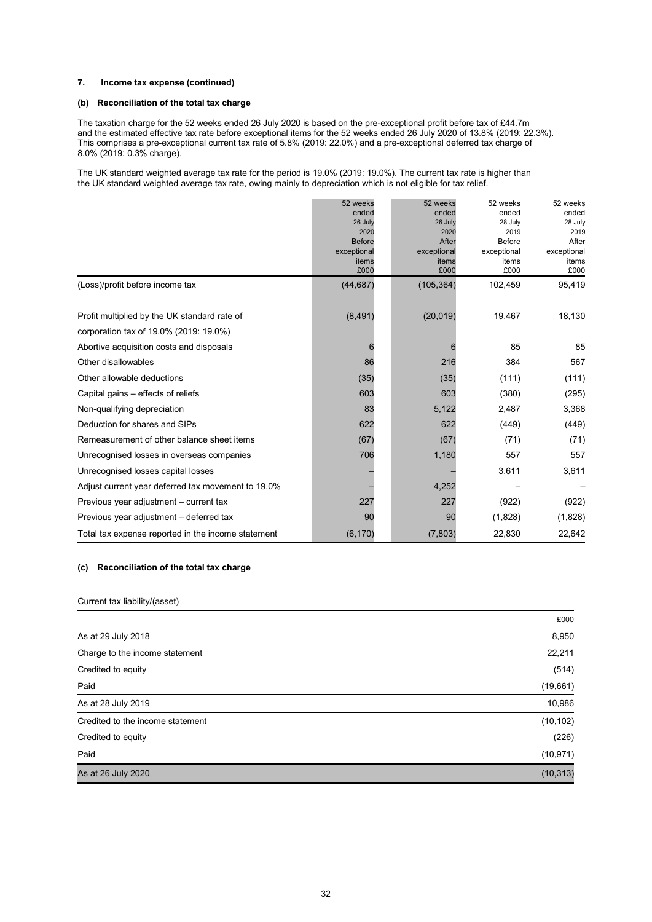### **7. Income tax expense (continued)**

### **(b) Reconciliation of the total tax charge**

The taxation charge for the 52 weeks ended 26 July 2020 is based on the pre-exceptional profit before tax of £44.7m and the estimated effective tax rate before exceptional items for the 52 weeks ended 26 July 2020 of 13.8% (2019: 22.3%). This comprises a pre-exceptional current tax rate of 5.8% (2019: 22.0%) and a pre-exceptional deferred tax charge of 8.0% (2019: 0.3% charge).

The UK standard weighted average tax rate for the period is 19.0% (2019: 19.0%). The current tax rate is higher than the UK standard weighted average tax rate, owing mainly to depreciation which is not eligible for tax relief.

|                                                    | 52 weeks              | 52 weeks      | 52 weeks       | 52 weeks      |
|----------------------------------------------------|-----------------------|---------------|----------------|---------------|
|                                                    | ended                 | ended         | ended          | ended         |
|                                                    | 26 July               | 26 July       | 28 July        | 28 July       |
|                                                    | 2020<br><b>Before</b> | 2020<br>After | 2019<br>Before | 2019<br>After |
|                                                    | exceptional           | exceptional   | exceptional    | exceptional   |
|                                                    | items                 | items         | items          | items         |
|                                                    | £000                  | £000          | £000           | £000          |
| (Loss)/profit before income tax                    | (44, 687)             | (105, 364)    | 102,459        | 95,419        |
| Profit multiplied by the UK standard rate of       | (8, 491)              | (20, 019)     | 19,467         | 18,130        |
| corporation tax of 19.0% (2019: 19.0%)             |                       |               |                |               |
| Abortive acquisition costs and disposals           | 6                     | 6             | 85             | 85            |
| Other disallowables                                | 86                    | 216           | 384            | 567           |
| Other allowable deductions                         | (35)                  | (35)          | (111)          | (111)         |
| Capital gains – effects of reliefs                 | 603                   | 603           | (380)          | (295)         |
| Non-qualifying depreciation                        | 83                    | 5,122         | 2,487          | 3,368         |
| Deduction for shares and SIPs                      | 622                   | 622           | (449)          | (449)         |
| Remeasurement of other balance sheet items         | (67)                  | (67)          | (71)           | (71)          |
| Unrecognised losses in overseas companies          | 706                   | 1,180         | 557            | 557           |
| Unrecognised losses capital losses                 |                       |               | 3,611          | 3,611         |
| Adjust current year deferred tax movement to 19.0% |                       | 4,252         |                |               |
| Previous year adjustment - current tax             | 227                   | 227           | (922)          | (922)         |
| Previous year adjustment - deferred tax            | 90                    | 90            | (1,828)        | (1,828)       |
| Total tax expense reported in the income statement | (6, 170)              | (7,803)       | 22,830         | 22,642        |

### **(c) Reconciliation of the total tax charge**

### Current tax liability/(asset)

|                                  | £000      |
|----------------------------------|-----------|
| As at 29 July 2018               | 8,950     |
| Charge to the income statement   | 22,211    |
| Credited to equity               | (514)     |
| Paid                             | (19,661)  |
| As at 28 July 2019               | 10,986    |
| Credited to the income statement | (10, 102) |
| Credited to equity               | (226)     |
| Paid                             | (10, 971) |
| As at 26 July 2020               | (10, 313) |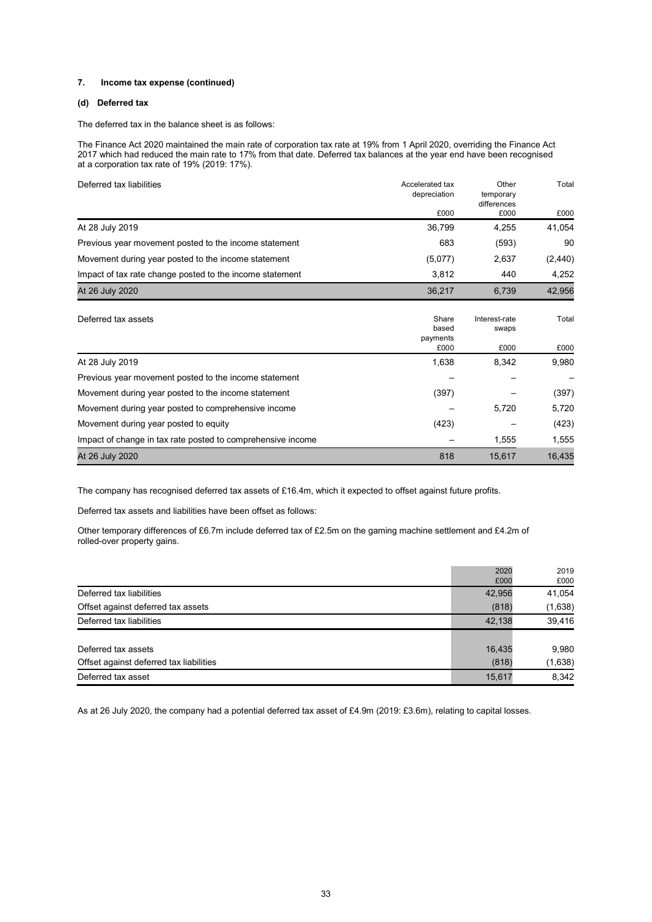#### **7. Income tax expense (continued)**

### **(d) Deferred tax**

The deferred tax in the balance sheet is as follows:

The Finance Act 2020 maintained the main rate of corporation tax rate at 19% from 1 April 2020, overriding the Finance Act 2017 which had reduced the main rate to 17% from that date. Deferred tax balances at the year end have been recognised at a corporation tax rate of 19% (2019: 17%).

| Deferred tax liabilities                                    | Accelerated tax<br>depreciation | Other<br>temporary     | Total    |
|-------------------------------------------------------------|---------------------------------|------------------------|----------|
|                                                             |                                 | differences            |          |
|                                                             | £000                            | £000                   | £000     |
| At 28 July 2019                                             | 36,799                          | 4,255                  | 41,054   |
| Previous year movement posted to the income statement       | 683                             | (593)                  | 90       |
| Movement during year posted to the income statement         | (5,077)                         | 2,637                  | (2, 440) |
| Impact of tax rate change posted to the income statement    | 3,812                           | 440                    | 4,252    |
| At 26 July 2020                                             | 36,217                          | 6,739                  | 42,956   |
| Deferred tax assets                                         | Share<br>based<br>payments      | Interest-rate<br>swaps | Total    |
|                                                             | £000                            | £000                   | £000     |
| At 28 July 2019                                             | 1,638                           | 8,342                  | 9,980    |
| Previous year movement posted to the income statement       |                                 |                        |          |
| Movement during year posted to the income statement         | (397)                           |                        | (397)    |
| Movement during year posted to comprehensive income         |                                 | 5,720                  | 5,720    |
| Movement during year posted to equity                       | (423)                           |                        | (423)    |
| Impact of change in tax rate posted to comprehensive income |                                 | 1,555                  | 1,555    |
| At 26 July 2020                                             | 818                             | 15,617                 | 16,435   |

The company has recognised deferred tax assets of £16.4m, which it expected to offset against future profits.

Deferred tax assets and liabilities have been offset as follows:

Other temporary differences of £6.7m include deferred tax of £2.5m on the gaming machine settlement and £4.2m of rolled-over property gains.

|                                         | 2020   | 2019    |
|-----------------------------------------|--------|---------|
|                                         | £000   | £000    |
| Deferred tax liabilities                | 42,956 | 41,054  |
| Offset against deferred tax assets      | (818)  | (1,638) |
| Deferred tax liabilities                | 42,138 | 39,416  |
|                                         |        |         |
| Deferred tax assets                     | 16,435 | 9,980   |
| Offset against deferred tax liabilities | (818)  | (1,638) |
| Deferred tax asset                      | 15,617 | 8,342   |

As at 26 July 2020, the company had a potential deferred tax asset of £4.9m (2019: £3.6m), relating to capital losses.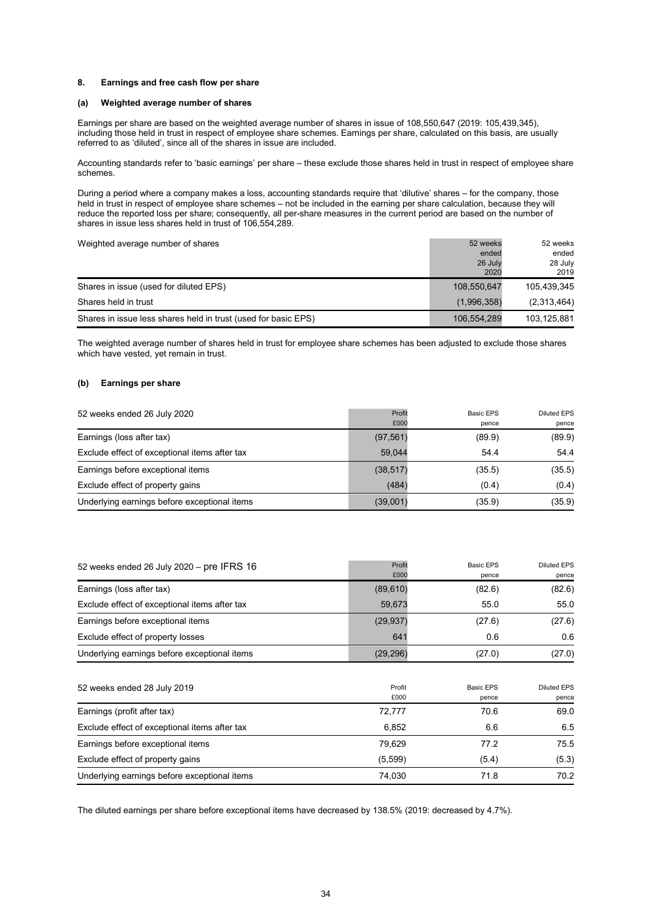#### **8. Earnings and free cash flow per share**

### **(a) Weighted average number of shares**

Earnings per share are based on the weighted average number of shares in issue of 108,550,647 (2019: 105,439,345), including those held in trust in respect of employee share schemes. Earnings per share, calculated on this basis, are usually referred to as 'diluted', since all of the shares in issue are included.

Accounting standards refer to 'basic earnings' per share – these exclude those shares held in trust in respect of employee share schemes.

During a period where a company makes a loss, accounting standards require that 'dilutive' shares – for the company, those held in trust in respect of employee share schemes – not be included in the earning per share calculation, because they will reduce the reported loss per share; consequently, all per-share measures in the current period are based on the number of shares in issue less shares held in trust of 106,554,289.

| Weighted average number of shares                              | 52 weeks<br>ended | 52 weeks<br>ended |
|----------------------------------------------------------------|-------------------|-------------------|
|                                                                | 26 July<br>2020   | 28 July<br>2019   |
| Shares in issue (used for diluted EPS)                         | 108,550,647       | 105,439,345       |
| Shares held in trust                                           | (1,996,358)       | (2,313,464)       |
| Shares in issue less shares held in trust (used for basic EPS) | 106,554,289       | 103.125.881       |

The weighted average number of shares held in trust for employee share schemes has been adjusted to exclude those shares which have vested, yet remain in trust.

### **(b) Earnings per share**

| 52 weeks ended 26 July 2020                   | Profit    | Basic EPS | Diluted EPS |
|-----------------------------------------------|-----------|-----------|-------------|
|                                               | £000      | pence     | pence       |
| Earnings (loss after tax)                     | (97, 561) | (89.9)    | (89.9)      |
| Exclude effect of exceptional items after tax | 59.044    | 54.4      | 54.4        |
| Earnings before exceptional items             | (38, 517) | (35.5)    | (35.5)      |
| Exclude effect of property gains              | (484)     | (0.4)     | (0.4)       |
| Underlying earnings before exceptional items  | (39,001)  | (35.9)    | (35.9)      |

| 52 weeks ended 26 July 2020 - pre IFRS 16     | Profit<br>£000 | <b>Basic EPS</b><br>pence | <b>Diluted EPS</b><br>pence |
|-----------------------------------------------|----------------|---------------------------|-----------------------------|
| Earnings (loss after tax)                     | (89, 610)      | (82.6)                    | (82.6)                      |
| Exclude effect of exceptional items after tax | 59,673         | 55.0                      | 55.0                        |
| Earnings before exceptional items             | (29, 937)      | (27.6)                    | (27.6)                      |
| Exclude effect of property losses             | 641            | 0.6                       | 0.6                         |
| Underlying earnings before exceptional items  | (29, 296)      | (27.0)                    | (27.0)                      |
| 52 weeks ended 28 July 2019                   | Profit<br>£000 | <b>Basic EPS</b><br>pence | <b>Diluted EPS</b><br>pence |
| Earnings (profit after tax)                   | 72,777         | 70.6                      | 69.0                        |
| Exclude effect of exceptional items after tax | 6,852          | 6.6                       | 6.5                         |
| Earnings before exceptional items             | 79,629         | 77.2                      | 75.5                        |
| Exclude effect of property gains              | (5,599)        | (5.4)                     | (5.3)                       |
| Underlying earnings before exceptional items  | 74,030         | 71.8                      | 70.2                        |

The diluted earnings per share before exceptional items have decreased by 138.5% (2019: decreased by 4.7%).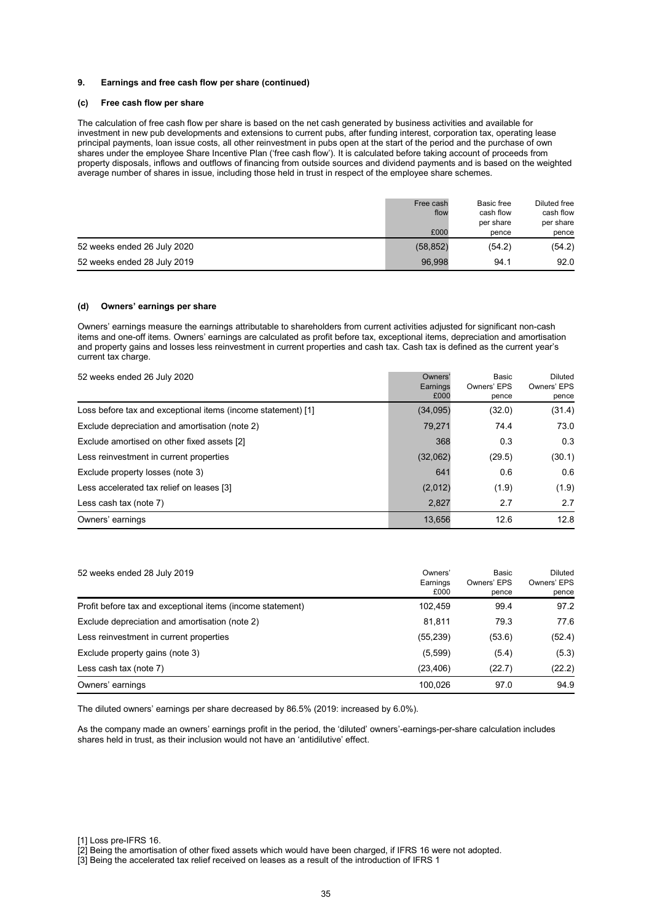#### **9. Earnings and free cash flow per share (continued)**

### **(c) Free cash flow per share**

The calculation of free cash flow per share is based on the net cash generated by business activities and available for investment in new pub developments and extensions to current pubs, after funding interest, corporation tax, operating lease principal payments, loan issue costs, all other reinvestment in pubs open at the start of the period and the purchase of own shares under the employee Share Incentive Plan ('free cash flow'). It is calculated before taking account of proceeds from property disposals, inflows and outflows of financing from outside sources and dividend payments and is based on the weighted average number of shares in issue, including those held in trust in respect of the employee share schemes.

|                             | Free cash<br>flow<br>£000 | Basic free<br>cash flow<br>per share<br>pence | Diluted free<br>cash flow<br>per share<br>pence |
|-----------------------------|---------------------------|-----------------------------------------------|-------------------------------------------------|
| 52 weeks ended 26 July 2020 | (58, 852)                 | (54.2)                                        | (54.2)                                          |
| 52 weeks ended 28 July 2019 | 96.998                    | 94.1                                          | 92.0                                            |

#### **(d) Owners' earnings per share**

Owners' earnings measure the earnings attributable to shareholders from current activities adjusted for significant non-cash items and one-off items. Owners' earnings are calculated as profit before tax, exceptional items, depreciation and amortisation and property gains and losses less reinvestment in current properties and cash tax. Cash tax is defined as the current year's current tax charge.

| 52 weeks ended 26 July 2020                                  | Owners'<br>Earnings<br>£000 | Basic<br>Owners' EPS<br>pence | Diluted<br>Owners' EPS<br>pence |
|--------------------------------------------------------------|-----------------------------|-------------------------------|---------------------------------|
| Loss before tax and exceptional items (income statement) [1] | (34,095)                    | (32.0)                        | (31.4)                          |
| Exclude depreciation and amortisation (note 2)               | 79.271                      | 74.4                          | 73.0                            |
| Exclude amortised on other fixed assets [2]                  | 368                         | 0.3                           | 0.3                             |
| Less reinvestment in current properties                      | (32,062)                    | (29.5)                        | (30.1)                          |
| Exclude property losses (note 3)                             | 641                         | 0.6                           | 0.6                             |
| Less accelerated tax relief on leases [3]                    | (2,012)                     | (1.9)                         | (1.9)                           |
| Less cash tax (note 7)                                       | 2,827                       | 2.7                           | 2.7                             |
| Owners' earnings                                             | 13,656                      | 12.6                          | 12.8                            |

| 52 weeks ended 28 July 2019                                | Owners'<br>Earnings<br>£000 | Basic<br>Owners' EPS<br>pence | Diluted<br>Owners' EPS<br>pence |
|------------------------------------------------------------|-----------------------------|-------------------------------|---------------------------------|
| Profit before tax and exceptional items (income statement) | 102.459                     | 99.4                          | 97.2                            |
| Exclude depreciation and amortisation (note 2)             | 81.811                      | 79.3                          | 77.6                            |
| Less reinvestment in current properties                    | (55, 239)                   | (53.6)                        | (52.4)                          |
| Exclude property gains (note 3)                            | (5,599)                     | (5.4)                         | (5.3)                           |
| Less cash tax (note 7)                                     | (23, 406)                   | (22.7)                        | (22.2)                          |
| Owners' earnings                                           | 100.026                     | 97.0                          | 94.9                            |

The diluted owners' earnings per share decreased by 86.5% (2019: increased by 6.0%).

As the company made an owners' earnings profit in the period, the 'diluted' owners'-earnings-per-share calculation includes shares held in trust, as their inclusion would not have an 'antidilutive' effect.

<sup>[1]</sup> Loss pre-IFRS 16.

<sup>[2]</sup> Being the amortisation of other fixed assets which would have been charged, if IFRS 16 were not adopted.

<sup>[3]</sup> Being the accelerated tax relief received on leases as a result of the introduction of IFRS 1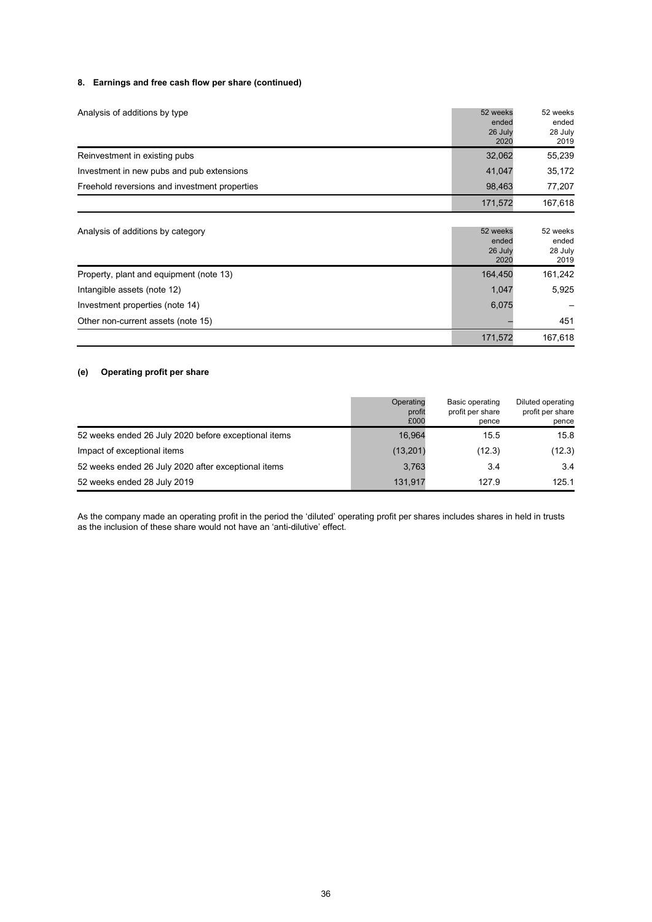### **8. Earnings and free cash flow per share (continued)**

| Analysis of additions by type                 | 52 weeks<br>ended<br>26 July<br>2020 | 52 weeks<br>ended<br>28 July<br>2019 |
|-----------------------------------------------|--------------------------------------|--------------------------------------|
| Reinvestment in existing pubs                 | 32,062                               | 55,239                               |
| Investment in new pubs and pub extensions     | 41.047                               | 35,172                               |
| Freehold reversions and investment properties | 98.463                               | 77.207                               |
|                                               | 171,572                              | 167,618                              |

| Analysis of additions by category       | 52 weeks<br>ended<br>26 July<br>2020 | 52 weeks<br>ended<br>28 July<br>2019 |
|-----------------------------------------|--------------------------------------|--------------------------------------|
| Property, plant and equipment (note 13) | 164.450                              | 161,242                              |
| Intangible assets (note 12)             | 1.047                                | 5,925                                |
| Investment properties (note 14)         | 6,075                                |                                      |
| Other non-current assets (note 15)      |                                      | 451                                  |
|                                         | 171,572                              | 167.618                              |

### **(e) Operating profit per share**

|                                                      | Operating<br>profit<br>£000 | Basic operating<br>profit per share<br>pence | Diluted operating<br>profit per share<br>pence |
|------------------------------------------------------|-----------------------------|----------------------------------------------|------------------------------------------------|
| 52 weeks ended 26 July 2020 before exceptional items | 16.964                      | 15.5                                         | 15.8                                           |
| Impact of exceptional items                          | (13,201)                    | (12.3)                                       | (12.3)                                         |
| 52 weeks ended 26 July 2020 after exceptional items  | 3,763                       | 3.4                                          | 3.4                                            |
| 52 weeks ended 28 July 2019                          | 131.917                     | 127.9                                        | 125.1                                          |

As the company made an operating profit in the period the 'diluted' operating profit per shares includes shares in held in trusts as the inclusion of these share would not have an 'anti-dilutive' effect.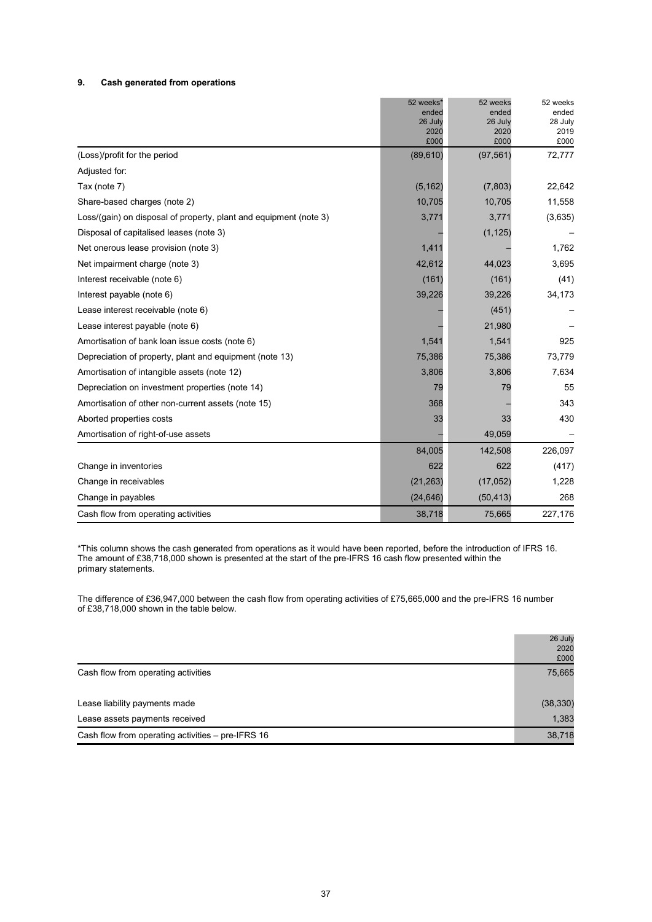### **9. Cash generated from operations**

|                                                                   | 52 weeks*       | 52 weeks        | 52 weeks        |
|-------------------------------------------------------------------|-----------------|-----------------|-----------------|
|                                                                   | ended           | ended           | ended           |
|                                                                   | 26 July<br>2020 | 26 July<br>2020 | 28 July<br>2019 |
|                                                                   | £000            | £000            | £000            |
| (Loss)/profit for the period                                      | (89, 610)       | (97, 561)       | 72,777          |
| Adjusted for:                                                     |                 |                 |                 |
| Tax (note 7)                                                      | (5, 162)        | (7,803)         | 22,642          |
| Share-based charges (note 2)                                      | 10,705          | 10,705          | 11,558          |
| Loss/(gain) on disposal of property, plant and equipment (note 3) | 3,771           | 3,771           | (3,635)         |
| Disposal of capitalised leases (note 3)                           |                 | (1, 125)        |                 |
| Net onerous lease provision (note 3)                              | 1,411           |                 | 1,762           |
| Net impairment charge (note 3)                                    | 42,612          | 44,023          | 3,695           |
| Interest receivable (note 6)                                      | (161)           | (161)           | (41)            |
| Interest payable (note 6)                                         | 39,226          | 39,226          | 34,173          |
| Lease interest receivable (note 6)                                |                 | (451)           |                 |
| Lease interest payable (note 6)                                   |                 | 21,980          |                 |
| Amortisation of bank loan issue costs (note 6)                    | 1,541           | 1,541           | 925             |
| Depreciation of property, plant and equipment (note 13)           | 75,386          | 75,386          | 73,779          |
| Amortisation of intangible assets (note 12)                       | 3,806           | 3,806           | 7,634           |
| Depreciation on investment properties (note 14)                   | 79              | 79              | 55              |
| Amortisation of other non-current assets (note 15)                | 368             |                 | 343             |
| Aborted properties costs                                          | 33              | 33              | 430             |
| Amortisation of right-of-use assets                               |                 | 49,059          |                 |
|                                                                   | 84,005          | 142,508         | 226,097         |
| Change in inventories                                             | 622             | 622             | (417)           |
| Change in receivables                                             | (21, 263)       | (17, 052)       | 1,228           |
| Change in payables                                                | (24, 646)       | (50, 413)       | 268             |
| Cash flow from operating activities                               | 38,718          | 75,665          | 227,176         |

\*This column shows the cash generated from operations as it would have been reported, before the introduction of IFRS 16. The amount of £38,718,000 shown is presented at the start of the pre-IFRS 16 cash flow presented within the primary statements.

The difference of £36,947,000 between the cash flow from operating activities of £75,665,000 and the pre-IFRS 16 number of £38,718,000 shown in the table below.

|                                                   | 26 July   |
|---------------------------------------------------|-----------|
|                                                   | 2020      |
|                                                   | £000      |
| Cash flow from operating activities               | 75,665    |
| Lease liability payments made                     | (38, 330) |
| Lease assets payments received                    | 1,383     |
| Cash flow from operating activities - pre-IFRS 16 | 38,718    |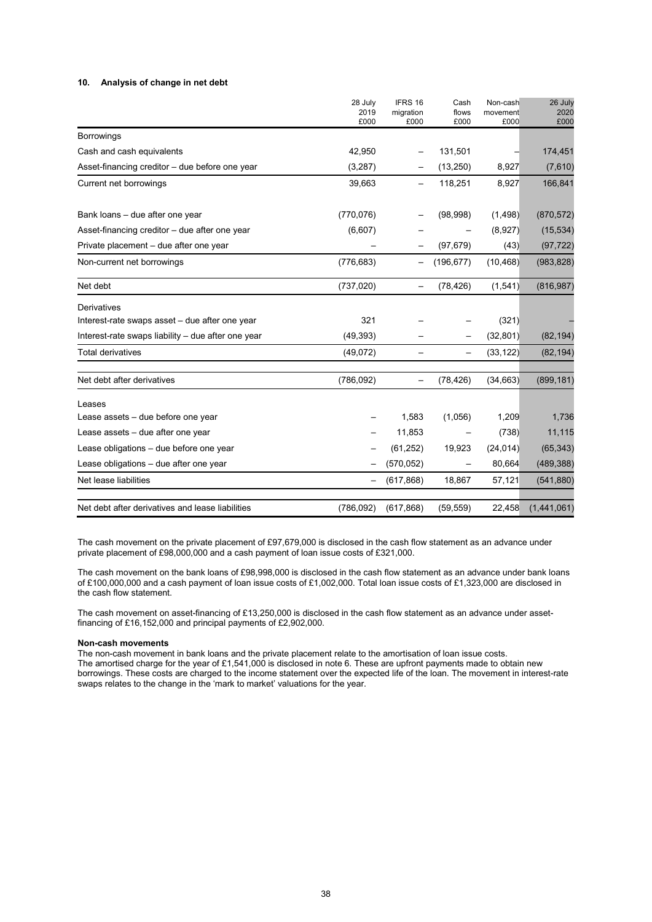### **10. Analysis of change in net debt**

|                                                    | 28 July<br>2019<br>£000 | IFRS 16<br>migration<br>£000 | Cash<br>flows<br>£000 | Non-cash<br>movement<br>£000 | 26 July<br>2020<br>£000 |
|----------------------------------------------------|-------------------------|------------------------------|-----------------------|------------------------------|-------------------------|
| Borrowings                                         |                         |                              |                       |                              |                         |
| Cash and cash equivalents                          | 42,950                  |                              | 131,501               |                              | 174,451                 |
| Asset-financing creditor – due before one year     | (3,287)                 |                              | (13,250)              | 8,927                        | (7,610)                 |
| Current net borrowings                             | 39,663                  |                              | 118,251               | 8,927                        | 166,841                 |
| Bank loans - due after one year                    | (770, 076)              |                              | (98,998)              | (1,498)                      | (870, 572)              |
| Asset-financing creditor - due after one year      | (6,607)                 |                              |                       | (8,927)                      | (15, 534)               |
| Private placement - due after one year             |                         |                              | (97, 679)             | (43)                         | (97, 722)               |
| Non-current net borrowings                         | (776, 683)              |                              | (196, 677)            | (10, 468)                    | (983, 828)              |
| Net debt                                           | (737, 020)              | $\qquad \qquad -$            | (78, 426)             | (1,541)                      | (816, 987)              |
| Derivatives                                        |                         |                              |                       |                              |                         |
| Interest-rate swaps asset - due after one year     | 321                     |                              |                       | (321)                        |                         |
| Interest-rate swaps liability – due after one year | (49, 393)               |                              |                       | (32, 801)                    | (82, 194)               |
| Total derivatives                                  | (49,072)                |                              |                       | (33, 122)                    | (82, 194)               |
| Net debt after derivatives                         | (786, 092)              |                              | (78, 426)             | (34, 663)                    | (899, 181)              |
| Leases                                             |                         |                              |                       |                              |                         |
| Lease assets - due before one year                 |                         | 1,583                        | (1,056)               | 1,209                        | 1,736                   |
| Lease assets - due after one year                  |                         | 11,853                       |                       | (738)                        | 11,115                  |
| Lease obligations - due before one year            |                         | (61, 252)                    | 19,923                | (24, 014)                    | (65, 343)               |
| Lease obligations - due after one year             |                         | (570, 052)                   |                       | 80,664                       | (489, 388)              |
| Net lease liabilities                              |                         | (617, 868)                   | 18,867                | 57,121                       | (541, 880)              |
| Net debt after derivatives and lease liabilities   | (786, 092)              | (617, 868)                   | (59, 559)             | 22,458                       | (1,441,061)             |

The cash movement on the private placement of £97,679,000 is disclosed in the cash flow statement as an advance under private placement of £98,000,000 and a cash payment of loan issue costs of £321,000.

The cash movement on the bank loans of £98,998,000 is disclosed in the cash flow statement as an advance under bank loans of £100,000,000 and a cash payment of loan issue costs of £1,002,000. Total loan issue costs of £1,323,000 are disclosed in the cash flow statement.

The cash movement on asset-financing of £13,250,000 is disclosed in the cash flow statement as an advance under assetfinancing of £16,152,000 and principal payments of £2,902,000.

#### **Non-cash movements**

The non-cash movement in bank loans and the private placement relate to the amortisation of loan issue costs. The amortised charge for the year of £1,541,000 is disclosed in note 6. These are upfront payments made to obtain new borrowings. These costs are charged to the income statement over the expected life of the loan. The movement in interest-rate swaps relates to the change in the 'mark to market' valuations for the year.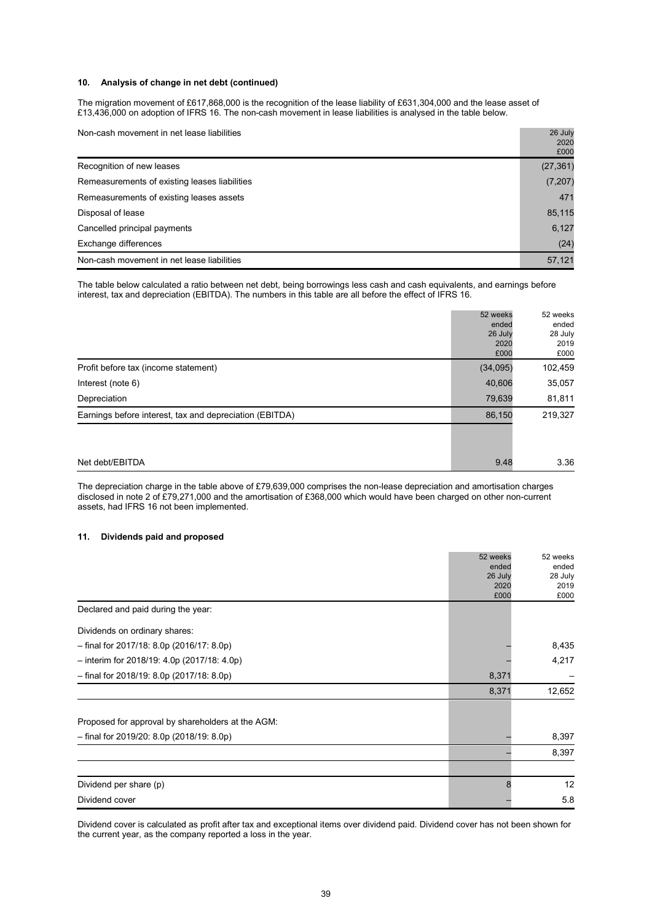### **10. Analysis of change in net debt (continued)**

The migration movement of £617,868,000 is the recognition of the lease liability of £631,304,000 and the lease asset of £13,436,000 on adoption of IFRS 16. The non-cash movement in lease liabilities is analysed in the table below.

| Non-cash movement in net lease liabilities    | 26 July<br>2020<br>£000 |  |  |
|-----------------------------------------------|-------------------------|--|--|
| Recognition of new leases                     | (27, 361)               |  |  |
| Remeasurements of existing leases liabilities | (7, 207)                |  |  |
| Remeasurements of existing leases assets      | 471                     |  |  |
| Disposal of lease                             |                         |  |  |
| Cancelled principal payments                  | 6,127                   |  |  |
| Exchange differences                          | (24)                    |  |  |
| Non-cash movement in net lease liabilities    | 57,121                  |  |  |

The table below calculated a ratio between net debt, being borrowings less cash and cash equivalents, and earnings before interest, tax and depreciation (EBITDA). The numbers in this table are all before the effect of IFRS 16.

|                                                         | 52 weeks<br>ended<br>26 July<br>2020<br>£000 | 52 weeks<br>ended<br>28 July<br>2019<br>£000 |
|---------------------------------------------------------|----------------------------------------------|----------------------------------------------|
| Profit before tax (income statement)                    | (34,095)                                     | 102,459                                      |
| Interest (note 6)                                       | 40,606                                       | 35,057                                       |
| Depreciation                                            | 79,639                                       | 81,811                                       |
| Earnings before interest, tax and depreciation (EBITDA) | 86,150                                       | 219,327                                      |
|                                                         |                                              |                                              |
|                                                         |                                              |                                              |
| Net debt/EBITDA                                         | 9.48                                         | 3.36                                         |

The depreciation charge in the table above of £79,639,000 comprises the non-lease depreciation and amortisation charges disclosed in note 2 of £79,271,000 and the amortisation of £368,000 which would have been charged on other non-current assets, had IFRS 16 not been implemented.

### **11. Dividends paid and proposed**

|                                                   | 52 weeks | 52 weeks |
|---------------------------------------------------|----------|----------|
|                                                   | ended    | ended    |
|                                                   | 26 July  | 28 July  |
|                                                   | 2020     | 2019     |
|                                                   | £000     | £000     |
| Declared and paid during the year:                |          |          |
| Dividends on ordinary shares:                     |          |          |
| $-$ final for 2017/18: 8.0p (2016/17: 8.0p)       |          | 8,435    |
| $-$ interim for 2018/19: 4.0p (2017/18: 4.0p)     |          | 4,217    |
| $-$ final for 2018/19: 8.0p (2017/18: 8.0p)       | 8,371    |          |
|                                                   | 8,371    | 12,652   |
| Proposed for approval by shareholders at the AGM: |          |          |
|                                                   |          |          |
| - final for 2019/20: 8.0p (2018/19: 8.0p)         |          | 8,397    |
|                                                   |          | 8,397    |
|                                                   |          |          |
| Dividend per share (p)                            | 8        | 12       |
| Dividend cover                                    |          | 5.8      |

Dividend cover is calculated as profit after tax and exceptional items over dividend paid. Dividend cover has not been shown for the current year, as the company reported a loss in the year.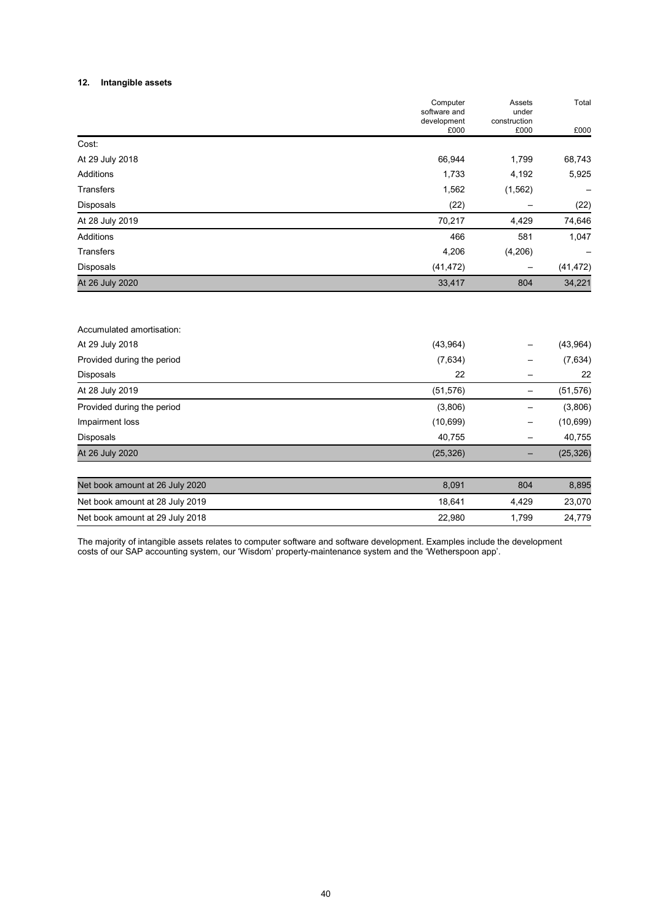### **12. Intangible assets**

Accumulated amortisation:

| software and<br>development | under<br>construction |           |
|-----------------------------|-----------------------|-----------|
|                             |                       |           |
| £000                        | £000                  | £000      |
|                             |                       |           |
| 66,944                      | 1,799                 | 68,743    |
| 1,733                       | 4,192                 | 5,925     |
| 1,562                       | (1, 562)              |           |
| (22)                        |                       | (22)      |
| 70,217                      | 4,429                 | 74,646    |
| 466                         | 581                   | 1,047     |
| 4,206                       | (4,206)               |           |
| (41, 472)                   | —                     | (41, 472) |
| 33,417                      | 804                   | 34,221    |
|                             |                       |           |

| At 29 July 2018                 | (43,964)  |       | (43, 964) |
|---------------------------------|-----------|-------|-----------|
| Provided during the period      | (7,634)   |       | (7,634)   |
| Disposals                       | 22        |       | 22        |
| At 28 July 2019                 | (51, 576) |       | (51, 576) |
| Provided during the period      | (3,806)   |       | (3,806)   |
| Impairment loss                 | (10, 699) | -     | (10, 699) |
| <b>Disposals</b>                | 40,755    |       | 40,755    |
| At 26 July 2020                 | (25, 326) |       | (25, 326) |
| Net book amount at 26 July 2020 | 8,091     | 804   | 8,895     |
| Net book amount at 28 July 2019 | 18,641    | 4,429 | 23,070    |
| Net book amount at 29 July 2018 | 22,980    | 1.799 | 24,779    |

The majority of intangible assets relates to computer software and software development. Examples include the development costs of our SAP accounting system, our 'Wisdom' property-maintenance system and the 'Wetherspoon app'.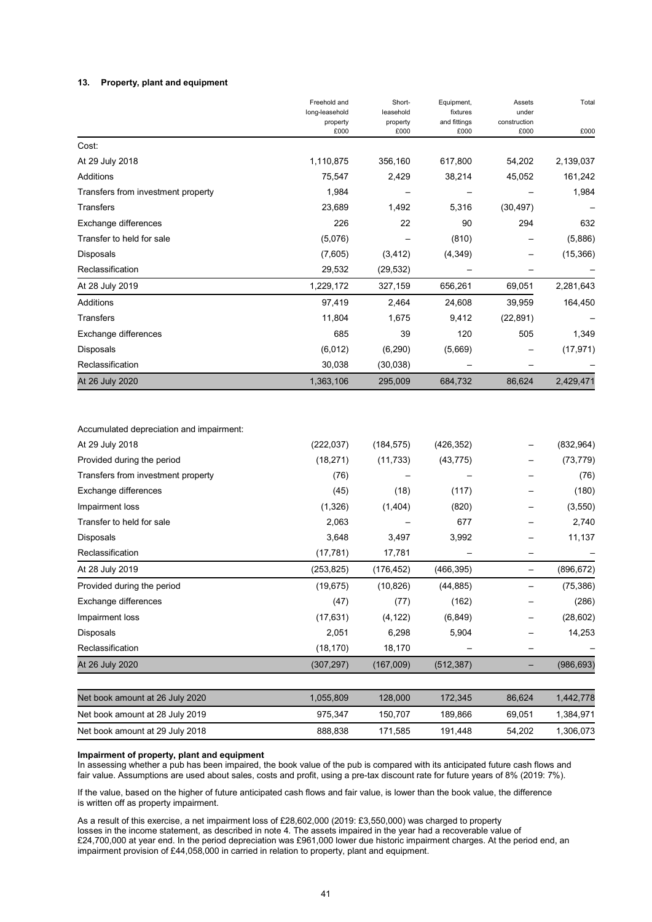#### **13. Property, plant and equipment**

|                                          | Freehold and               | Short-                | Equipment,               | Assets                | Total      |
|------------------------------------------|----------------------------|-----------------------|--------------------------|-----------------------|------------|
|                                          | long-leasehold<br>property | leasehold<br>property | fixtures<br>and fittings | under<br>construction |            |
|                                          | £000                       | £000                  | £000                     | £000                  | £000       |
| Cost:                                    |                            |                       |                          |                       |            |
| At 29 July 2018                          | 1,110,875                  | 356,160               | 617,800                  | 54,202                | 2,139,037  |
| Additions                                | 75,547                     | 2,429                 | 38,214                   | 45,052                | 161,242    |
| Transfers from investment property       | 1,984                      |                       |                          |                       | 1,984      |
| Transfers                                | 23,689                     | 1,492                 | 5,316                    | (30, 497)             |            |
| Exchange differences                     | 226                        | 22                    | 90                       | 294                   | 632        |
| Transfer to held for sale                | (5,076)                    |                       | (810)                    |                       | (5,886)    |
| Disposals                                | (7,605)                    | (3, 412)              | (4, 349)                 |                       | (15, 366)  |
| Reclassification                         | 29,532                     | (29, 532)             |                          |                       |            |
| At 28 July 2019                          | 1,229,172                  | 327,159               | 656,261                  | 69,051                | 2,281,643  |
| <b>Additions</b>                         | 97,419                     | 2,464                 | 24,608                   | 39,959                | 164,450    |
| Transfers                                | 11,804                     | 1,675                 | 9,412                    | (22, 891)             |            |
| Exchange differences                     | 685                        | 39                    | 120                      | 505                   | 1,349      |
| Disposals                                | (6,012)                    | (6, 290)              | (5,669)                  |                       | (17, 971)  |
| Reclassification                         | 30,038                     | (30,038)              |                          |                       |            |
| At 26 July 2020                          | 1,363,106                  | 295,009               | 684,732                  | 86,624                | 2,429,471  |
| Accumulated depreciation and impairment: |                            |                       |                          |                       |            |
| At 29 July 2018                          | (222, 037)                 | (184, 575)            | (426, 352)               |                       | (832, 964) |
| Provided during the period               | (18, 271)                  | (11, 733)             | (43, 775)                |                       | (73, 779)  |
| Transfers from investment property       | (76)                       |                       |                          |                       | (76)       |
| Exchange differences                     | (45)                       | (18)                  | (117)                    |                       | (180)      |
| Impairment loss                          | (1, 326)                   | (1,404)               | (820)                    |                       | (3, 550)   |
| Transfer to held for sale                | 2,063                      |                       | 677                      |                       | 2,740      |
| Disposals                                | 3,648                      | 3,497                 | 3,992                    |                       | 11,137     |
| Reclassification                         | (17, 781)                  | 17,781                |                          |                       |            |
| At 28 July 2019                          | (253, 825)                 | (176, 452)            | (466, 395)               | —                     | (896, 672) |
| Provided during the period               | (19, 675)                  | (10, 826)             | (44, 885)                |                       | (75, 386)  |
| Exchange differences                     | (47)                       | (77)                  | (162)                    |                       | (286)      |
| Impairment loss                          | (17, 631)                  | (4, 122)              | (6, 849)                 |                       | (28, 602)  |
| Disposals                                | 2,051                      | 6,298                 | 5,904                    |                       | 14,253     |
| Reclassification                         | (18, 170)                  | 18,170                |                          |                       |            |
| At 26 July 2020                          | (307, 297)                 | (167,009)             | (512, 387)               | -                     | (986, 693) |
| Net book amount at 26 July 2020          | 1,055,809                  | 128,000               | 172,345                  | 86,624                | 1,442,778  |

| Impairment of property, plant and equipment |  |  |  |
|---------------------------------------------|--|--|--|
|                                             |  |  |  |

In assessing whether a pub has been impaired, the book value of the pub is compared with its anticipated future cash flows and fair value. Assumptions are used about sales, costs and profit, using a pre-tax discount rate for future years of 8% (2019: 7%).

Net book amount at 28 July 2019 150,347 150,707 189,866 69,051 1,384,971 Net book amount at 29 July 2018 888,838 171,585 191,448 54,202 1,306,073

If the value, based on the higher of future anticipated cash flows and fair value, is lower than the book value, the difference is written off as property impairment.

As a result of this exercise, a net impairment loss of £28,602,000 (2019: £3,550,000) was charged to property losses in the income statement, as described in note 4. The assets impaired in the year had a recoverable value of £24,700,000 at year end. In the period depreciation was £961,000 lower due historic impairment charges. At the period end, an impairment provision of £44,058,000 in carried in relation to property, plant and equipment.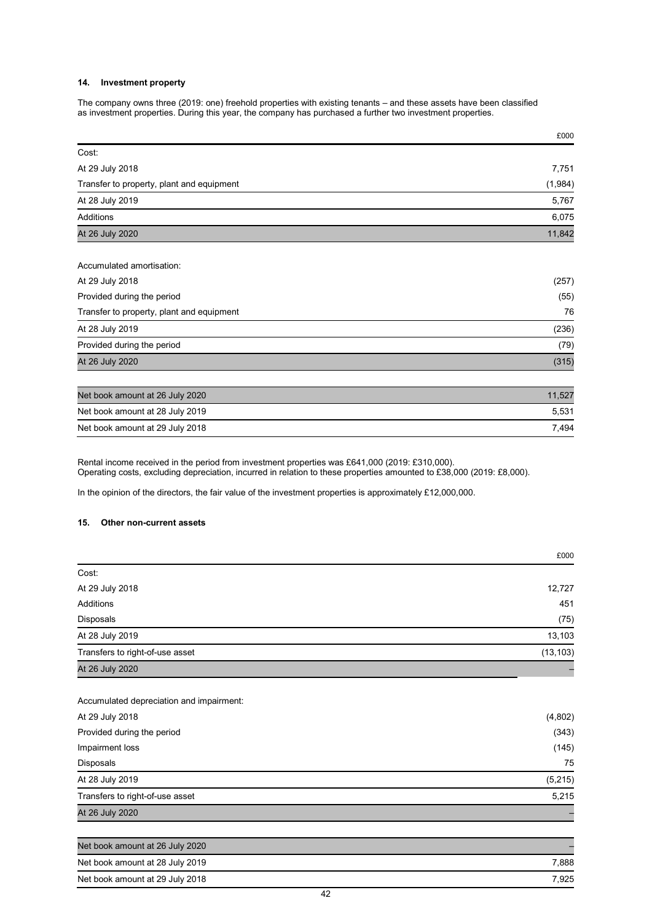### **14. Investment property**

The company owns three (2019: one) freehold properties with existing tenants – and these assets have been classified as investment properties. During this year, the company has purchased a further two investment properties.

|                                           | £000    |
|-------------------------------------------|---------|
| Cost:                                     |         |
| At 29 July 2018                           | 7,751   |
| Transfer to property, plant and equipment | (1,984) |
| At 28 July 2019                           | 5,767   |
| <b>Additions</b>                          | 6,075   |
| At 26 July 2020                           | 11,842  |
| Accumulated amortisation:                 |         |
| At 29 July 2018                           | (257)   |
| Provided during the period                | (55)    |
| Transfer to property, plant and equipment | 76      |
| At 28 July 2019                           | (236)   |
| Provided during the period                | (79)    |
| At 26 July 2020                           | (315)   |
| Net book amount at 26 July 2020           | 11,527  |
|                                           |         |

| Net book amount at 28 July 2019 | 5.531 |
|---------------------------------|-------|
| Net book amount at 29 July 2018 | 7.494 |

Rental income received in the period from investment properties was £641,000 (2019: £310,000). Operating costs, excluding depreciation, incurred in relation to these properties amounted to £38,000 (2019: £8,000).

In the opinion of the directors, the fair value of the investment properties is approximately £12,000,000.

### **15. Other non-current assets**

|                                          | £000      |
|------------------------------------------|-----------|
| Cost:                                    |           |
| At 29 July 2018                          | 12,727    |
| <b>Additions</b>                         | 451       |
| Disposals                                | (75)      |
| At 28 July 2019                          | 13,103    |
| Transfers to right-of-use asset          | (13, 103) |
| At 26 July 2020                          |           |
| Accumulated depreciation and impairment: |           |
| At 29 July 2018                          | (4,802)   |
| Provided during the period               | (343)     |
| Impairment loss                          | (145)     |
| Disposals                                | 75        |
| At 28 July 2019                          | (5, 215)  |
| Transfers to right-of-use asset          | 5,215     |
| At 26 July 2020                          |           |

| Net book amount at 26 July 2020 |       |
|---------------------------------|-------|
| Net book amount at 28 July 2019 | 7.888 |
| Net book amount at 29 July 2018 | 7.925 |